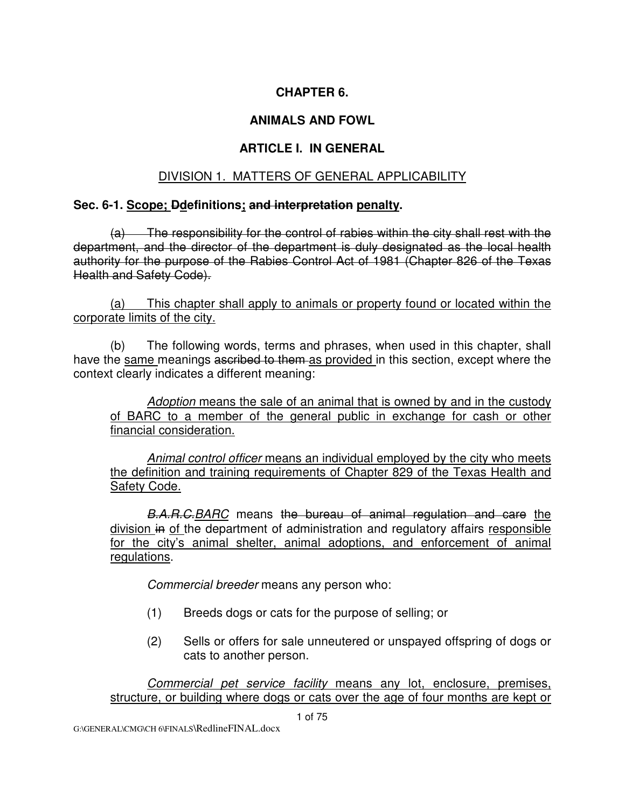## **CHAPTER 6.**

## **ANIMALS AND FOWL**

## **ARTICLE I. IN GENERAL**

### DIVISION 1. MATTERS OF GENERAL APPLICABILITY

#### **Sec. 6-1. Scope; Ddefinitions; and interpretation penalty.**

 (a) The responsibility for the control of rabies within the city shall rest with the department, and the director of the department is duly designated as the local health authority for the purpose of the Rabies Control Act of 1981 (Chapter 826 of the Texas Health and Safety Code).

 (a) This chapter shall apply to animals or property found or located within the corporate limits of the city.

(b) The following words, terms and phrases, when used in this chapter, shall have the same meanings ascribed to them as provided in this section, except where the context clearly indicates a different meaning:

Adoption means the sale of an animal that is owned by and in the custody of BARC to a member of the general public in exchange for cash or other financial consideration.

Animal control officer means an individual employed by the city who meets the definition and training requirements of Chapter 829 of the Texas Health and Safety Code.

B.A.R.C. BARC means the bureau of animal regulation and care the division in of the department of administration and regulatory affairs responsible for the city's animal shelter, animal adoptions, and enforcement of animal regulations.

Commercial breeder means any person who:

- (1) Breeds dogs or cats for the purpose of selling; or
- (2) Sells or offers for sale unneutered or unspayed offspring of dogs or cats to another person.

Commercial pet service facility means any lot, enclosure, premises, structure, or building where dogs or cats over the age of four months are kept or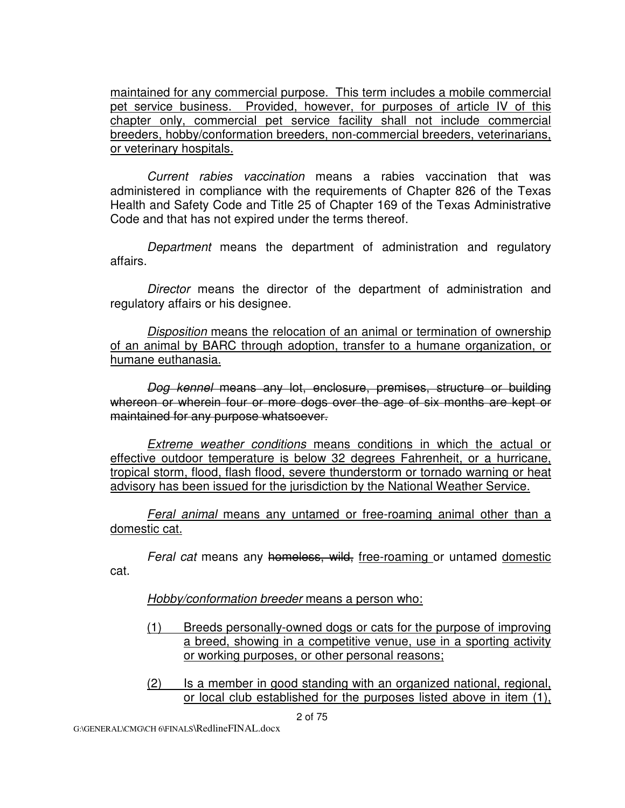maintained for any commercial purpose. This term includes a mobile commercial pet service business. Provided, however, for purposes of article IV of this chapter only, commercial pet service facility shall not include commercial breeders, hobby/conformation breeders, non-commercial breeders, veterinarians, or veterinary hospitals.

Current rabies vaccination means a rabies vaccination that was administered in compliance with the requirements of Chapter 826 of the Texas Health and Safety Code and Title 25 of Chapter 169 of the Texas Administrative Code and that has not expired under the terms thereof.

Department means the department of administration and regulatory affairs.

Director means the director of the department of administration and regulatory affairs or his designee.

Disposition means the relocation of an animal or termination of ownership of an animal by BARC through adoption, transfer to a humane organization, or humane euthanasia.

Dog kennel means any lot, enclosure, premises, structure or building whereon or wherein four or more dogs over the age of six months are kept or maintained for any purpose whatsoever.

Extreme weather conditions means conditions in which the actual or effective outdoor temperature is below 32 degrees Fahrenheit, or a hurricane, tropical storm, flood, flash flood, severe thunderstorm or tornado warning or heat advisory has been issued for the jurisdiction by the National Weather Service.

Feral animal means any untamed or free-roaming animal other than a domestic cat.

Feral cat means any homeless, wild, free-roaming or untamed domestic cat.

Hobby/conformation breeder means a person who:

- (1) Breeds personally-owned dogs or cats for the purpose of improving a breed, showing in a competitive venue, use in a sporting activity or working purposes, or other personal reasons;
- (2) Is a member in good standing with an organized national, regional, or local club established for the purposes listed above in item (1),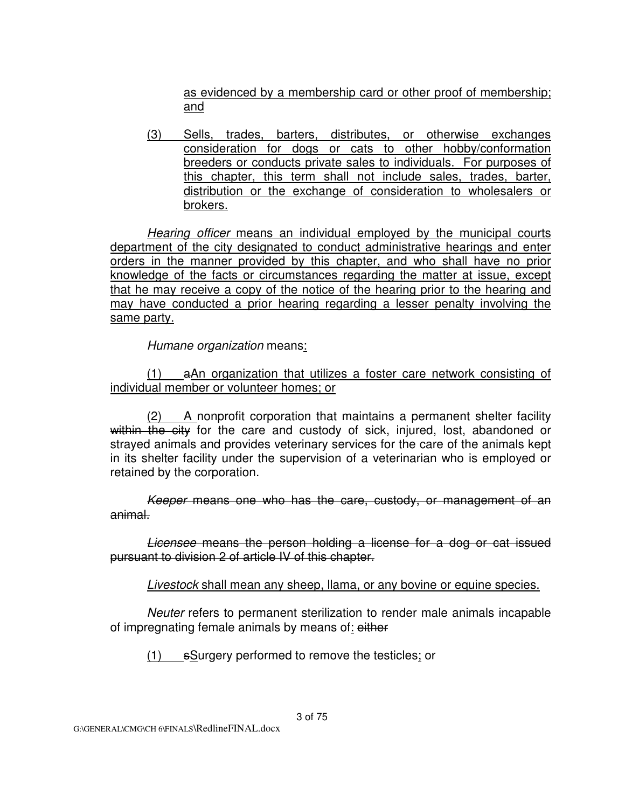as evidenced by a membership card or other proof of membership; and

(3) Sells, trades, barters, distributes, or otherwise exchanges consideration for dogs or cats to other hobby/conformation breeders or conducts private sales to individuals. For purposes of this chapter, this term shall not include sales, trades, barter, distribution or the exchange of consideration to wholesalers or brokers.

Hearing officer means an individual employed by the municipal courts department of the city designated to conduct administrative hearings and enter orders in the manner provided by this chapter, and who shall have no prior knowledge of the facts or circumstances regarding the matter at issue, except that he may receive a copy of the notice of the hearing prior to the hearing and may have conducted a prior hearing regarding a lesser penalty involving the same party.

Humane organization means:

(1) aAn organization that utilizes a foster care network consisting of individual member or volunteer homes; or

(2) A nonprofit corporation that maintains a permanent shelter facility within the city for the care and custody of sick, injured, lost, abandoned or strayed animals and provides veterinary services for the care of the animals kept in its shelter facility under the supervision of a veterinarian who is employed or retained by the corporation.

Keeper means one who has the care, custody, or management of an animal.

Licensee means the person holding a license for a dog or cat issued pursuant to division 2 of article IV of this chapter.

Livestock shall mean any sheep, llama, or any bovine or equine species.

Neuter refers to permanent sterilization to render male animals incapable of impregnating female animals by means of: either

(1) sSurgery performed to remove the testicles; or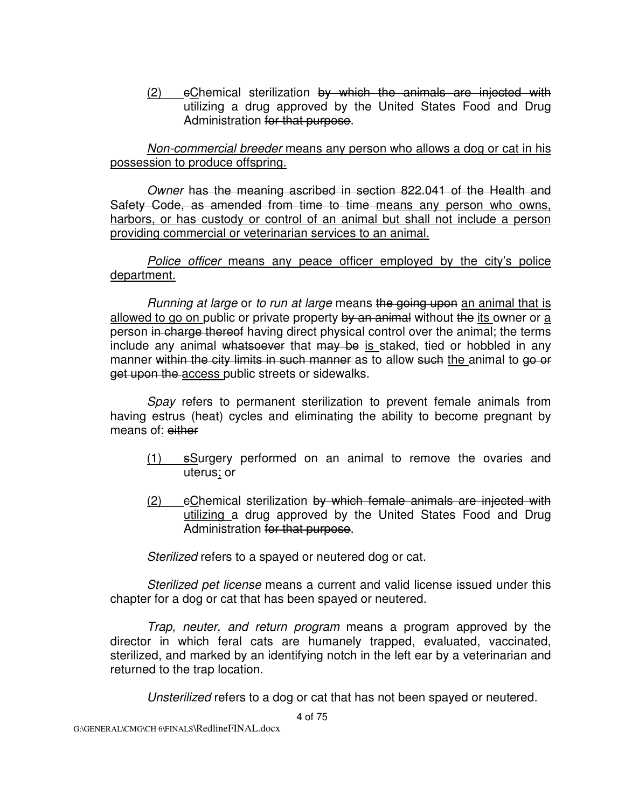$(2)$  eChemical sterilization by which the animals are injected with utilizing a drug approved by the United States Food and Drug Administration for that purpose.

Non-commercial breeder means any person who allows a dog or cat in his possession to produce offspring.

Owner has the meaning ascribed in section 822.041 of the Health and Safety Code, as amended from time to time means any person who owns, harbors, or has custody or control of an animal but shall not include a person providing commercial or veterinarian services to an animal.

Police officer means any peace officer employed by the city's police department.

Running at large or to run at large means the going upon an animal that is allowed to go on public or private property by an animal without the its owner or a person in charge thereof having direct physical control over the animal; the terms include any animal whatsoever that may be is staked, tied or hobbled in any manner within the city limits in such manner as to allow such the animal to go or get upon the access public streets or sidewalks.

Spay refers to permanent sterilization to prevent female animals from having estrus (heat) cycles and eliminating the ability to become pregnant by means of: either

- (1) sSurgery performed on an animal to remove the ovaries and uterus; or
- $(2)$  eChemical sterilization by which female animals are injected with utilizing a drug approved by the United States Food and Drug Administration for that purpose.

Sterilized refers to a spayed or neutered dog or cat.

Sterilized pet license means a current and valid license issued under this chapter for a dog or cat that has been spayed or neutered.

Trap, neuter, and return program means a program approved by the director in which feral cats are humanely trapped, evaluated, vaccinated, sterilized, and marked by an identifying notch in the left ear by a veterinarian and returned to the trap location.

Unsterilized refers to a dog or cat that has not been spayed or neutered.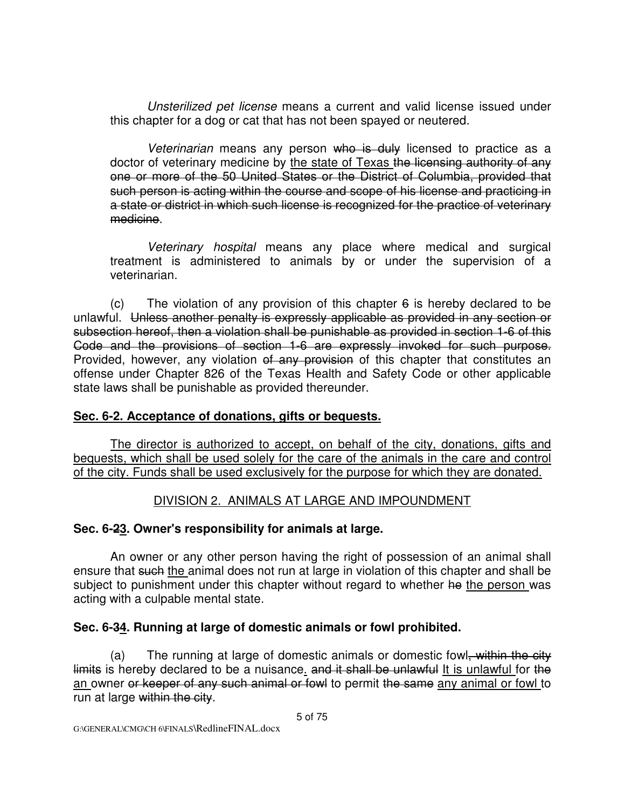Unsterilized pet license means a current and valid license issued under this chapter for a dog or cat that has not been spayed or neutered.

Veterinarian means any person who is duly licensed to practice as a doctor of veterinary medicine by the state of Texas the licensing authority of any one or more of the 50 United States or the District of Columbia, provided that such person is acting within the course and scope of his license and practicing in a state or district in which such license is recognized for the practice of veterinary medicine.

Veterinary hospital means any place where medical and surgical treatment is administered to animals by or under the supervision of a veterinarian.

(c) The violation of any provision of this chapter  $6$  is hereby declared to be unlawful. Unless another penalty is expressly applicable as provided in any section or subsection hereof, then a violation shall be punishable as provided in section 1-6 of this Code and the provisions of section 1-6 are expressly invoked for such purpose. Provided, however, any violation of any provision of this chapter that constitutes an offense under Chapter 826 of the Texas Health and Safety Code or other applicable state laws shall be punishable as provided thereunder.

### **Sec. 6-2. Acceptance of donations, gifts or bequests.**

The director is authorized to accept, on behalf of the city, donations, gifts and bequests, which shall be used solely for the care of the animals in the care and control of the city. Funds shall be used exclusively for the purpose for which they are donated.

### DIVISION 2. ANIMALS AT LARGE AND IMPOUNDMENT

### **Sec. 6-23. Owner's responsibility for animals at large.**

An owner or any other person having the right of possession of an animal shall ensure that such the animal does not run at large in violation of this chapter and shall be subject to punishment under this chapter without regard to whether he the person was acting with a culpable mental state.

### **Sec. 6-34. Running at large of domestic animals or fowl prohibited.**

(a) The running at large of domestic animals or domestic fowl, within the city limits is hereby declared to be a nuisance. and it shall be unlawful It is unlawful for the an owner or keeper of any such animal or fowl to permit the same any animal or fowl to run at large within the city.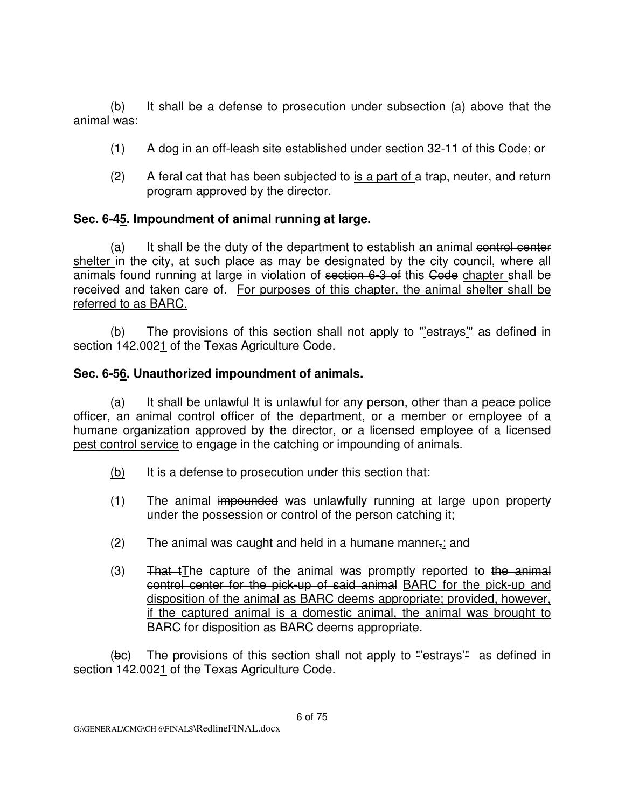(b) It shall be a defense to prosecution under subsection (a) above that the animal was:

- (1) A dog in an off-leash site established under section 32-11 of this Code; or
- $(2)$  A feral cat that has been subjected to is a part of a trap, neuter, and return program approved by the director.

## **Sec. 6-45. Impoundment of animal running at large.**

(a) It shall be the duty of the department to establish an animal control center shelter in the city, at such place as may be designated by the city council, where all animals found running at large in violation of section 6-3 of this Code chapter shall be received and taken care of. For purposes of this chapter, the animal shelter shall be referred to as BARC.

 (b) The provisions of this section shall not apply to "'estrays'" as defined in section 142.0021 of the Texas Agriculture Code.

### **Sec. 6-56. Unauthorized impoundment of animals.**

(a) It shall be unlawful It is unlawful for any person, other than a peace police officer, an animal control officer of the department, or a member or employee of a humane organization approved by the director, or a licensed employee of a licensed pest control service to engage in the catching or impounding of animals.

- (b) It is a defense to prosecution under this section that:
- (1) The animal impounded was unlawfully running at large upon property under the possession or control of the person catching it;
- (2) The animal was caught and held in a humane manner $\frac{1}{2}$ ; and
- $(3)$  That tThe capture of the animal was promptly reported to the animal control center for the pick-up of said animal BARC for the pick-up and disposition of the animal as BARC deems appropriate; provided, however, if the captured animal is a domestic animal, the animal was brought to BARC for disposition as BARC deems appropriate.

 $(bc)$  The provisions of this section shall not apply to "estrays" as defined in section 142.0021 of the Texas Agriculture Code.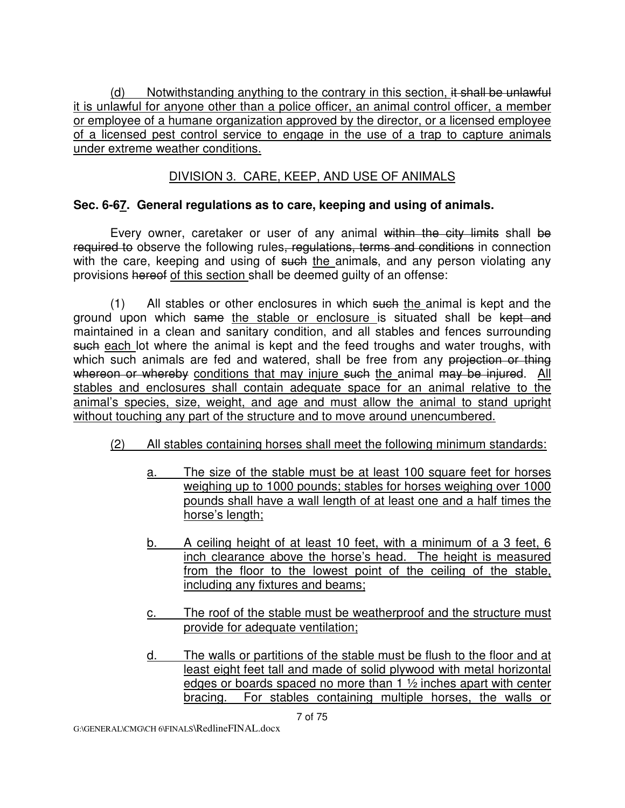(d) Notwithstanding anything to the contrary in this section, it shall be unlawful it is unlawful for anyone other than a police officer, an animal control officer, a member or employee of a humane organization approved by the director, or a licensed employee of a licensed pest control service to engage in the use of a trap to capture animals under extreme weather conditions.

## DIVISION 3. CARE, KEEP, AND USE OF ANIMALS

#### **Sec. 6-67. General regulations as to care, keeping and using of animals.**

Every owner, caretaker or user of any animal within the city limits shall be required to observe the following rules, regulations, terms and conditions in connection with the care, keeping and using of such the animals, and any person violating any provisions hereof of this section shall be deemed guilty of an offense:

 (1) All stables or other enclosures in which such the animal is kept and the ground upon which same the stable or enclosure is situated shall be kept and maintained in a clean and sanitary condition, and all stables and fences surrounding such each lot where the animal is kept and the feed troughs and water troughs, with which such animals are fed and watered, shall be free from any projection or thing whereon or whereby conditions that may injure such the animal may be injured. All stables and enclosures shall contain adequate space for an animal relative to the animal's species, size, weight, and age and must allow the animal to stand upright without touching any part of the structure and to move around unencumbered.

- (2) All stables containing horses shall meet the following minimum standards:
	- a. The size of the stable must be at least 100 square feet for horses weighing up to 1000 pounds; stables for horses weighing over 1000 pounds shall have a wall length of at least one and a half times the horse's length;
	- b. A ceiling height of at least 10 feet, with a minimum of a 3 feet, 6 inch clearance above the horse's head. The height is measured from the floor to the lowest point of the ceiling of the stable, including any fixtures and beams;
	- c. The roof of the stable must be weatherproof and the structure must provide for adequate ventilation;
	- d. The walls or partitions of the stable must be flush to the floor and at least eight feet tall and made of solid plywood with metal horizontal edges or boards spaced no more than 1 ½ inches apart with center bracing. For stables containing multiple horses, the walls or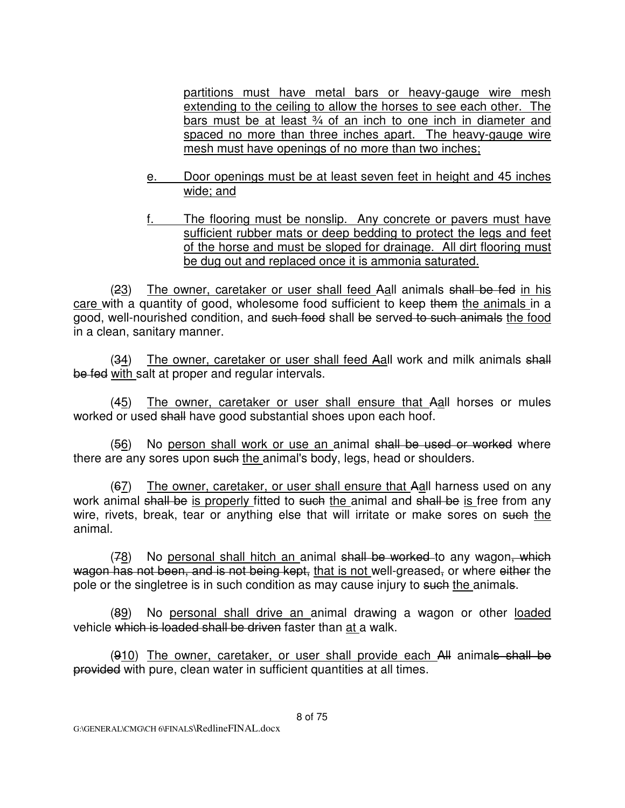partitions must have metal bars or heavy-gauge wire mesh extending to the ceiling to allow the horses to see each other. The bars must be at least 34 of an inch to one inch in diameter and spaced no more than three inches apart. The heavy-gauge wire mesh must have openings of no more than two inches;

- e. Door openings must be at least seven feet in height and 45 inches wide; and
- The flooring must be nonslip. Any concrete or pavers must have sufficient rubber mats or deep bedding to protect the legs and feet of the horse and must be sloped for drainage. All dirt flooring must be dug out and replaced once it is ammonia saturated.

(23) The owner, caretaker or user shall feed Aall animals shall be fed in his care with a quantity of good, wholesome food sufficient to keep them the animals in a good, well-nourished condition, and such food shall be served to such animals the food in a clean, sanitary manner.

(34) The owner, caretaker or user shall feed Aall work and milk animals shall be fed with salt at proper and regular intervals.

(45) The owner, caretaker or user shall ensure that Aall horses or mules worked or used shall have good substantial shoes upon each hoof.

(56) No person shall work or use an animal shall be used or worked where there are any sores upon such the animal's body, legs, head or shoulders.

 (67) The owner, caretaker, or user shall ensure that Aall harness used on any work animal shall be is properly fitted to such the animal and shall be is free from any wire, rivets, break, tear or anything else that will irritate or make sores on such the animal.

(78) No personal shall hitch an animal shall be worked to any wagon, which wagon has not been, and is not being kept, that is not well-greased, or where either the pole or the singletree is in such condition as  $\overline{may}$  cause injury to such the animals.

(89) No personal shall drive an animal drawing a wagon or other loaded vehicle which is loaded shall be driven faster than at a walk.

(910) The owner, caretaker, or user shall provide each All animals shall be provided with pure, clean water in sufficient quantities at all times.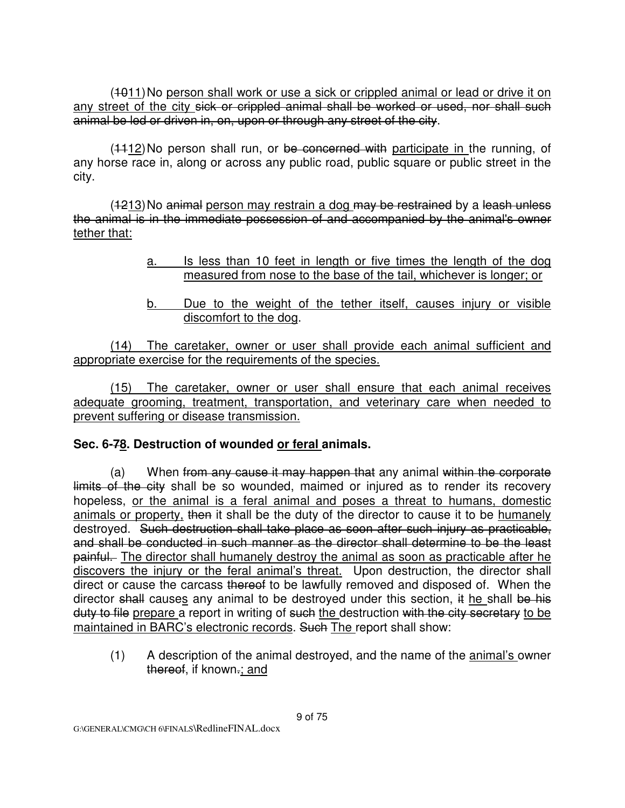(4011) No person shall work or use a sick or crippled animal or lead or drive it on any street of the city sick or crippled animal shall be worked or used, nor shall such animal be led or driven in, on, upon or through any street of the city.

(4412) No person shall run, or be concerned with participate in the running, of any horse race in, along or across any public road, public square or public street in the city.

 (1213) No animal person may restrain a dog may be restrained by a leash unless the animal is in the immediate possession of and accompanied by the animal's owner tether that:

- a. Is less than 10 feet in length or five times the length of the dog measured from nose to the base of the tail, whichever is longer; or
- b. Due to the weight of the tether itself, causes injury or visible discomfort to the dog.

 (14) The caretaker, owner or user shall provide each animal sufficient and appropriate exercise for the requirements of the species.

 (15) The caretaker, owner or user shall ensure that each animal receives adequate grooming, treatment, transportation, and veterinary care when needed to prevent suffering or disease transmission.

### **Sec. 6-78. Destruction of wounded or feral animals.**

(a) When from any cause it may happen that any animal within the corporate limits of the city shall be so wounded, maimed or injured as to render its recovery hopeless, or the animal is a feral animal and poses a threat to humans, domestic animals or property, then it shall be the duty of the director to cause it to be humanely destroyed. Such destruction shall take place as soon after such injury as practicable, and shall be conducted in such manner as the director shall determine to be the least painful. The director shall humanely destroy the animal as soon as practicable after he discovers the injury or the feral animal's threat. Upon destruction, the director shall direct or cause the carcass thereof to be lawfully removed and disposed of. When the director shall causes any animal to be destroyed under this section, it he shall be his duty to file prepare a report in writing of such the destruction with the city secretary to be maintained in BARC's electronic records. Such The report shall show:

 (1) A description of the animal destroyed, and the name of the animal's owner thereof, if known.; and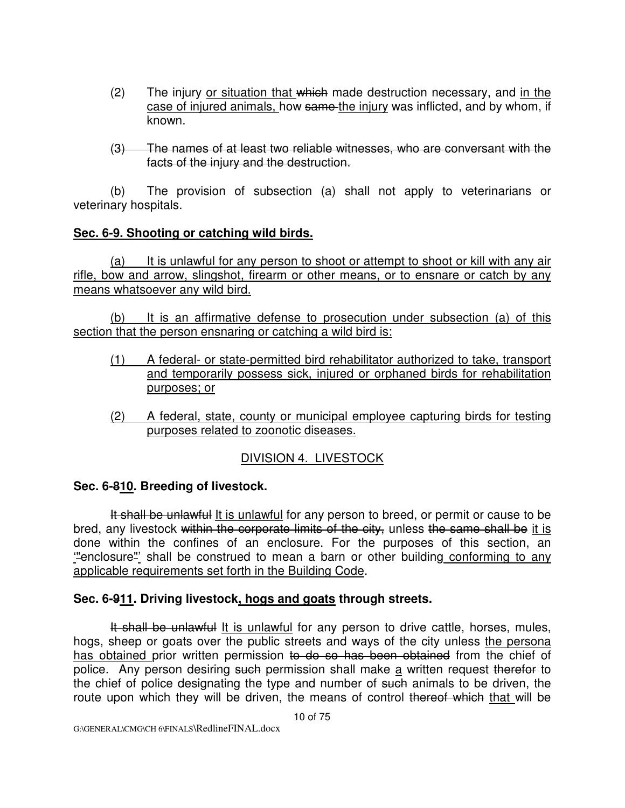- (2) The injury or situation that which made destruction necessary, and in the case of injured animals, how same the injury was inflicted, and by whom, if known.
- (3) The names of at least two reliable witnesses, who are conversant with the facts of the injury and the destruction.

 (b) The provision of subsection (a) shall not apply to veterinarians or veterinary hospitals.

#### **Sec. 6-9. Shooting or catching wild birds.**

 (a) It is unlawful for any person to shoot or attempt to shoot or kill with any air rifle, bow and arrow, slingshot, firearm or other means, or to ensnare or catch by any means whatsoever any wild bird.

 (b) It is an affirmative defense to prosecution under subsection (a) of this section that the person ensnaring or catching a wild bird is:

- (1) A federal- or state-permitted bird rehabilitator authorized to take, transport and temporarily possess sick, injured or orphaned birds for rehabilitation purposes; or
- (2) A federal, state, county or municipal employee capturing birds for testing purposes related to zoonotic diseases.

## DIVISION 4. LIVESTOCK

### **Sec. 6-810. Breeding of livestock.**

It shall be unlawful It is unlawful for any person to breed, or permit or cause to be bred, any livestock within the corporate limits of the city, unless the same shall be it is done within the confines of an enclosure. For the purposes of this section, an '"enclosure"' shall be construed to mean a barn or other building conforming to any applicable requirements set forth in the Building Code.

### **Sec. 6-911. Driving livestock, hogs and goats through streets.**

It shall be unlawful It is unlawful for any person to drive cattle, horses, mules, hogs, sheep or goats over the public streets and ways of the city unless the persona has obtained prior written permission to do so has been obtained from the chief of police. Any person desiring such permission shall make a written request therefor to the chief of police designating the type and number of such animals to be driven, the route upon which they will be driven, the means of control thereof which that will be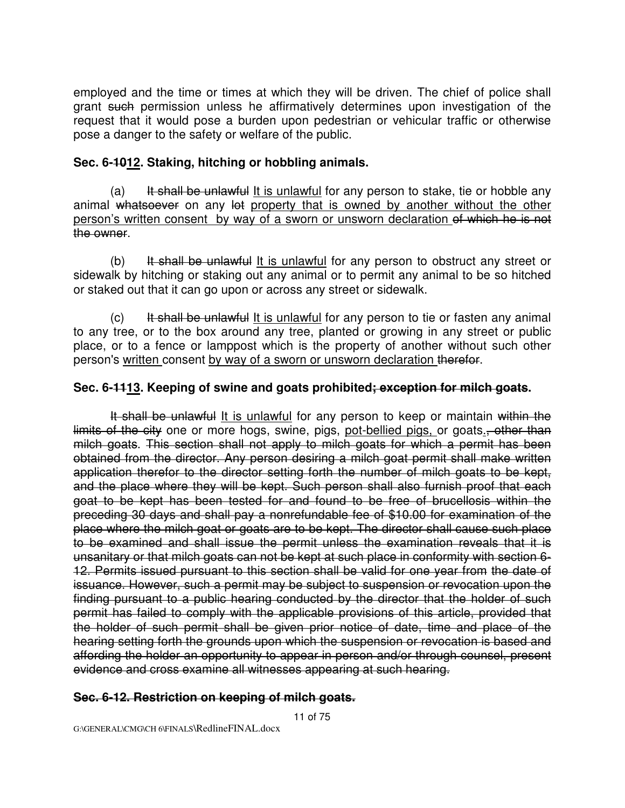employed and the time or times at which they will be driven. The chief of police shall grant such permission unless he affirmatively determines upon investigation of the request that it would pose a burden upon pedestrian or vehicular traffic or otherwise pose a danger to the safety or welfare of the public.

#### **Sec. 6-1012. Staking, hitching or hobbling animals.**

(a) It shall be unlawful It is unlawful for any person to stake, tie or hobble any animal whatsoever on any let property that is owned by another without the other person's written consent by way of a sworn or unsworn declaration of which he is not the owner.

(b) It shall be unlawful It is unlawful for any person to obstruct any street or sidewalk by hitching or staking out any animal or to permit any animal to be so hitched or staked out that it can go upon or across any street or sidewalk.

 $(c)$  It shall be unlawful It is unlawful for any person to tie or fasten any animal to any tree, or to the box around any tree, planted or growing in any street or public place, or to a fence or lamppost which is the property of another without such other person's written consent by way of a sworn or unsworn declaration therefor.

#### **Sec. 6-1113. Keeping of swine and goats prohibited; exception for milch goats.**

It shall be unlawful It is unlawful for any person to keep or maintain within the limits of the city one or more hogs, swine, pigs, pot-bellied pigs, or goats., other than milch goats. This section shall not apply to milch goats for which a permit has been obtained from the director. Any person desiring a milch goat permit shall make written application therefor to the director setting forth the number of milch goats to be kept, and the place where they will be kept. Such person shall also furnish proof that each goat to be kept has been tested for and found to be free of brucellosis within the preceding 30 days and shall pay a nonrefundable fee of \$10.00 for examination of the place where the milch goat or goats are to be kept. The director shall cause such place to be examined and shall issue the permit unless the examination reveals that it is unsanitary or that milch goats can not be kept at such place in conformity with section 6- 12. Permits issued pursuant to this section shall be valid for one year from the date of issuance. However, such a permit may be subject to suspension or revocation upon the finding pursuant to a public hearing conducted by the director that the holder of such permit has failed to comply with the applicable provisions of this article, provided that the holder of such permit shall be given prior notice of date, time and place of the hearing setting forth the grounds upon which the suspension or revocation is based and affording the holder an opportunity to appear in person and/or through counsel, present evidence and cross examine all witnesses appearing at such hearing.

#### **Sec. 6-12. Restriction on keeping of milch goats.**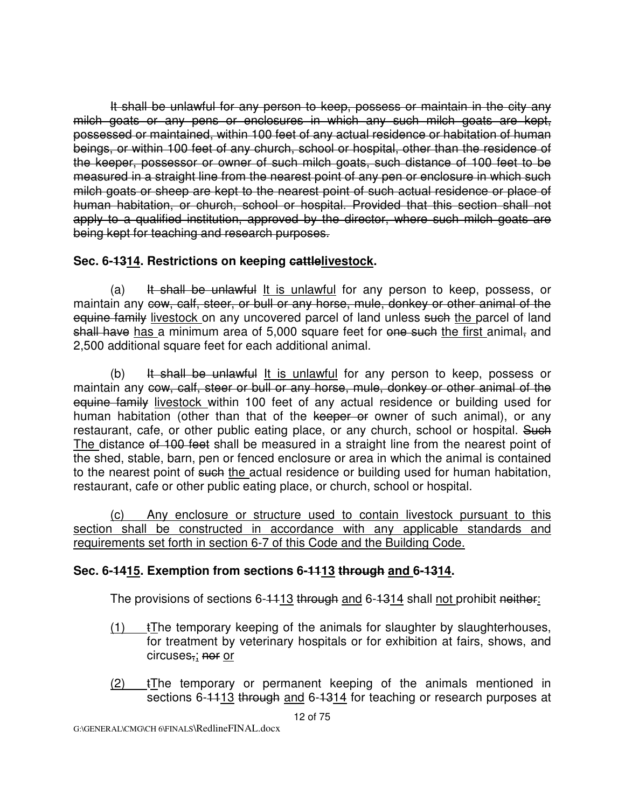It shall be unlawful for any person to keep, possess or maintain in the city any milch goats or any pens or enclosures in which any such milch goats are kept, possessed or maintained, within 100 feet of any actual residence or habitation of human beings, or within 100 feet of any church, school or hospital, other than the residence of the keeper, possessor or owner of such milch goats, such distance of 100 feet to be measured in a straight line from the nearest point of any pen or enclosure in which such milch goats or sheep are kept to the nearest point of such actual residence or place of human habitation, or church, school or hospital. Provided that this section shall not apply to a qualified institution, approved by the director, where such milch goats are being kept for teaching and research purposes.

## **Sec. 6-1314. Restrictions on keeping cattlelivestock.**

(a) It shall be unlawful It is unlawful for any person to keep, possess, or maintain any cow, calf, steer, or bull or any horse, mule, donkey or other animal of the equine family livestock on any uncovered parcel of land unless such the parcel of land shall have has a minimum area of 5,000 square feet for one such the first animal, and 2,500 additional square feet for each additional animal.

(b) It shall be unlawful It is unlawful for any person to keep, possess or maintain any cow, calf, steer or bull or any horse, mule, donkey or other animal of the equine family livestock within 100 feet of any actual residence or building used for human habitation (other than that of the keeper or owner of such animal), or any restaurant, cafe, or other public eating place, or any church, school or hospital. Such The distance of 100 feet shall be measured in a straight line from the nearest point of the shed, stable, barn, pen or fenced enclosure or area in which the animal is contained to the nearest point of such the actual residence or building used for human habitation, restaurant, cafe or other public eating place, or church, school or hospital.

 (c) Any enclosure or structure used to contain livestock pursuant to this section shall be constructed in accordance with any applicable standards and requirements set forth in section 6-7 of this Code and the Building Code.

### **Sec. 6-1415. Exemption from sections 6-1113 through and 6-1314.**

The provisions of sections 6-1113 through and 6-1314 shall not prohibit neither:

- $(1)$  tThe temporary keeping of the animals for slaughter by slaughterhouses, for treatment by veterinary hospitals or for exhibition at fairs, shows, and circuses,; nor or
- $(2)$  tThe temporary or permanent keeping of the animals mentioned in sections 6-1113 through and 6-1314 for teaching or research purposes at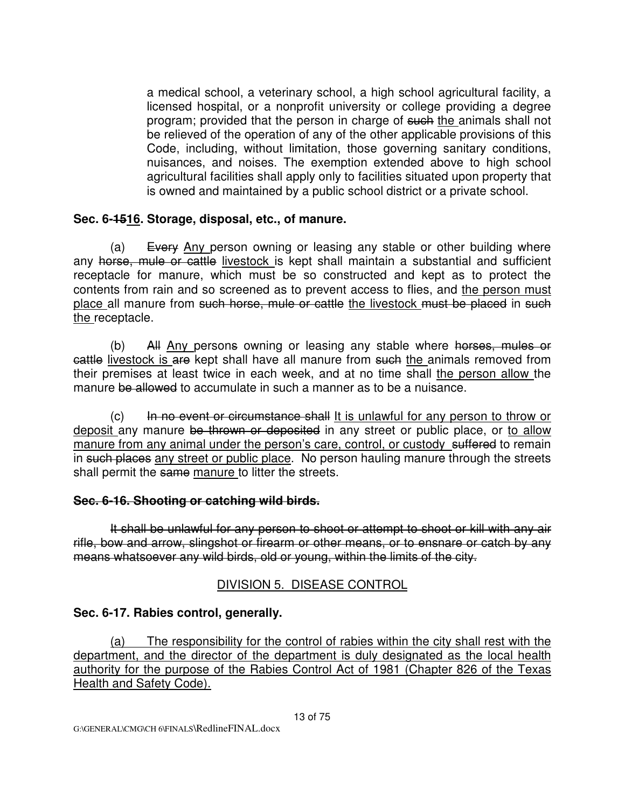a medical school, a veterinary school, a high school agricultural facility, a licensed hospital, or a nonprofit university or college providing a degree program; provided that the person in charge of such the animals shall not be relieved of the operation of any of the other applicable provisions of this Code, including, without limitation, those governing sanitary conditions, nuisances, and noises. The exemption extended above to high school agricultural facilities shall apply only to facilities situated upon property that is owned and maintained by a public school district or a private school.

#### **Sec. 6-1516. Storage, disposal, etc., of manure.**

(a) Every Any person owning or leasing any stable or other building where any horse, mule or cattle livestock is kept shall maintain a substantial and sufficient receptacle for manure, which must be so constructed and kept as to protect the contents from rain and so screened as to prevent access to flies, and the person must place all manure from such horse, mule or cattle the livestock must be placed in such the receptacle.

 (b) All Any persons owning or leasing any stable where horses, mules or cattle livestock is are kept shall have all manure from such the animals removed from their premises at least twice in each week, and at no time shall the person allow the manure be allowed to accumulate in such a manner as to be a nuisance.

(c) In no event or circumstance shall It is unlawful for any person to throw or deposit any manure be thrown or deposited in any street or public place, or to allow manure from any animal under the person's care, control, or custody suffered to remain in such places any street or public place. No person hauling manure through the streets shall permit the same manure to litter the streets.

#### **Sec. 6-16. Shooting or catching wild birds.**

 It shall be unlawful for any person to shoot or attempt to shoot or kill with any air rifle, bow and arrow, slingshot or firearm or other means, or to ensnare or catch by any means whatsoever any wild birds, old or young, within the limits of the city.

### DIVISION 5. DISEASE CONTROL

### **Sec. 6-17. Rabies control, generally.**

 (a) The responsibility for the control of rabies within the city shall rest with the department, and the director of the department is duly designated as the local health authority for the purpose of the Rabies Control Act of 1981 (Chapter 826 of the Texas Health and Safety Code).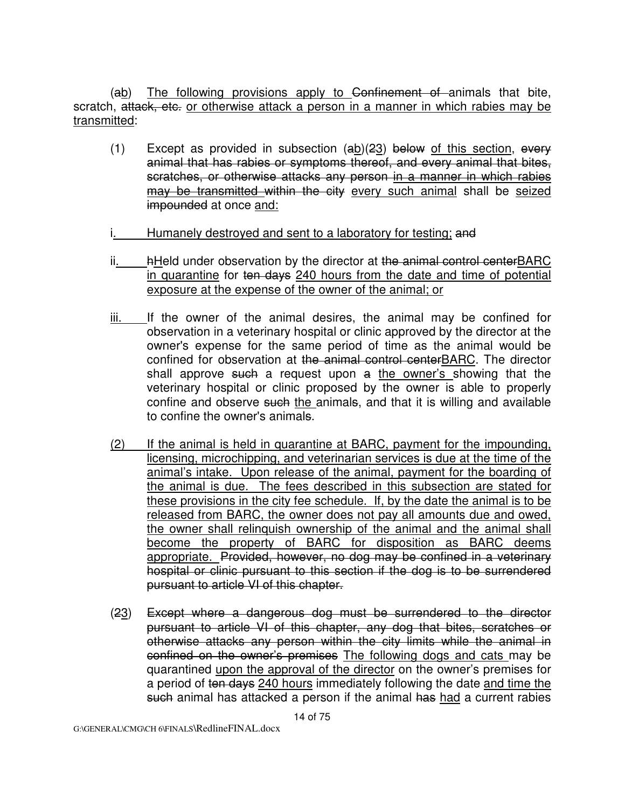(ab) The following provisions apply to Confinement of animals that bite, scratch, attack, etc. or otherwise attack a person in a manner in which rabies may be transmitted:

- (1) Except as provided in subsection  $(a\underline{b})(2\underline{3})$  below of this section, every animal that has rabies or symptoms thereof, and every animal that bites, scratches, or otherwise attacks any person in a manner in which rabies may be transmitted within the city every such animal shall be seized impounded at once and:
- Humanely destroyed and sent to a laboratory for testing; and
- ii. hHeld under observation by the director at the animal control centerBARC in quarantine for ten days 240 hours from the date and time of potential exposure at the expense of the owner of the animal; or
- iii. If the owner of the animal desires, the animal may be confined for observation in a veterinary hospital or clinic approved by the director at the owner's expense for the same period of time as the animal would be confined for observation at the animal control centerBARC. The director shall approve such a request upon a the owner's showing that the veterinary hospital or clinic proposed by the owner is able to properly confine and observe such the animals, and that it is willing and available to confine the owner's animals.
- (2) If the animal is held in quarantine at BARC, payment for the impounding, licensing, microchipping, and veterinarian services is due at the time of the animal's intake. Upon release of the animal, payment for the boarding of the animal is due. The fees described in this subsection are stated for these provisions in the city fee schedule. If, by the date the animal is to be released from BARC, the owner does not pay all amounts due and owed, the owner shall relinquish ownership of the animal and the animal shall become the property of BARC for disposition as BARC deems appropriate. Provided, however, no dog may be confined in a veterinary hospital or clinic pursuant to this section if the dog is to be surrendered pursuant to article VI of this chapter.
- (23) Except where a dangerous dog must be surrendered to the director pursuant to article VI of this chapter, any dog that bites, scratches or otherwise attacks any person within the city limits while the animal in confined on the owner's premises The following dogs and cats may be quarantined upon the approval of the director on the owner's premises for a period of ten days 240 hours immediately following the date and time the such animal has attacked a person if the animal has had a current rabies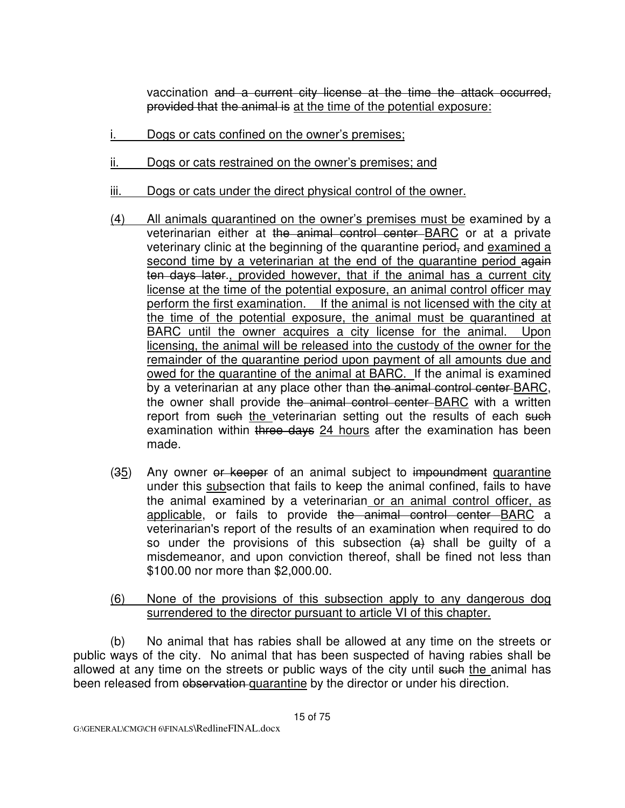vaccination and a current city license at the time the attack occurred, provided that the animal is at the time of the potential exposure:

- i. Dogs or cats confined on the owner's premises;
- ii. Dogs or cats restrained on the owner's premises; and
- iii. Dogs or cats under the direct physical control of the owner.
- (4) All animals quarantined on the owner's premises must be examined by a veterinarian either at the animal control center BARC or at a private veterinary clinic at the beginning of the quarantine period, and examined a second time by a veterinarian at the end of the quarantine period again ten days later., provided however, that if the animal has a current city license at the time of the potential exposure, an animal control officer may perform the first examination. If the animal is not licensed with the city at the time of the potential exposure, the animal must be quarantined at BARC until the owner acquires a city license for the animal. Upon licensing, the animal will be released into the custody of the owner for the remainder of the quarantine period upon payment of all amounts due and owed for the quarantine of the animal at BARC. If the animal is examined by a veterinarian at any place other than the animal control center-BARC, the owner shall provide the animal control center BARC with a written report from such the veterinarian setting out the results of each such examination within three days 24 hours after the examination has been made.
- (35) Any owner or keeper of an animal subject to impoundment quarantine under this subsection that fails to keep the animal confined, fails to have the animal examined by a veterinarian or an animal control officer, as applicable, or fails to provide the animal control center BARC a veterinarian's report of the results of an examination when required to do so under the provisions of this subsection  $(a)$  shall be quilty of a misdemeanor, and upon conviction thereof, shall be fined not less than \$100.00 nor more than \$2,000.00.
- (6) None of the provisions of this subsection apply to any dangerous dog surrendered to the director pursuant to article VI of this chapter.

 (b) No animal that has rabies shall be allowed at any time on the streets or public ways of the city. No animal that has been suspected of having rabies shall be allowed at any time on the streets or public ways of the city until such the animal has been released from observation quarantine by the director or under his direction.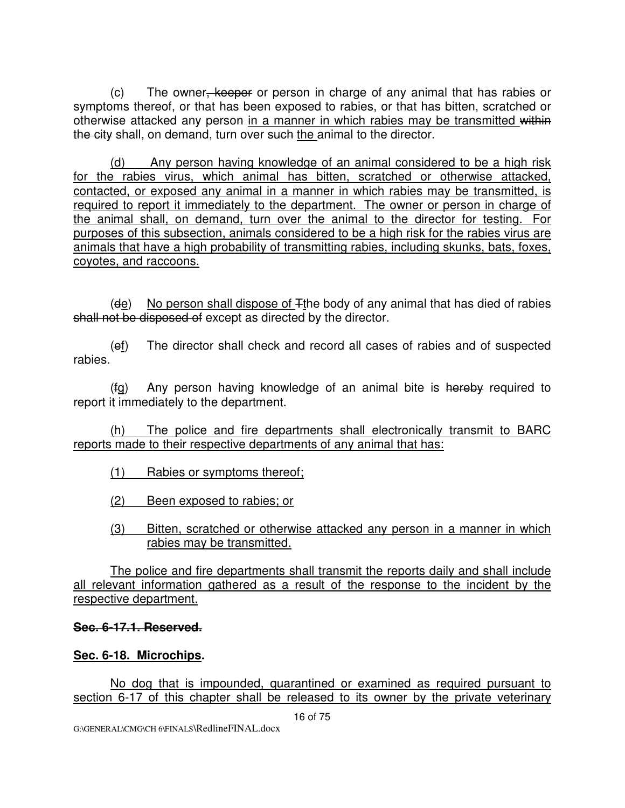(c) The owner, keeper or person in charge of any animal that has rabies or symptoms thereof, or that has been exposed to rabies, or that has bitten, scratched or otherwise attacked any person in a manner in which rabies may be transmitted within the city shall, on demand, turn over such the animal to the director.

 (d) Any person having knowledge of an animal considered to be a high risk for the rabies virus, which animal has bitten, scratched or otherwise attacked, contacted, or exposed any animal in a manner in which rabies may be transmitted, is required to report it immediately to the department. The owner or person in charge of the animal shall, on demand, turn over the animal to the director for testing. For purposes of this subsection, animals considered to be a high risk for the rabies virus are animals that have a high probability of transmitting rabies, including skunks, bats, foxes, coyotes, and raccoons.

 $(de)$  No person shall dispose of  $\mp$ the body of any animal that has died of rabies shall not be disposed of except as directed by the director.

 (ef) The director shall check and record all cases of rabies and of suspected rabies.

 (fg) Any person having knowledge of an animal bite is hereby required to report it immediately to the department.

 (h) The police and fire departments shall electronically transmit to BARC reports made to their respective departments of any animal that has:

(1) Rabies or symptoms thereof;

(2) Been exposed to rabies; or

 (3) Bitten, scratched or otherwise attacked any person in a manner in which rabies may be transmitted.

 The police and fire departments shall transmit the reports daily and shall include all relevant information gathered as a result of the response to the incident by the respective department.

#### **Sec. 6-17.1. Reserved.**

### **Sec. 6-18. Microchips.**

 No dog that is impounded, quarantined or examined as required pursuant to section 6-17 of this chapter shall be released to its owner by the private veterinary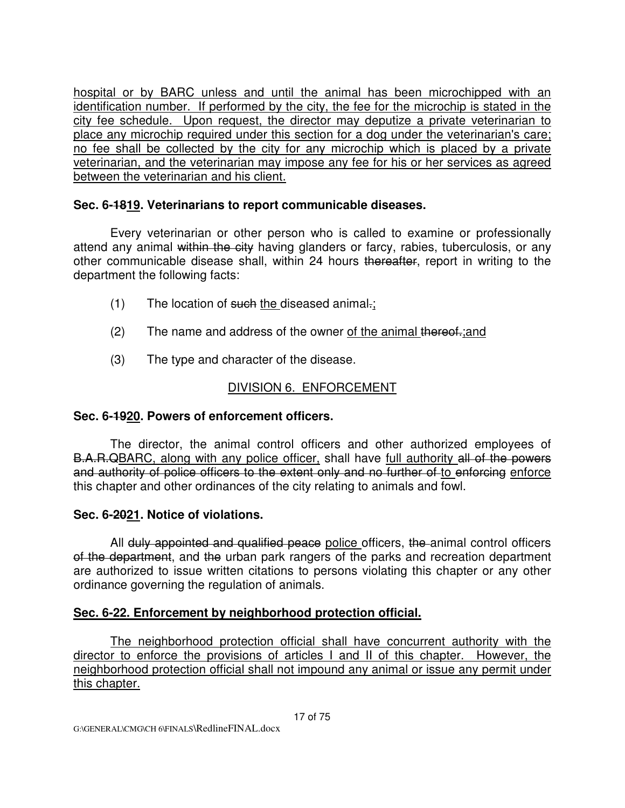hospital or by BARC unless and until the animal has been microchipped with an identification number. If performed by the city, the fee for the microchip is stated in the city fee schedule. Upon request, the director may deputize a private veterinarian to place any microchip required under this section for a dog under the veterinarian's care; no fee shall be collected by the city for any microchip which is placed by a private veterinarian, and the veterinarian may impose any fee for his or her services as agreed between the veterinarian and his client.

### **Sec. 6-1819. Veterinarians to report communicable diseases.**

 Every veterinarian or other person who is called to examine or professionally attend any animal within the city having glanders or farcy, rabies, tuberculosis, or any other communicable disease shall, within 24 hours thereafter, report in writing to the department the following facts:

- $(1)$  The location of such the diseased animal.;
- $(2)$  The name and address of the owner of the animal thereof.; and
- (3) The type and character of the disease.

# DIVISION 6. ENFORCEMENT

## **Sec. 6-1920. Powers of enforcement officers.**

The director, the animal control officers and other authorized employees of B.A.R.QBARC, along with any police officer, shall have full authority all of the powers and authority of police officers to the extent only and no further of to enforcing enforce this chapter and other ordinances of the city relating to animals and fowl.

### **Sec. 6-2021. Notice of violations.**

All duly appointed and qualified peace police officers, the animal control officers of the department, and the urban park rangers of the parks and recreation department are authorized to issue written citations to persons violating this chapter or any other ordinance governing the regulation of animals.

## **Sec. 6-22. Enforcement by neighborhood protection official.**

The neighborhood protection official shall have concurrent authority with the director to enforce the provisions of articles I and II of this chapter. However, the neighborhood protection official shall not impound any animal or issue any permit under this chapter.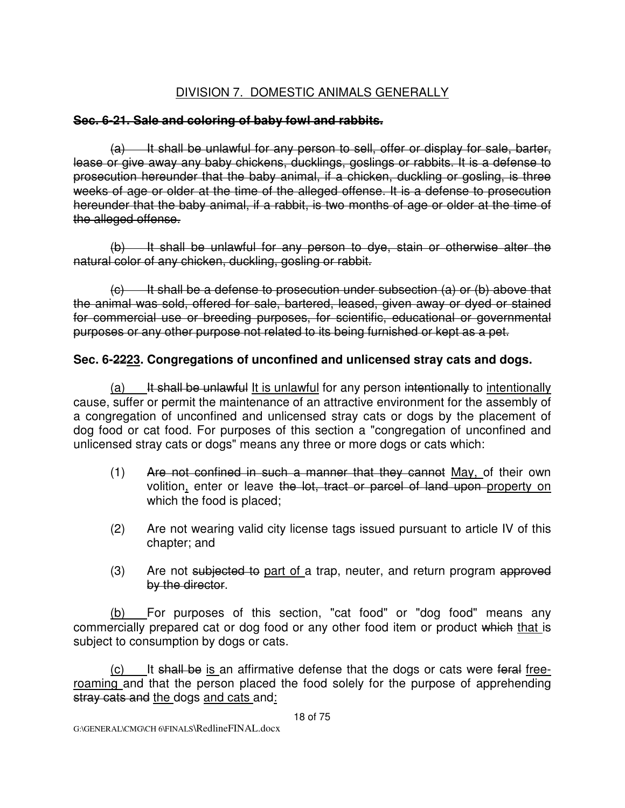# DIVISION 7. DOMESTIC ANIMALS GENERALLY

### **Sec. 6-21. Sale and coloring of baby fowl and rabbits.**

 $(a)$  It shall be unlawful for any person to sell, offer or display for sale, barter, lease or give away any baby chickens, ducklings, goslings or rabbits. It is a defense to prosecution hereunder that the baby animal, if a chicken, duckling or gosling, is three weeks of age or older at the time of the alleged offense. It is a defense to prosecution hereunder that the baby animal, if a rabbit, is two months of age or older at the time of the alleged offense.

 (b) It shall be unlawful for any person to dye, stain or otherwise alter the natural color of any chicken, duckling, gosling or rabbit.

 $\left( \epsilon \right)$  It shall be a defense to prosecution under subsection (a) or (b) above that the animal was sold, offered for sale, bartered, leased, given away or dyed or stained for commercial use or breeding purposes, for scientific, educational or governmental purposes or any other purpose not related to its being furnished or kept as a pet.

### **Sec. 6-2223. Congregations of unconfined and unlicensed stray cats and dogs.**

(a) It shall be unlawful It is unlawful for any person intentionally to intentionally cause, suffer or permit the maintenance of an attractive environment for the assembly of a congregation of unconfined and unlicensed stray cats or dogs by the placement of dog food or cat food. For purposes of this section a "congregation of unconfined and unlicensed stray cats or dogs" means any three or more dogs or cats which:

- (1) Are not confined in such a manner that they cannot May, of their own volition, enter or leave the lot, tract or parcel of land upon property on which the food is placed;
- (2) Are not wearing valid city license tags issued pursuant to article IV of this chapter; and
- (3) Are not subjected to part of a trap, neuter, and return program approved by the director.

 (b) For purposes of this section, "cat food" or "dog food" means any commercially prepared cat or dog food or any other food item or product which that is subject to consumption by dogs or cats.

 $(c)$  It shall be is an affirmative defense that the dogs or cats were feral freeroaming and that the person placed the food solely for the purpose of apprehending stray cats and the dogs and cats and: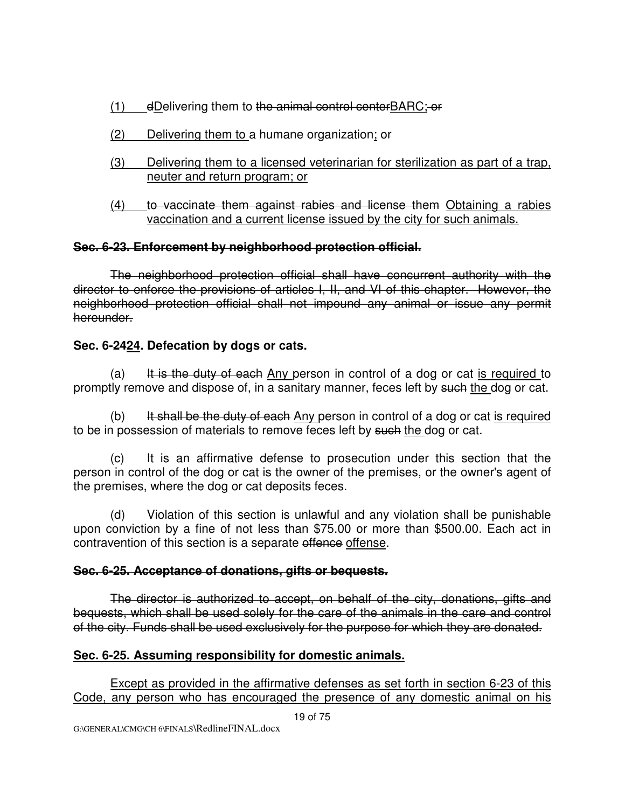- (1) dDelivering them to the animal control centerBARC; or
- $(2)$  Delivering them to a humane organization;  $\theta f$
- (3) Delivering them to a licensed veterinarian for sterilization as part of a trap, neuter and return program; or
- (4) to vaccinate them against rabies and license them Obtaining a rabies vaccination and a current license issued by the city for such animals.

## **Sec. 6-23. Enforcement by neighborhood protection official.**

The neighborhood protection official shall have concurrent authority with the director to enforce the provisions of articles I, II, and VI of this chapter. However, the neighborhood protection official shall not impound any animal or issue any permit hereunder.

## **Sec. 6-2424. Defecation by dogs or cats.**

(a) It is the duty of each Any person in control of a dog or cat is required to promptly remove and dispose of, in a sanitary manner, feces left by such the dog or cat.

(b) It shall be the duty of each Any person in control of a dog or cat is required to be in possession of materials to remove feces left by such the dog or cat.

 (c) It is an affirmative defense to prosecution under this section that the person in control of the dog or cat is the owner of the premises, or the owner's agent of the premises, where the dog or cat deposits feces.

 (d) Violation of this section is unlawful and any violation shall be punishable upon conviction by a fine of not less than \$75.00 or more than \$500.00. Each act in contravention of this section is a separate offence offense.

### **Sec. 6-25. Acceptance of donations, gifts or bequests.**

The director is authorized to accept, on behalf of the city, donations, gifts and bequests, which shall be used solely for the care of the animals in the care and control of the city. Funds shall be used exclusively for the purpose for which they are donated.

## **Sec. 6-25. Assuming responsibility for domestic animals.**

Except as provided in the affirmative defenses as set forth in section 6-23 of this Code, any person who has encouraged the presence of any domestic animal on his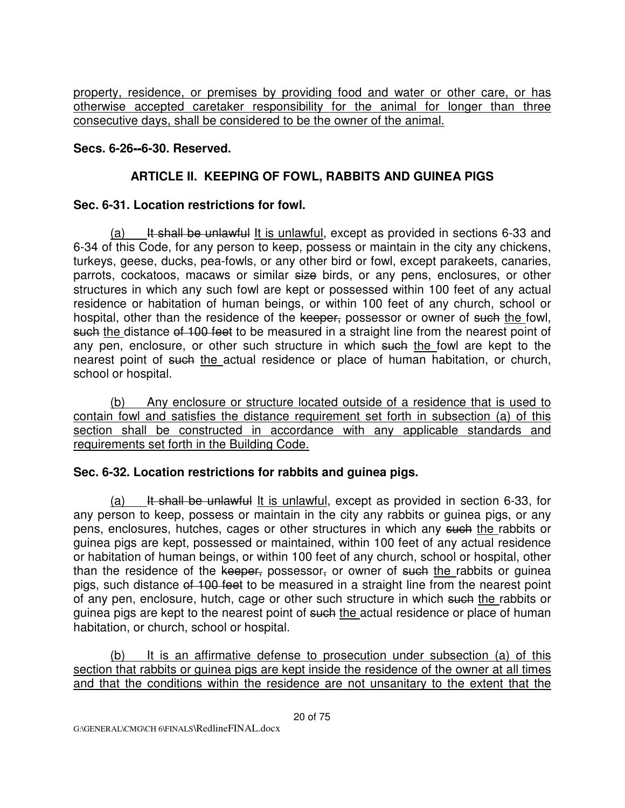property, residence, or premises by providing food and water or other care, or has otherwise accepted caretaker responsibility for the animal for longer than three consecutive days, shall be considered to be the owner of the animal.

#### **Secs. 6-26--6-30. Reserved.**

### **ARTICLE II. KEEPING OF FOWL, RABBITS AND GUINEA PIGS**

#### **Sec. 6-31. Location restrictions for fowl.**

(a) It shall be unlawful It is unlawful, except as provided in sections  $6-33$  and 6-34 of this Code, for any person to keep, possess or maintain in the city any chickens, turkeys, geese, ducks, pea-fowls, or any other bird or fowl, except parakeets, canaries, parrots, cockatoos, macaws or similar size birds, or any pens, enclosures, or other structures in which any such fowl are kept or possessed within 100 feet of any actual residence or habitation of human beings, or within 100 feet of any church, school or hospital, other than the residence of the keeper, possessor or owner of such the fowl, such the distance of 100 feet to be measured in a straight line from the nearest point of any pen, enclosure, or other such structure in which such the fowl are kept to the nearest point of such the actual residence or place of human habitation, or church, school or hospital.

 (b) Any enclosure or structure located outside of a residence that is used to contain fowl and satisfies the distance requirement set forth in subsection (a) of this section shall be constructed in accordance with any applicable standards and requirements set forth in the Building Code.

#### **Sec. 6-32. Location restrictions for rabbits and guinea pigs.**

 $(a)$  It shall be unlawful It is unlawful, except as provided in section 6-33, for any person to keep, possess or maintain in the city any rabbits or guinea pigs, or any pens, enclosures, hutches, cages or other structures in which any such the rabbits or guinea pigs are kept, possessed or maintained, within 100 feet of any actual residence or habitation of human beings, or within 100 feet of any church, school or hospital, other than the residence of the keeper, possessor, or owner of such the rabbits or guinea pigs, such distance of 100 feet to be measured in a straight line from the nearest point of any pen, enclosure, hutch, cage or other such structure in which such the rabbits or guinea pigs are kept to the nearest point of such the actual residence or place of human habitation, or church, school or hospital.

 (b) It is an affirmative defense to prosecution under subsection (a) of this section that rabbits or guinea pigs are kept inside the residence of the owner at all times and that the conditions within the residence are not unsanitary to the extent that the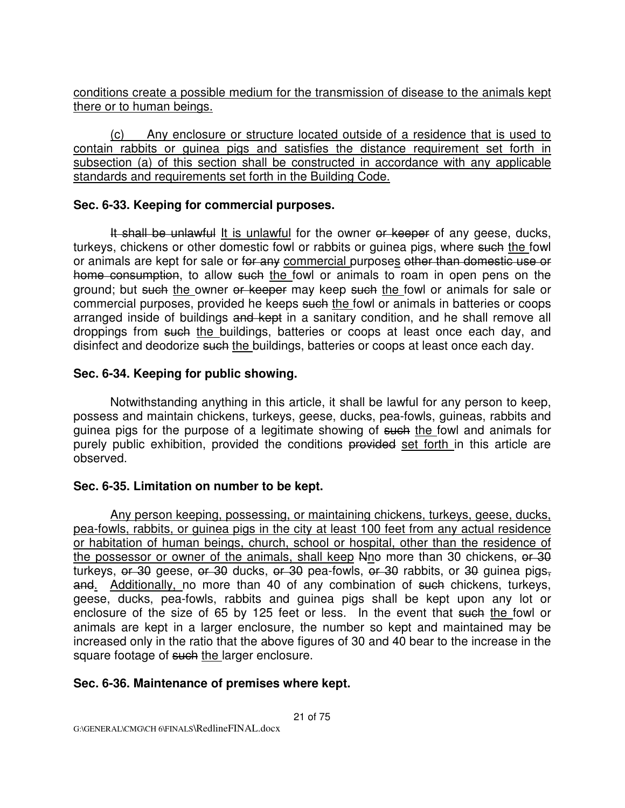conditions create a possible medium for the transmission of disease to the animals kept there or to human beings.

 (c) Any enclosure or structure located outside of a residence that is used to contain rabbits or guinea pigs and satisfies the distance requirement set forth in subsection (a) of this section shall be constructed in accordance with any applicable standards and requirements set forth in the Building Code.

#### **Sec. 6-33. Keeping for commercial purposes.**

It shall be unlawful It is unlawful for the owner or keeper of any geese, ducks, turkeys, chickens or other domestic fowl or rabbits or guinea pigs, where such the fowl or animals are kept for sale or for any commercial purposes other than domestic use or home consumption, to allow such the fowl or animals to roam in open pens on the ground; but such the owner or keeper may keep such the fowl or animals for sale or commercial purposes, provided he keeps such the fowl or animals in batteries or coops arranged inside of buildings and kept in a sanitary condition, and he shall remove all droppings from such the buildings, batteries or coops at least once each day, and disinfect and deodorize such the buildings, batteries or coops at least once each day.

### **Sec. 6-34. Keeping for public showing.**

 Notwithstanding anything in this article, it shall be lawful for any person to keep, possess and maintain chickens, turkeys, geese, ducks, pea-fowls, guineas, rabbits and guinea pigs for the purpose of a legitimate showing of such the fowl and animals for purely public exhibition, provided the conditions provided set forth in this article are observed.

### **Sec. 6-35. Limitation on number to be kept.**

Any person keeping, possessing, or maintaining chickens, turkeys, geese, ducks, pea-fowls, rabbits, or guinea pigs in the city at least 100 feet from any actual residence or habitation of human beings, church, school or hospital, other than the residence of the possessor or owner of the animals, shall keep Nno more than 30 chickens, or 30 turkeys, or 30 geese, or 30 ducks, or 30 pea-fowls, or 30 rabbits, or 30 guinea pigs, and. Additionally, no more than 40 of any combination of such chickens, turkeys, geese, ducks, pea-fowls, rabbits and guinea pigs shall be kept upon any lot or enclosure of the size of 65 by 125 feet or less. In the event that such the fowl or animals are kept in a larger enclosure, the number so kept and maintained may be increased only in the ratio that the above figures of 30 and 40 bear to the increase in the square footage of such the larger enclosure.

### **Sec. 6-36. Maintenance of premises where kept.**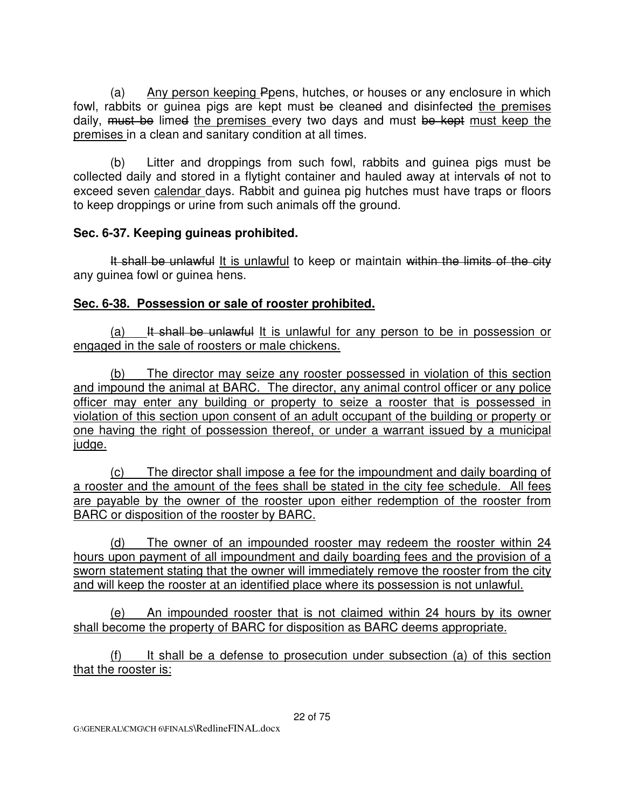(a) Any person keeping Ppens, hutches, or houses or any enclosure in which fowl, rabbits or guinea pigs are kept must be cleaned and disinfected the premises daily, must be limed the premises every two days and must be kept must keep the premises in a clean and sanitary condition at all times.

 (b) Litter and droppings from such fowl, rabbits and guinea pigs must be collected daily and stored in a flytight container and hauled away at intervals of not to exceed seven calendar days. Rabbit and guinea pig hutches must have traps or floors to keep droppings or urine from such animals off the ground.

### **Sec. 6-37. Keeping guineas prohibited.**

It shall be unlawful It is unlawful to keep or maintain within the limits of the city any guinea fowl or guinea hens.

### **Sec. 6-38. Possession or sale of rooster prohibited.**

(a) It shall be unlawful It is unlawful for any person to be in possession or engaged in the sale of roosters or male chickens.

 (b) The director may seize any rooster possessed in violation of this section and impound the animal at BARC. The director, any animal control officer or any police officer may enter any building or property to seize a rooster that is possessed in violation of this section upon consent of an adult occupant of the building or property or one having the right of possession thereof, or under a warrant issued by a municipal judge.

 (c) The director shall impose a fee for the impoundment and daily boarding of a rooster and the amount of the fees shall be stated in the city fee schedule. All fees are payable by the owner of the rooster upon either redemption of the rooster from BARC or disposition of the rooster by BARC.

 (d) The owner of an impounded rooster may redeem the rooster within 24 hours upon payment of all impoundment and daily boarding fees and the provision of a sworn statement stating that the owner will immediately remove the rooster from the city and will keep the rooster at an identified place where its possession is not unlawful.

 (e) An impounded rooster that is not claimed within 24 hours by its owner shall become the property of BARC for disposition as BARC deems appropriate.

 (f) It shall be a defense to prosecution under subsection (a) of this section that the rooster is: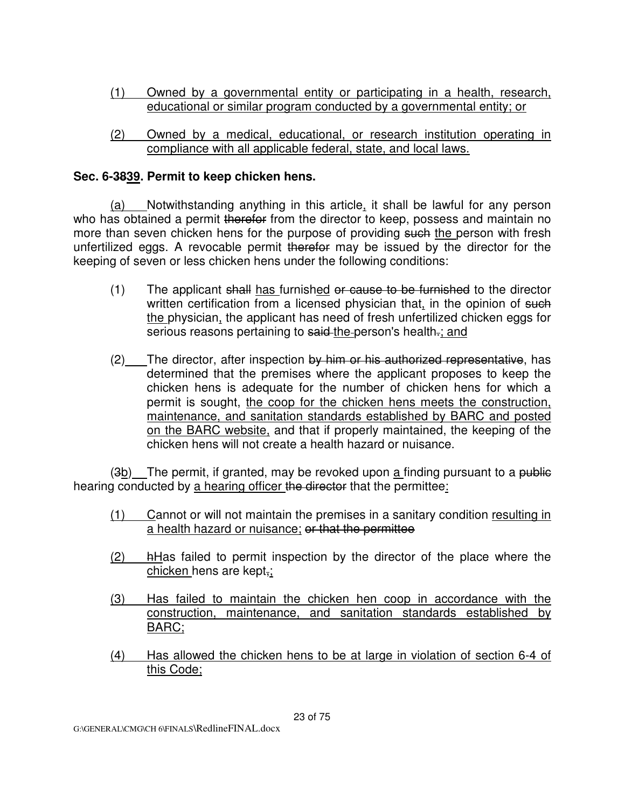- (1) Owned by a governmental entity or participating in a health, research, educational or similar program conducted by a governmental entity; or
- (2) Owned by a medical, educational, or research institution operating in compliance with all applicable federal, state, and local laws.

## **Sec. 6-3839. Permit to keep chicken hens.**

 (a) Notwithstanding anything in this article, it shall be lawful for any person who has obtained a permit therefor from the director to keep, possess and maintain no more than seven chicken hens for the purpose of providing such the person with fresh unfertilized eggs. A revocable permit therefor may be issued by the director for the keeping of seven or less chicken hens under the following conditions:

- $(1)$  The applicant shall has furnished or cause to be furnished to the director written certification from a licensed physician that, in the opinion of such the physician, the applicant has need of fresh unfertilized chicken eggs for serious reasons pertaining to said the person's health-; and
- (2) The director, after inspection by him or his authorized representative, has determined that the premises where the applicant proposes to keep the chicken hens is adequate for the number of chicken hens for which a permit is sought, the coop for the chicken hens meets the construction, maintenance, and sanitation standards established by BARC and posted on the BARC website, and that if properly maintained, the keeping of the chicken hens will not create a health hazard or nuisance.

(3b) The permit, if granted, may be revoked upon a finding pursuant to a public hearing conducted by a hearing officer the director that the permittee:

- (1) Cannot or will not maintain the premises in a sanitary condition resulting in a health hazard or nuisance; or that the permittee
- (2) hHas failed to permit inspection by the director of the place where the chicken hens are kept,;
- (3) Has failed to maintain the chicken hen coop in accordance with the construction, maintenance, and sanitation standards established by BARC;
- (4) Has allowed the chicken hens to be at large in violation of section 6-4 of this Code;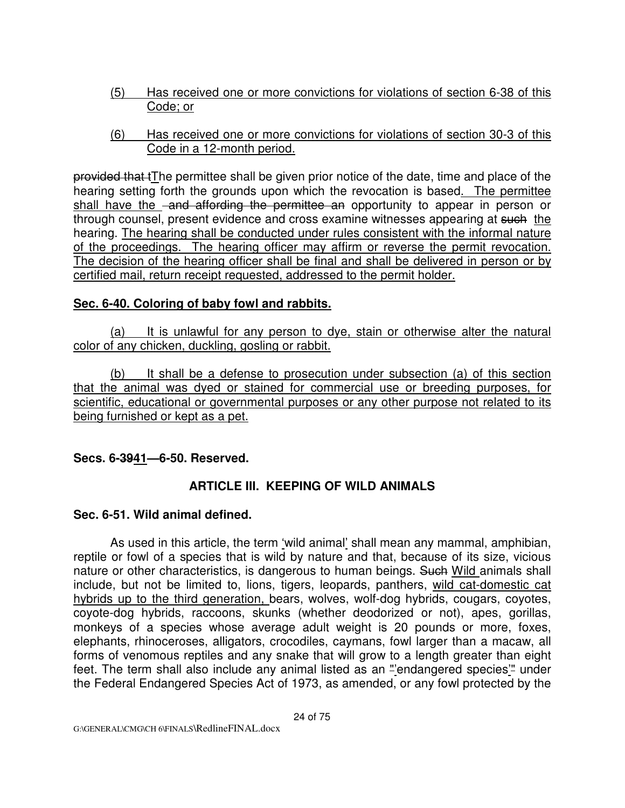- (5) Has received one or more convictions for violations of section 6-38 of this Code; or
- (6) Has received one or more convictions for violations of section 30-3 of this Code in a 12-month period.

provided that tThe permittee shall be given prior notice of the date, time and place of the hearing setting forth the grounds upon which the revocation is based. The permittee shall have the -and affording the permittee an opportunity to appear in person or through counsel, present evidence and cross examine witnesses appearing at such the hearing. The hearing shall be conducted under rules consistent with the informal nature of the proceedings. The hearing officer may affirm or reverse the permit revocation. The decision of the hearing officer shall be final and shall be delivered in person or by certified mail, return receipt requested, addressed to the permit holder.

### **Sec. 6-40. Coloring of baby fowl and rabbits.**

 (a) It is unlawful for any person to dye, stain or otherwise alter the natural color of any chicken, duckling, gosling or rabbit.

 (b) It shall be a defense to prosecution under subsection (a) of this section that the animal was dyed or stained for commercial use or breeding purposes, for scientific, educational or governmental purposes or any other purpose not related to its being furnished or kept as a pet.

**Secs. 6-3941—6-50. Reserved.**

### **ARTICLE III. KEEPING OF WILD ANIMALS**

#### **Sec. 6-51. Wild animal defined.**

As used in this article, the term 'wild animal' shall mean any mammal, amphibian, reptile or fowl of a species that is wild by nature and that, because of its size, vicious nature or other characteristics, is dangerous to human beings. Such Wild animals shall include, but not be limited to, lions, tigers, leopards, panthers, wild cat-domestic cat hybrids up to the third generation, bears, wolves, wolf-dog hybrids, cougars, coyotes, coyote-dog hybrids, raccoons, skunks (whether deodorized or not), apes, gorillas, monkeys of a species whose average adult weight is 20 pounds or more, foxes, elephants, rhinoceroses, alligators, crocodiles, caymans, fowl larger than a macaw, all forms of venomous reptiles and any snake that will grow to a length greater than eight feet. The term shall also include any animal listed as an "'endangered species'" under the Federal Endangered Species Act of 1973, as amended, or any fowl protected by the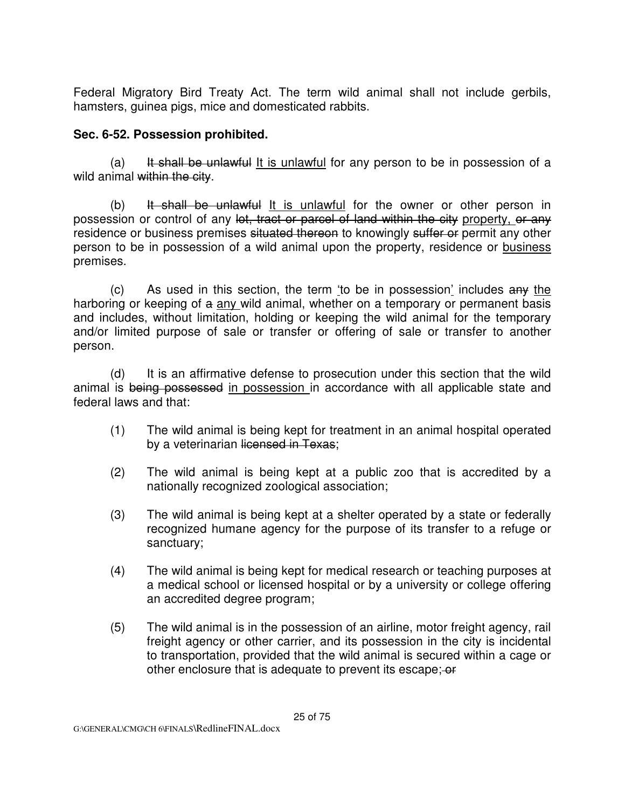Federal Migratory Bird Treaty Act. The term wild animal shall not include gerbils, hamsters, guinea pigs, mice and domesticated rabbits.

#### **Sec. 6-52. Possession prohibited.**

(a) It shall be unlawful It is unlawful for any person to be in possession of a wild animal within the city.

 $(b)$  It shall be unlawful It is unlawful for the owner or other person in possession or control of any let, tract or parcel of land within the city property, or any residence or business premises situated thereon to knowingly suffer or permit any other person to be in possession of a wild animal upon the property, residence or business premises.

(c) As used in this section, the term 'to be in possession' includes any the harboring or keeping of a any wild animal, whether on a temporary or permanent basis and includes, without limitation, holding or keeping the wild animal for the temporary and/or limited purpose of sale or transfer or offering of sale or transfer to another person.

(d) It is an affirmative defense to prosecution under this section that the wild animal is being possessed in possession in accordance with all applicable state and federal laws and that:

- (1) The wild animal is being kept for treatment in an animal hospital operated by a veterinarian licensed in Texas;
- (2) The wild animal is being kept at a public zoo that is accredited by a nationally recognized zoological association;
- (3) The wild animal is being kept at a shelter operated by a state or federally recognized humane agency for the purpose of its transfer to a refuge or sanctuary;
- (4) The wild animal is being kept for medical research or teaching purposes at a medical school or licensed hospital or by a university or college offering an accredited degree program;
- (5) The wild animal is in the possession of an airline, motor freight agency, rail freight agency or other carrier, and its possession in the city is incidental to transportation, provided that the wild animal is secured within a cage or other enclosure that is adequate to prevent its escape:  $-$ or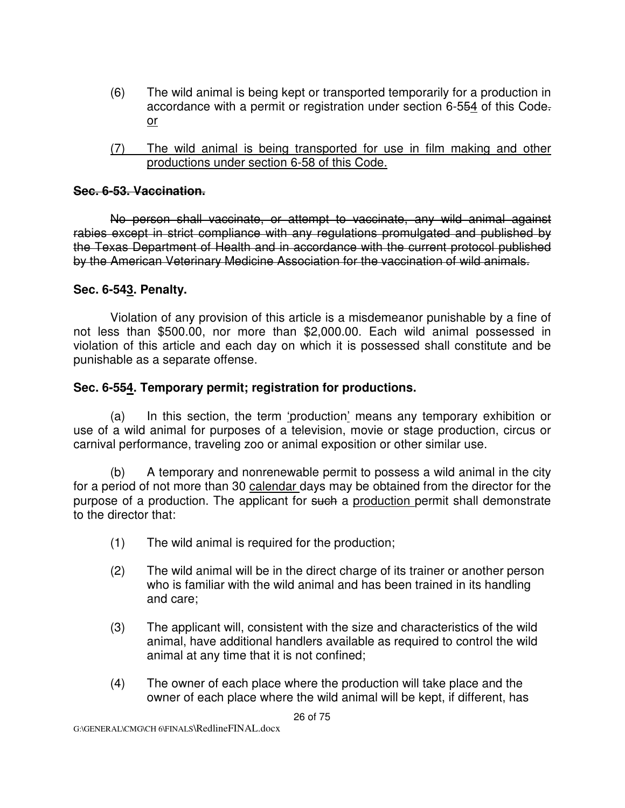- (6) The wild animal is being kept or transported temporarily for a production in accordance with a permit or registration under section 6-554 of this Code. or
- (7) The wild animal is being transported for use in film making and other productions under section 6-58 of this Code.

#### **Sec. 6-53. Vaccination.**

No person shall vaccinate, or attempt to vaccinate, any wild animal against rabies except in strict compliance with any regulations promulgated and published by the Texas Department of Health and in accordance with the current protocol published by the American Veterinary Medicine Association for the vaccination of wild animals.

#### **Sec. 6-543. Penalty.**

Violation of any provision of this article is a misdemeanor punishable by a fine of not less than \$500.00, nor more than \$2,000.00. Each wild animal possessed in violation of this article and each day on which it is possessed shall constitute and be punishable as a separate offense.

#### **Sec. 6-554. Temporary permit; registration for productions.**

(a) In this section, the term 'production' means any temporary exhibition or use of a wild animal for purposes of a television, movie or stage production, circus or carnival performance, traveling zoo or animal exposition or other similar use.

(b) A temporary and nonrenewable permit to possess a wild animal in the city for a period of not more than 30 calendar days may be obtained from the director for the purpose of a production. The applicant for such a production permit shall demonstrate to the director that:

- (1) The wild animal is required for the production;
- (2) The wild animal will be in the direct charge of its trainer or another person who is familiar with the wild animal and has been trained in its handling and care;
- (3) The applicant will, consistent with the size and characteristics of the wild animal, have additional handlers available as required to control the wild animal at any time that it is not confined;
- (4) The owner of each place where the production will take place and the owner of each place where the wild animal will be kept, if different, has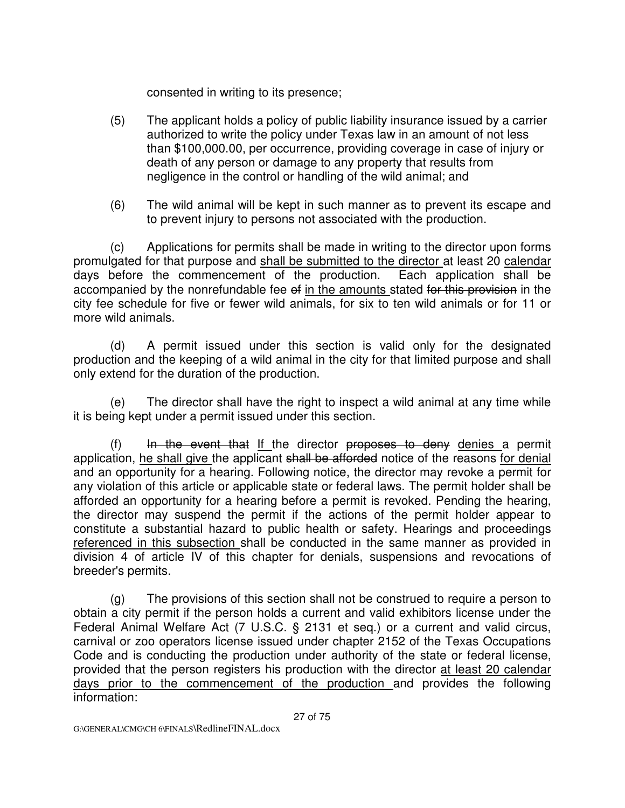consented in writing to its presence;

- (5) The applicant holds a policy of public liability insurance issued by a carrier authorized to write the policy under Texas law in an amount of not less than \$100,000.00, per occurrence, providing coverage in case of injury or death of any person or damage to any property that results from negligence in the control or handling of the wild animal; and
- (6) The wild animal will be kept in such manner as to prevent its escape and to prevent injury to persons not associated with the production.

(c) Applications for permits shall be made in writing to the director upon forms promulgated for that purpose and shall be submitted to the director at least 20 calendar days before the commencement of the production. Each application shall be accompanied by the nonrefundable fee of in the amounts stated for this provision in the city fee schedule for five or fewer wild animals, for six to ten wild animals or for 11 or more wild animals.

(d) A permit issued under this section is valid only for the designated production and the keeping of a wild animal in the city for that limited purpose and shall only extend for the duration of the production.

(e) The director shall have the right to inspect a wild animal at any time while it is being kept under a permit issued under this section.

(f) In the event that If the director proposes to deny denies a permit application, he shall give the applicant shall be afforded notice of the reasons for denial and an opportunity for a hearing. Following notice, the director may revoke a permit for any violation of this article or applicable state or federal laws. The permit holder shall be afforded an opportunity for a hearing before a permit is revoked. Pending the hearing, the director may suspend the permit if the actions of the permit holder appear to constitute a substantial hazard to public health or safety. Hearings and proceedings referenced in this subsection shall be conducted in the same manner as provided in division 4 of article IV of this chapter for denials, suspensions and revocations of breeder's permits.

(g) The provisions of this section shall not be construed to require a person to obtain a city permit if the person holds a current and valid exhibitors license under the Federal Animal Welfare Act (7 U.S.C. § 2131 et seq.) or a current and valid circus, carnival or zoo operators license issued under chapter 2152 of the Texas Occupations Code and is conducting the production under authority of the state or federal license, provided that the person registers his production with the director at least 20 calendar days prior to the commencement of the production and provides the following information: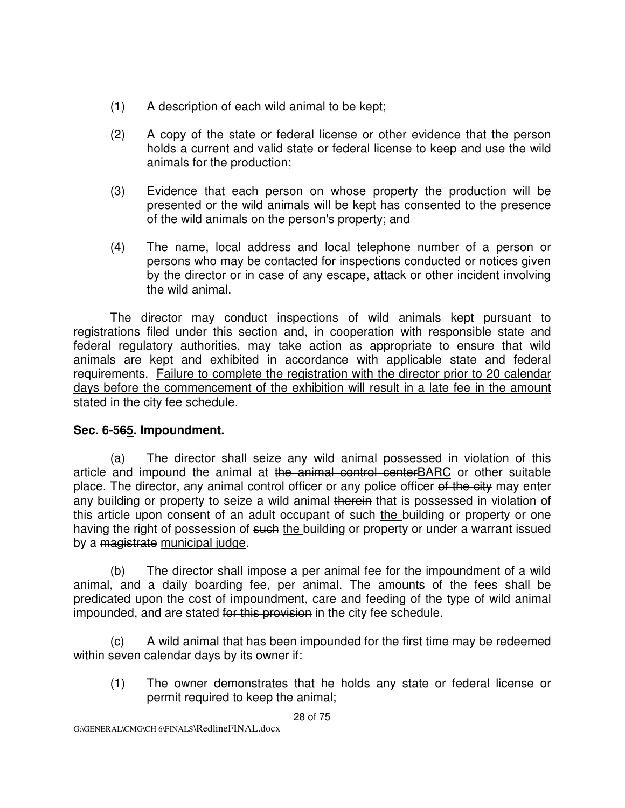- (1) A description of each wild animal to be kept;
- (2) A copy of the state or federal license or other evidence that the person holds a current and valid state or federal license to keep and use the wild animals for the production;
- (3) Evidence that each person on whose property the production will be presented or the wild animals will be kept has consented to the presence of the wild animals on the person's property; and
- (4) The name, local address and local telephone number of a person or persons who may be contacted for inspections conducted or notices given by the director or in case of any escape, attack or other incident involving the wild animal.

The director may conduct inspections of wild animals kept pursuant to registrations filed under this section and, in cooperation with responsible state and federal regulatory authorities, may take action as appropriate to ensure that wild animals are kept and exhibited in accordance with applicable state and federal requirements. Failure to complete the registration with the director prior to 20 calendar days before the commencement of the exhibition will result in a late fee in the amount stated in the city fee schedule.

### **Sec. 6-565. Impoundment.**

(a) The director shall seize any wild animal possessed in violation of this article and impound the animal at the animal control centerBARC or other suitable place. The director, any animal control officer or any police officer of the city may enter any building or property to seize a wild animal therein that is possessed in violation of this article upon consent of an adult occupant of such the building or property or one having the right of possession of such the building or property or under a warrant issued by a magistrate municipal judge.

(b) The director shall impose a per animal fee for the impoundment of a wild animal, and a daily boarding fee, per animal. The amounts of the fees shall be predicated upon the cost of impoundment, care and feeding of the type of wild animal impounded, and are stated for this provision in the city fee schedule.

(c) A wild animal that has been impounded for the first time may be redeemed within seven calendar days by its owner if:

(1) The owner demonstrates that he holds any state or federal license or permit required to keep the animal;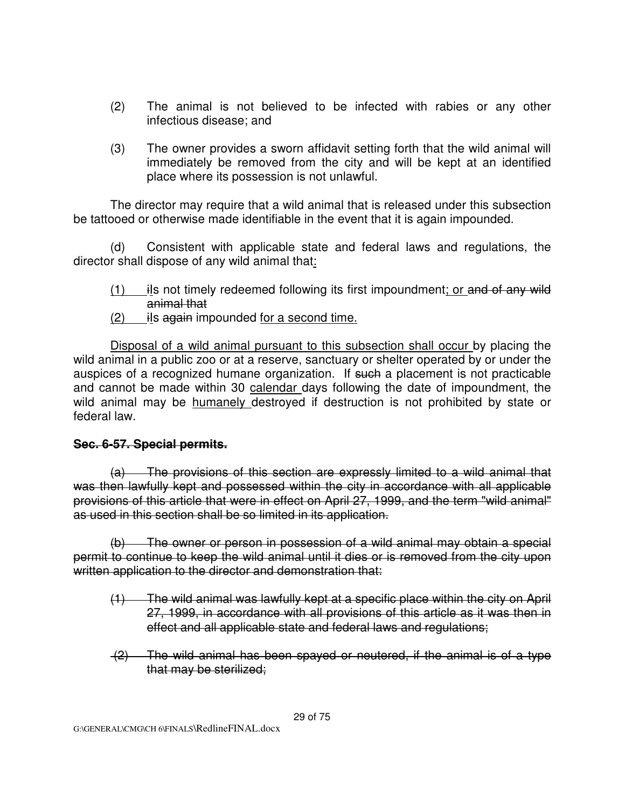- (2) The animal is not believed to be infected with rabies or any other infectious disease; and
- (3) The owner provides a sworn affidavit setting forth that the wild animal will immediately be removed from the city and will be kept at an identified place where its possession is not unlawful.

 The director may require that a wild animal that is released under this subsection be tattooed or otherwise made identifiable in the event that it is again impounded.

(d) Consistent with applicable state and federal laws and regulations, the director shall dispose of any wild animal that:

- $(1)$  ils not timely redeemed following its first impoundment; or and of any wild animal that
- $(2)$  ils again impounded for a second time.

 Disposal of a wild animal pursuant to this subsection shall occur by placing the wild animal in a public zoo or at a reserve, sanctuary or shelter operated by or under the auspices of a recognized humane organization. If such a placement is not practicable and cannot be made within 30 calendar days following the date of impoundment, the wild animal may be humanely destroyed if destruction is not prohibited by state or federal law.

#### **Sec. 6-57. Special permits.**

(a) The provisions of this section are expressly limited to a wild animal that was then lawfully kept and possessed within the city in accordance with all applicable provisions of this article that were in effect on April 27, 1999, and the term "wild animal" as used in this section shall be so limited in its application.

(b) The owner or person in possession of a wild animal may obtain a special permit to continue to keep the wild animal until it dies or is removed from the city upon written application to the director and demonstration that:

- (1) The wild animal was lawfully kept at a specific place within the city on April 27, 1999, in accordance with all provisions of this article as it was then in effect and all applicable state and federal laws and regulations;
- (2) The wild animal has been spayed or neutered, if the animal is of a type that may be sterilized;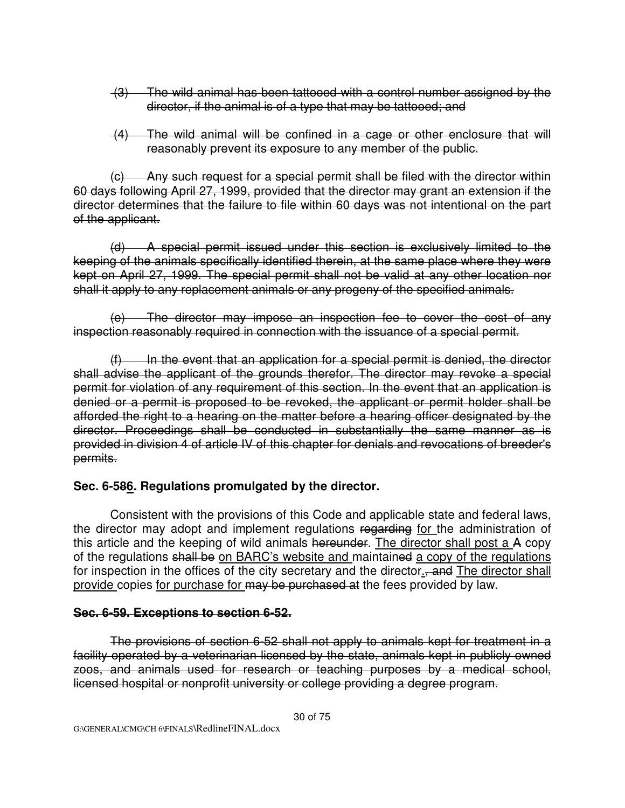- (3) The wild animal has been tattooed with a control number assigned by the director, if the animal is of a type that may be tattooed; and
- (4) The wild animal will be confined in a cage or other enclosure that will reasonably prevent its exposure to any member of the public.

(c) Any such request for a special permit shall be filed with the director within 60 days following April 27, 1999, provided that the director may grant an extension if the director determines that the failure to file within 60 days was not intentional on the part of the applicant.

(d) A special permit issued under this section is exclusively limited to the keeping of the animals specifically identified therein, at the same place where they were kept on April 27, 1999. The special permit shall not be valid at any other location nor shall it apply to any replacement animals or any progeny of the specified animals.

(e) The director may impose an inspection fee to cover the cost of any inspection reasonably required in connection with the issuance of a special permit.

 $(f)$  In the event that an application for a special permit is denied, the director shall advise the applicant of the grounds therefor. The director may revoke a special permit for violation of any requirement of this section. In the event that an application is denied or a permit is proposed to be revoked, the applicant or permit holder shall be afforded the right to a hearing on the matter before a hearing officer designated by the director. Proceedings shall be conducted in substantially the same manner as is provided in division 4 of article IV of this chapter for denials and revocations of breeder's permits.

### **Sec. 6-586. Regulations promulgated by the director.**

Consistent with the provisions of this Code and applicable state and federal laws, the director may adopt and implement regulations regarding for the administration of this article and the keeping of wild animals hereunder. The director shall post a A copy of the regulations shall be on BARC's website and maintained a copy of the regulations for inspection in the offices of the city secretary and the director., and The director shall provide copies for purchase for may be purchased at the fees provided by law.

### **Sec. 6-59. Exceptions to section 6-52.**

The provisions of section 6-52 shall not apply to animals kept for treatment in a facility operated by a veterinarian licensed by the state, animals kept in publicly owned zoos, and animals used for research or teaching purposes by a medical school, licensed hospital or nonprofit university or college providing a degree program.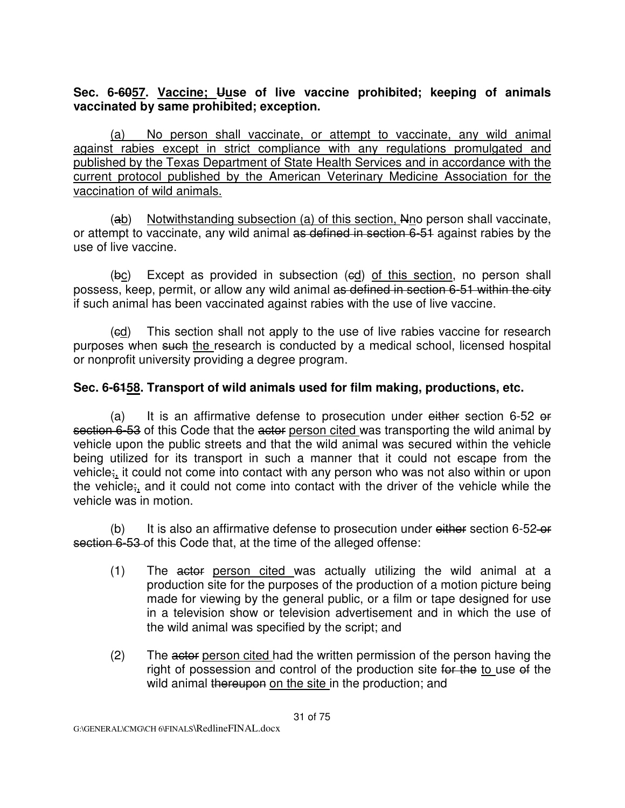### **Sec. 6-6057. Vaccine; Uuse of live vaccine prohibited; keeping of animals vaccinated by same prohibited; exception.**

 (a) No person shall vaccinate, or attempt to vaccinate, any wild animal against rabies except in strict compliance with any regulations promulgated and published by the Texas Department of State Health Services and in accordance with the current protocol published by the American Veterinary Medicine Association for the vaccination of wild animals.

 (ab) Notwithstanding subsection (a) of this section, Nno person shall vaccinate, or attempt to vaccinate, any wild animal as defined in section 6-51 against rabies by the use of live vaccine.

(bc) Except as provided in subsection (ed) of this section, no person shall possess, keep, permit, or allow any wild animal as defined in section 6-51 within the city if such animal has been vaccinated against rabies with the use of live vaccine.

 (cd) This section shall not apply to the use of live rabies vaccine for research purposes when such the research is conducted by a medical school, licensed hospital or nonprofit university providing a degree program.

### **Sec. 6-6158. Transport of wild animals used for film making, productions, etc.**

(a) It is an affirmative defense to prosecution under  $e^{i}$ ther section 6-52 or section 6-53 of this Code that the actor person cited was transporting the wild animal by vehicle upon the public streets and that the wild animal was secured within the vehicle being utilized for its transport in such a manner that it could not escape from the vehicle;, it could not come into contact with any person who was not also within or upon the vehicle;, and it could not come into contact with the driver of the vehicle while the vehicle was in motion.

(b) It is also an affirmative defense to prosecution under either section  $6-52-6f$ section 6-53 of this Code that, at the time of the alleged offense:

- (1) The actor person cited was actually utilizing the wild animal at a production site for the purposes of the production of a motion picture being made for viewing by the general public, or a film or tape designed for use in a television show or television advertisement and in which the use of the wild animal was specified by the script; and
- (2) The actor person cited had the written permission of the person having the right of possession and control of the production site for the to use of the wild animal thereupon on the site in the production; and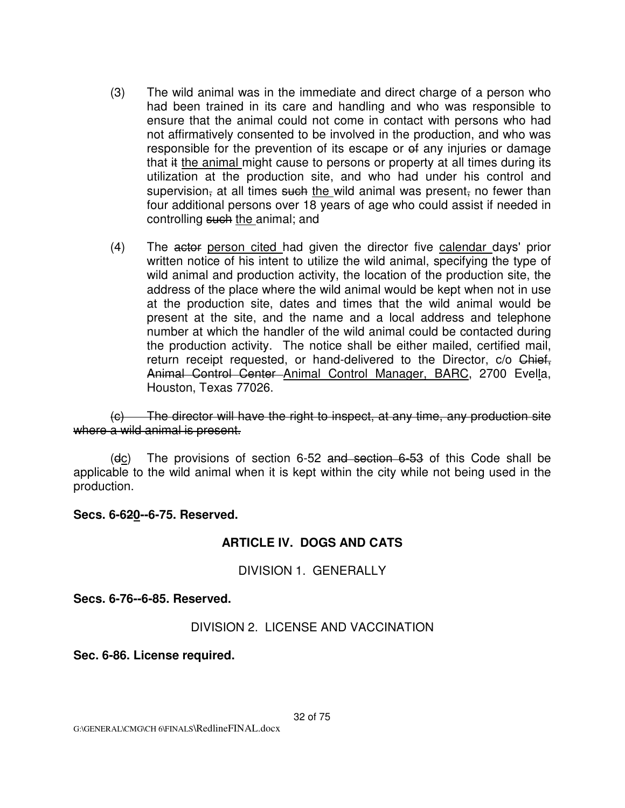- (3) The wild animal was in the immediate and direct charge of a person who had been trained in its care and handling and who was responsible to ensure that the animal could not come in contact with persons who had not affirmatively consented to be involved in the production, and who was responsible for the prevention of its escape or  $\theta$  any injuries or damage that it the animal might cause to persons or property at all times during its utilization at the production site, and who had under his control and supervision, at all times such the wild animal was present, no fewer than four additional persons over 18 years of age who could assist if needed in controlling such the animal; and
- (4) The actor person cited had given the director five calendar days' prior written notice of his intent to utilize the wild animal, specifying the type of wild animal and production activity, the location of the production site, the address of the place where the wild animal would be kept when not in use at the production site, dates and times that the wild animal would be present at the site, and the name and a local address and telephone number at which the handler of the wild animal could be contacted during the production activity. The notice shall be either mailed, certified mail, return receipt requested, or hand-delivered to the Director, c/o Chief, Animal Control Center Animal Control Manager, BARC, 2700 Evella, Houston, Texas 77026.

 (c) The director will have the right to inspect, at any time, any production site where a wild animal is present.

(dc) The provisions of section  $6-52$  and section  $6-53$  of this Code shall be applicable to the wild animal when it is kept within the city while not being used in the production.

#### **Secs. 6-620--6-75. Reserved.**

#### **ARTICLE IV. DOGS AND CATS**

DIVISION 1. GENERALLY

**Secs. 6-76--6-85. Reserved.**

#### DIVISION 2. LICENSE AND VACCINATION

**Sec. 6-86. License required.**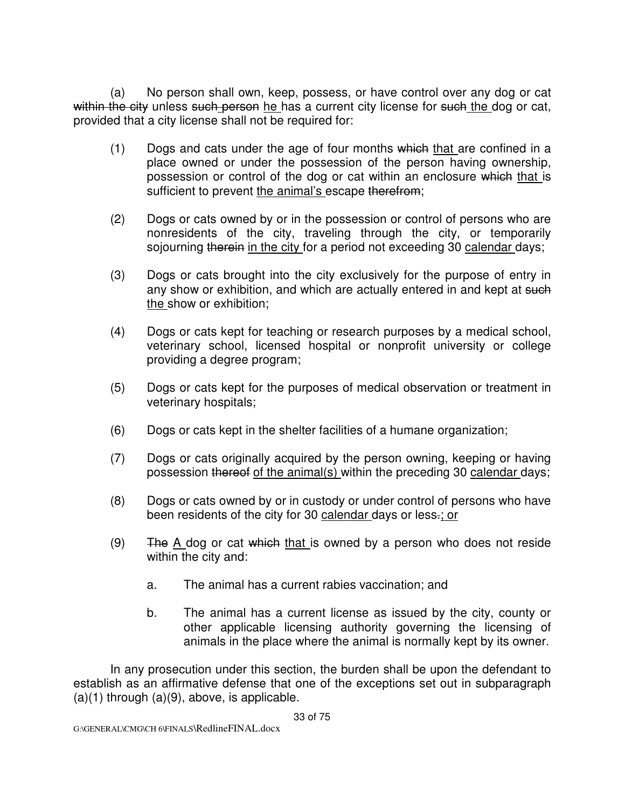(a) No person shall own, keep, possess, or have control over any dog or cat within the city unless such person he has a current city license for such the dog or cat, provided that a city license shall not be required for:

- $(1)$  Dogs and cats under the age of four months which that are confined in a place owned or under the possession of the person having ownership, possession or control of the dog or cat within an enclosure which that is sufficient to prevent the animal's escape therefrom;
- (2) Dogs or cats owned by or in the possession or control of persons who are nonresidents of the city, traveling through the city, or temporarily sojourning therein in the city for a period not exceeding 30 calendar days;
- (3) Dogs or cats brought into the city exclusively for the purpose of entry in any show or exhibition, and which are actually entered in and kept at such the show or exhibition;
- (4) Dogs or cats kept for teaching or research purposes by a medical school, veterinary school, licensed hospital or nonprofit university or college providing a degree program;
- (5) Dogs or cats kept for the purposes of medical observation or treatment in veterinary hospitals;
- (6) Dogs or cats kept in the shelter facilities of a humane organization;
- (7) Dogs or cats originally acquired by the person owning, keeping or having possession thereof of the animal(s) within the preceding 30 calendar days;
- (8) Dogs or cats owned by or in custody or under control of persons who have been residents of the city for 30 calendar days or less-; or
- (9) The  $\overline{A}$  dog or cat which that is owned by a person who does not reside within the city and:
	- a. The animal has a current rabies vaccination; and
	- b. The animal has a current license as issued by the city, county or other applicable licensing authority governing the licensing of animals in the place where the animal is normally kept by its owner.

In any prosecution under this section, the burden shall be upon the defendant to establish as an affirmative defense that one of the exceptions set out in subparagraph  $(a)(1)$  through  $(a)(9)$ , above, is applicable.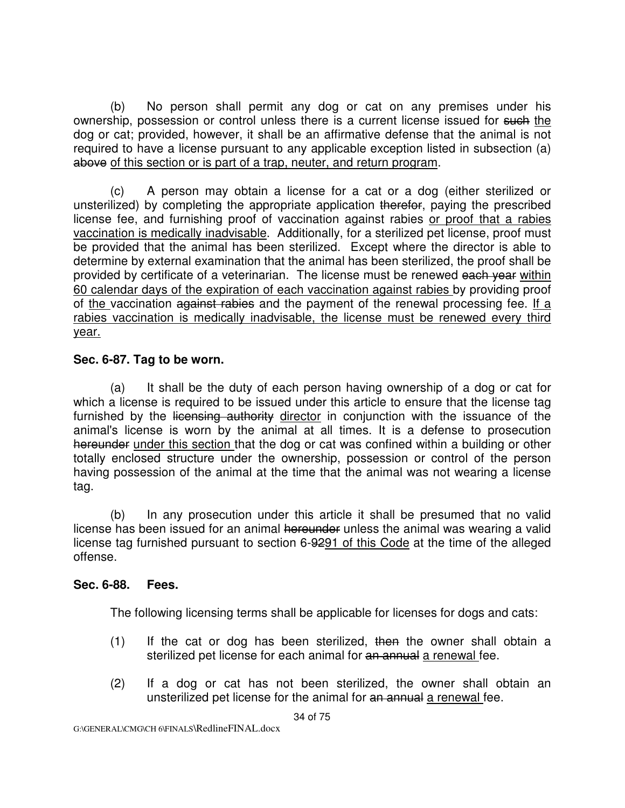(b) No person shall permit any dog or cat on any premises under his ownership, possession or control unless there is a current license issued for such the dog or cat; provided, however, it shall be an affirmative defense that the animal is not required to have a license pursuant to any applicable exception listed in subsection (a) above of this section or is part of a trap, neuter, and return program.

A person may obtain a license for a cat or a dog (either sterilized or unsterilized) by completing the appropriate application therefor, paying the prescribed license fee, and furnishing proof of vaccination against rabies or proof that a rabies vaccination is medically inadvisable. Additionally, for a sterilized pet license, proof must be provided that the animal has been sterilized. Except where the director is able to determine by external examination that the animal has been sterilized, the proof shall be provided by certificate of a veterinarian. The license must be renewed each vear within 60 calendar days of the expiration of each vaccination against rabies by providing proof of the vaccination against rabies and the payment of the renewal processing fee. If a rabies vaccination is medically inadvisable, the license must be renewed every third year.

### **Sec. 6-87. Tag to be worn.**

 (a) It shall be the duty of each person having ownership of a dog or cat for which a license is required to be issued under this article to ensure that the license tag furnished by the licensing authority director in conjunction with the issuance of the animal's license is worn by the animal at all times. It is a defense to prosecution hereunder under this section that the dog or cat was confined within a building or other totally enclosed structure under the ownership, possession or control of the person having possession of the animal at the time that the animal was not wearing a license tag.

 (b) In any prosecution under this article it shall be presumed that no valid license has been issued for an animal hereunder unless the animal was wearing a valid license tag furnished pursuant to section 6-9291 of this Code at the time of the alleged offense.

### **Sec. 6-88. Fees.**

The following licensing terms shall be applicable for licenses for dogs and cats:

- $(1)$  If the cat or dog has been sterilized, then the owner shall obtain a sterilized pet license for each animal for an annual a renewal fee.
- (2) If a dog or cat has not been sterilized, the owner shall obtain an unsterilized pet license for the animal for an annual a renewal fee.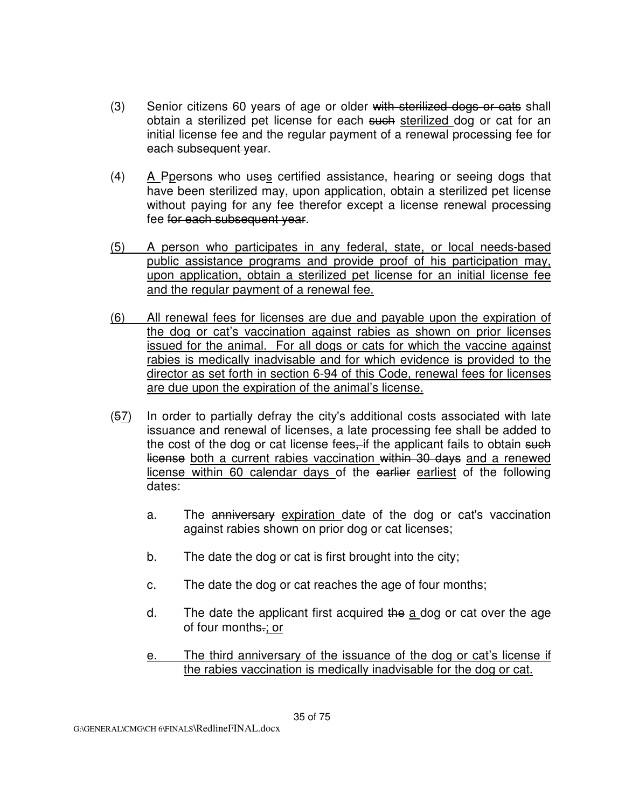- (3) Senior citizens 60 years of age or older with sterilized dogs or cats shall obtain a sterilized pet license for each such sterilized dog or cat for an initial license fee and the regular payment of a renewal processing fee for each subsequent year.
- (4) A Ppersons who uses certified assistance, hearing or seeing dogs that have been sterilized may, upon application, obtain a sterilized pet license without paying for any fee therefor except a license renewal processing fee for each subsequent year.
- (5) A person who participates in any federal, state, or local needs-based public assistance programs and provide proof of his participation may, upon application, obtain a sterilized pet license for an initial license fee and the regular payment of a renewal fee.
- (6) All renewal fees for licenses are due and payable upon the expiration of the dog or cat's vaccination against rabies as shown on prior licenses issued for the animal. For all dogs or cats for which the vaccine against rabies is medically inadvisable and for which evidence is provided to the director as set forth in section 6-94 of this Code, renewal fees for licenses are due upon the expiration of the animal's license.
- (57) In order to partially defray the city's additional costs associated with late issuance and renewal of licenses, a late processing fee shall be added to the cost of the dog or cat license fees, if the applicant fails to obtain such license both a current rabies vaccination within 30 days and a renewed license within 60 calendar days of the earlier earliest of the following dates:
	- a. The anniversary expiration date of the dog or cat's vaccination against rabies shown on prior dog or cat licenses;
	- b. The date the dog or cat is first brought into the city;
	- c. The date the dog or cat reaches the age of four months;
	- d. The date the applicant first acquired the a dog or cat over the age of four months.; or
	- e. The third anniversary of the issuance of the dog or cat's license if the rabies vaccination is medically inadvisable for the dog or cat.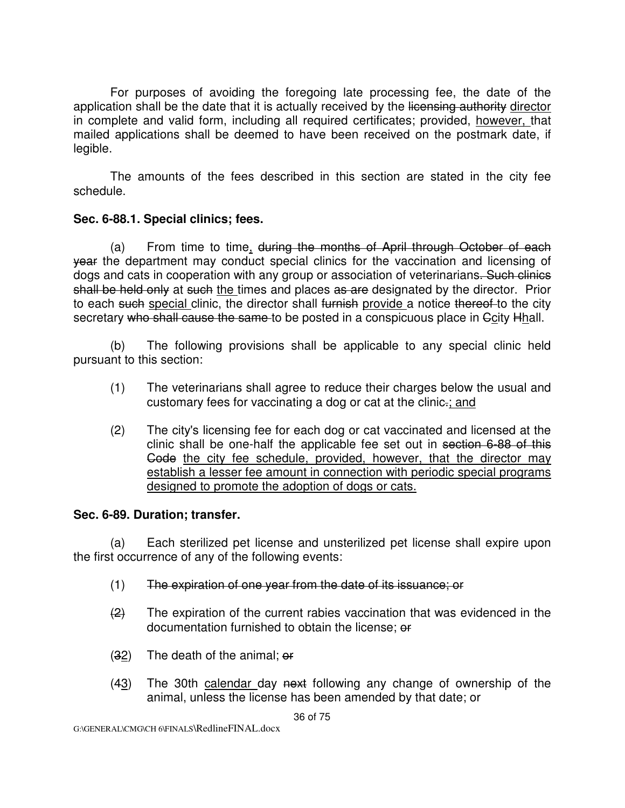For purposes of avoiding the foregoing late processing fee, the date of the application shall be the date that it is actually received by the licensing authority director in complete and valid form, including all required certificates; provided, however, that mailed applications shall be deemed to have been received on the postmark date, if legible.

The amounts of the fees described in this section are stated in the city fee schedule.

#### **Sec. 6-88.1. Special clinics; fees.**

 (a) From time to time, during the months of April through October of each year the department may conduct special clinics for the vaccination and licensing of dogs and cats in cooperation with any group or association of veterinarians. Such clinics shall be held only at such the times and places as are designated by the director. Prior to each such special clinic, the director shall furnish provide a notice thereof to the city secretary who shall cause the same to be posted in a conspicuous place in Gcity Hhall.

 (b) The following provisions shall be applicable to any special clinic held pursuant to this section:

- (1) The veterinarians shall agree to reduce their charges below the usual and customary fees for vaccinating a dog or cat at the clinic.; and
- (2) The city's licensing fee for each dog or cat vaccinated and licensed at the clinic shall be one-half the applicable fee set out in section 6-88 of this Gode the city fee schedule, provided, however, that the director may establish a lesser fee amount in connection with periodic special programs designed to promote the adoption of dogs or cats.

#### **Sec. 6-89. Duration; transfer.**

 (a) Each sterilized pet license and unsterilized pet license shall expire upon the first occurrence of any of the following events:

- (1) The expiration of one year from the date of its issuance; or
- $\left( \frac{2}{2} \right)$  The expiration of the current rabies vaccination that was evidenced in the documentation furnished to obtain the license; or
- $(32)$  The death of the animal; or
- (43) The 30th calendar day next following any change of ownership of the animal, unless the license has been amended by that date; or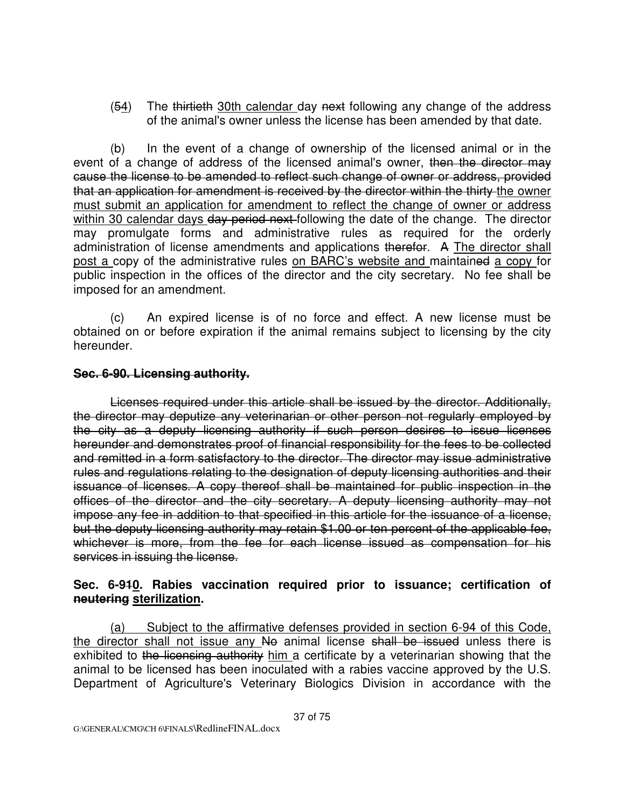(54) The thirtieth 30th calendar day next following any change of the address of the animal's owner unless the license has been amended by that date.

 (b) In the event of a change of ownership of the licensed animal or in the event of a change of address of the licensed animal's owner, then the director may cause the license to be amended to reflect such change of owner or address, provided that an application for amendment is received by the director within the thirty the owner must submit an application for amendment to reflect the change of owner or address within 30 calendar days day period next following the date of the change. The director may promulgate forms and administrative rules as required for the orderly administration of license amendments and applications therefor. A The director shall post a copy of the administrative rules on BARC's website and maintained a copy for public inspection in the offices of the director and the city secretary. No fee shall be imposed for an amendment.

 (c) An expired license is of no force and effect. A new license must be obtained on or before expiration if the animal remains subject to licensing by the city hereunder.

#### **Sec. 6-90. Licensing authority.**

Licenses required under this article shall be issued by the director. Additionally, the director may deputize any veterinarian or other person not regularly employed by the city as a deputy licensing authority if such person desires to issue licenses hereunder and demonstrates proof of financial responsibility for the fees to be collected and remitted in a form satisfactory to the director. The director may issue administrative rules and regulations relating to the designation of deputy licensing authorities and their issuance of licenses. A copy thereof shall be maintained for public inspection in the offices of the director and the city secretary. A deputy licensing authority may not impose any fee in addition to that specified in this article for the issuance of a license, but the deputy licensing authority may retain \$1.00 or ten percent of the applicable fee, whichever is more, from the fee for each license issued as compensation for his services in issuing the license.

#### **Sec. 6-910. Rabies vaccination required prior to issuance; certification of neutering sterilization.**

(a) Subject to the affirmative defenses provided in section 6-94 of this Code, the director shall not issue any No animal license shall be issued unless there is exhibited to the licensing authority him a certificate by a veterinarian showing that the animal to be licensed has been inoculated with a rabies vaccine approved by the U.S. Department of Agriculture's Veterinary Biologics Division in accordance with the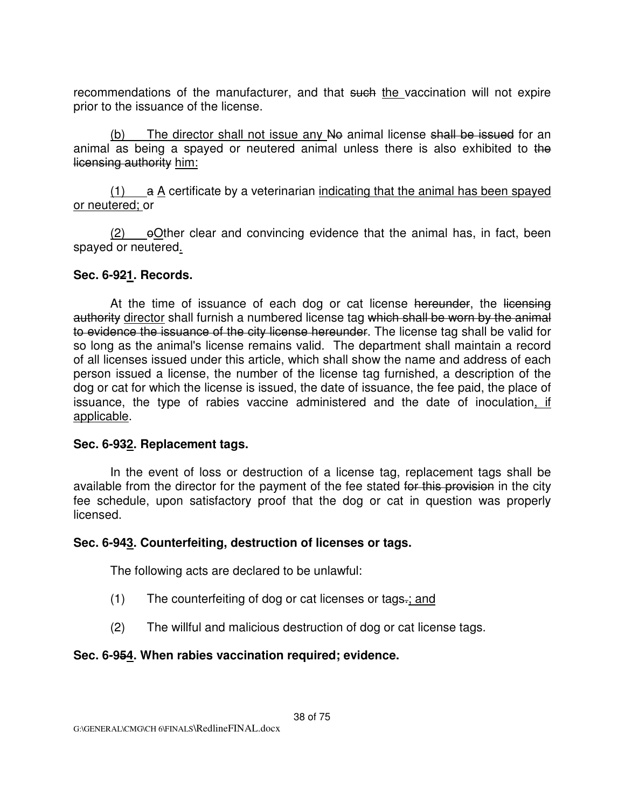recommendations of the manufacturer, and that such the vaccination will not expire prior to the issuance of the license.

(b) The director shall not issue any  $N\Theta$  animal license shall be issued for an animal as being a spayed or neutered animal unless there is also exhibited to the licensing authority him:

 $(1)$  a A certificate by a veterinarian indicating that the animal has been spayed or neutered; or

 $(2)$  eOther clear and convincing evidence that the animal has, in fact, been spayed or neutered.

#### **Sec. 6-921. Records.**

At the time of issuance of each dog or cat license hereunder, the licensing authority director shall furnish a numbered license tag which shall be worn by the animal to evidence the issuance of the city license hereunder. The license tag shall be valid for so long as the animal's license remains valid. The department shall maintain a record of all licenses issued under this article, which shall show the name and address of each person issued a license, the number of the license tag furnished, a description of the dog or cat for which the license is issued, the date of issuance, the fee paid, the place of issuance, the type of rabies vaccine administered and the date of inoculation, if applicable.

#### **Sec. 6-932. Replacement tags.**

 In the event of loss or destruction of a license tag, replacement tags shall be available from the director for the payment of the fee stated for this provision in the city fee schedule, upon satisfactory proof that the dog or cat in question was properly licensed.

# **Sec. 6-943. Counterfeiting, destruction of licenses or tags.**

The following acts are declared to be unlawful:

- (1) The counterfeiting of dog or cat licenses or tags.; and
- (2) The willful and malicious destruction of dog or cat license tags.

# **Sec. 6-954. When rabies vaccination required; evidence.**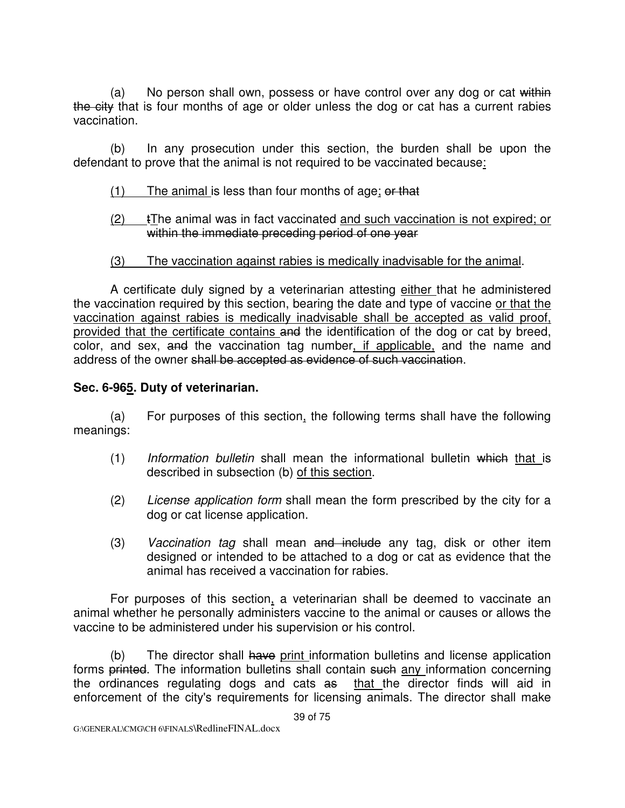(a) No person shall own, possess or have control over any dog or cat within the city that is four months of age or older unless the dog or cat has a current rabies vaccination.

 (b) In any prosecution under this section, the burden shall be upon the defendant to prove that the animal is not required to be vaccinated because:

- $(1)$  The animal is less than four months of age; or that
- (2) tThe animal was in fact vaccinated and such vaccination is not expired; or within the immediate preceding period of one year
- (3) The vaccination against rabies is medically inadvisable for the animal.

 A certificate duly signed by a veterinarian attesting either that he administered the vaccination required by this section, bearing the date and type of vaccine or that the vaccination against rabies is medically inadvisable shall be accepted as valid proof, provided that the certificate contains and the identification of the dog or cat by breed, color, and sex, and the vaccination tag number, if applicable, and the name and address of the owner shall be accepted as evidence of such vaccination.

# **Sec. 6-965. Duty of veterinarian.**

 (a) For purposes of this section, the following terms shall have the following meanings:

- $(1)$  Information bulletin shall mean the informational bulletin which that is described in subsection (b) of this section.
- (2) License application form shall mean the form prescribed by the city for a dog or cat license application.
- (3) Vaccination tag shall mean and include any tag, disk or other item designed or intended to be attached to a dog or cat as evidence that the animal has received a vaccination for rabies.

For purposes of this section, a veterinarian shall be deemed to vaccinate an animal whether he personally administers vaccine to the animal or causes or allows the vaccine to be administered under his supervision or his control.

(b) The director shall have print information bulletins and license application forms printed. The information bulletins shall contain such any information concerning the ordinances regulating dogs and cats as that the director finds will aid in enforcement of the city's requirements for licensing animals. The director shall make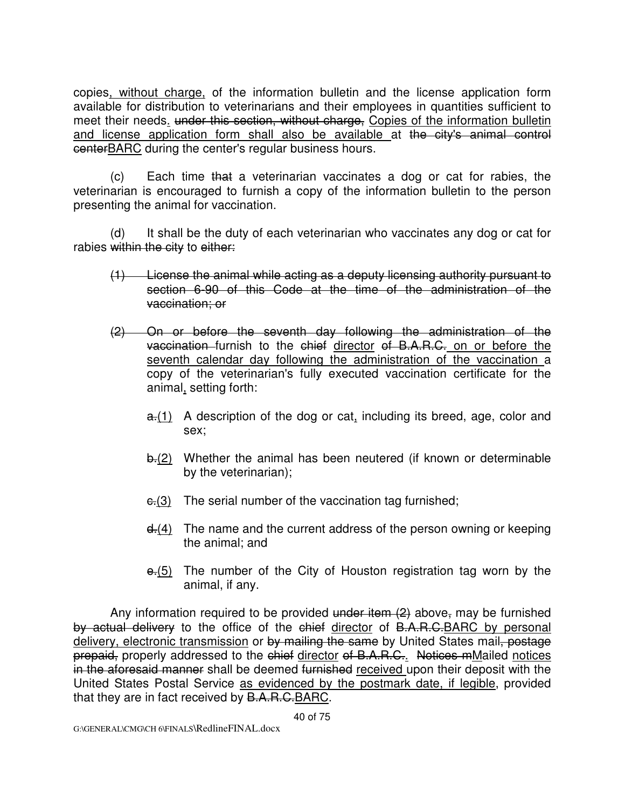copies, without charge, of the information bulletin and the license application form available for distribution to veterinarians and their employees in quantities sufficient to meet their needs. under this section, without charge, Copies of the information bulletin and license application form shall also be available at the city's animal control centerBARC during the center's regular business hours.

 (c) Each time that a veterinarian vaccinates a dog or cat for rabies, the veterinarian is encouraged to furnish a copy of the information bulletin to the person presenting the animal for vaccination.

 (d) It shall be the duty of each veterinarian who vaccinates any dog or cat for rabies within the city to either:

- (1) License the animal while acting as a deputy licensing authority pursuant to section 6-90 of this Code at the time of the administration of the vaccination; or
- (2) On or before the seventh day following the administration of the vaccination furnish to the chief director of B.A.R.C. on or before the seventh calendar day following the administration of the vaccination a copy of the veterinarian's fully executed vaccination certificate for the animal, setting forth:
	- $a<sub>0</sub>(1)$  A description of the dog or cat, including its breed, age, color and sex;
	- b.(2) Whether the animal has been neutered (if known or determinable by the veterinarian);
	- $\epsilon$ .(3) The serial number of the vaccination tag furnished;
	- $d_1(4)$  The name and the current address of the person owning or keeping the animal; and
	- $\overline{e(5)}$  The number of the City of Houston registration tag worn by the animal, if any.

Any information required to be provided under item  $(2)$  above, may be furnished by actual delivery to the office of the chief director of B.A.R.C.BARC by personal delivery, electronic transmission or by mailing the same by United States mail, postage prepaid, properly addressed to the chief director of B.A.R.C.. Notices mMailed notices in the aforesaid manner shall be deemed furnished received upon their deposit with the United States Postal Service as evidenced by the postmark date, if legible, provided that they are in fact received by B.A.R.C.BARC.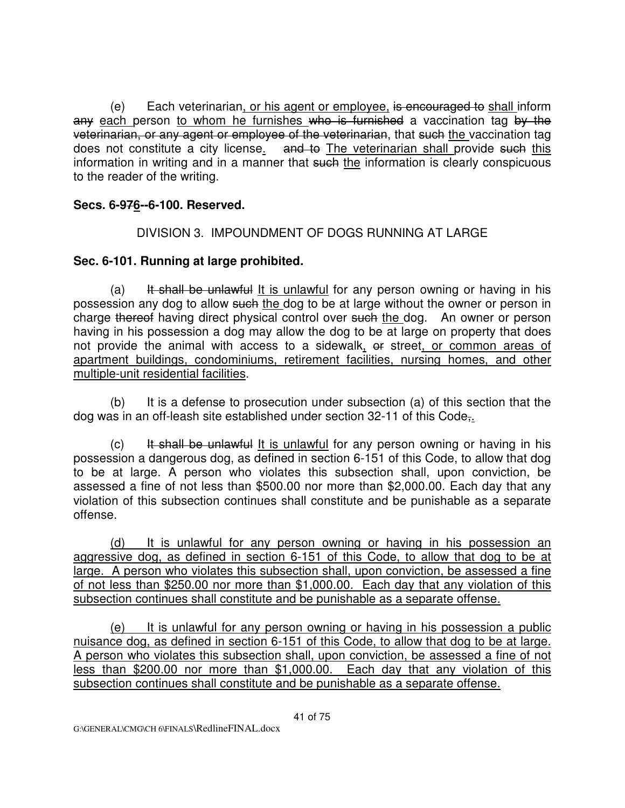(e) Each veterinarian, or his agent or employee, is encouraged to shall inform any each person to whom he furnishes who is furnished a vaccination tag by the veterinarian, or any agent or employee of the veterinarian, that such the vaccination tag does not constitute a city license. and to The veterinarian shall provide such this information in writing and in a manner that such the information is clearly conspicuous to the reader of the writing.

### **Secs. 6-976--6-100. Reserved.**

DIVISION 3. IMPOUNDMENT OF DOGS RUNNING AT LARGE

### **Sec. 6-101. Running at large prohibited.**

(a) It shall be unlawful It is unlawful for any person owning or having in his possession any dog to allow such the dog to be at large without the owner or person in charge thereof having direct physical control over such the dog. An owner or person having in his possession a dog may allow the dog to be at large on property that does not provide the animal with access to a sidewalk, or street, or common areas of apartment buildings, condominiums, retirement facilities, nursing homes, and other multiple-unit residential facilities.

 (b) It is a defense to prosecution under subsection (a) of this section that the dog was in an off-leash site established under section 32-11 of this Code,.

(c) It shall be unlawful It is unlawful for any person owning or having in his possession a dangerous dog, as defined in section 6-151 of this Code, to allow that dog to be at large. A person who violates this subsection shall, upon conviction, be assessed a fine of not less than \$500.00 nor more than \$2,000.00. Each day that any violation of this subsection continues shall constitute and be punishable as a separate offense.

 (d) It is unlawful for any person owning or having in his possession an aggressive dog, as defined in section 6-151 of this Code, to allow that dog to be at large. A person who violates this subsection shall, upon conviction, be assessed a fine of not less than \$250.00 nor more than \$1,000.00. Each day that any violation of this subsection continues shall constitute and be punishable as a separate offense.

 (e) It is unlawful for any person owning or having in his possession a public nuisance dog, as defined in section 6-151 of this Code, to allow that dog to be at large. A person who violates this subsection shall, upon conviction, be assessed a fine of not less than \$200.00 nor more than \$1,000.00. Each day that any violation of this subsection continues shall constitute and be punishable as a separate offense.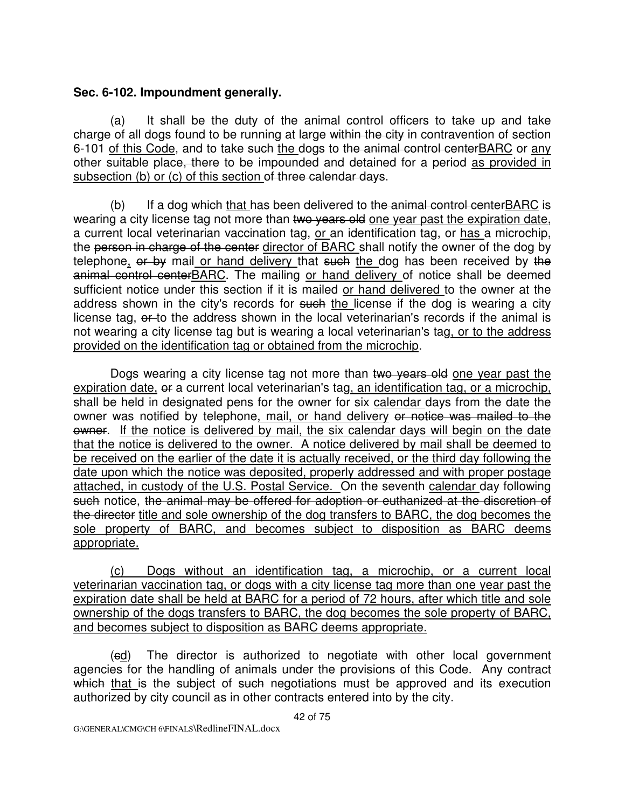#### **Sec. 6-102. Impoundment generally.**

 (a) It shall be the duty of the animal control officers to take up and take charge of all dogs found to be running at large within the city in contravention of section 6-101 of this Code, and to take such the dogs to the animal control centerBARC or any other suitable place, there to be impounded and detained for a period as provided in subsection (b) or (c) of this section of three calendar days.

(b) If a dog which that has been delivered to the animal control center BARC is wearing a city license tag not more than two years old one year past the expiration date, a current local veterinarian vaccination tag, or an identification tag, or has a microchip, the person in charge of the center director of BARC shall notify the owner of the dog by telephone, or by mail or hand delivery that such the dog has been received by the animal control centerBARC. The mailing or hand delivery of notice shall be deemed sufficient notice under this section if it is mailed or hand delivered to the owner at the address shown in the city's records for such the license if the dog is wearing a city license tag, or to the address shown in the local veterinarian's records if the animal is not wearing a city license tag but is wearing a local veterinarian's tag, or to the address provided on the identification tag or obtained from the microchip.

Dogs wearing a city license tag not more than two years old one year past the expiration date, or a current local veterinarian's tag, an identification tag, or a microchip, shall be held in designated pens for the owner for six calendar days from the date the owner was notified by telephone, mail, or hand delivery or notice was mailed to the owner. If the notice is delivered by mail, the six calendar days will begin on the date that the notice is delivered to the owner. A notice delivered by mail shall be deemed to be received on the earlier of the date it is actually received, or the third day following the date upon which the notice was deposited, properly addressed and with proper postage attached, in custody of the U.S. Postal Service. On the seventh calendar day following such notice, the animal may be offered for adoption or euthanized at the discretion of the director title and sole ownership of the dog transfers to BARC, the dog becomes the sole property of BARC, and becomes subject to disposition as BARC deems appropriate.

 (c) Dogs without an identification tag, a microchip, or a current local veterinarian vaccination tag, or dogs with a city license tag more than one year past the expiration date shall be held at BARC for a period of 72 hours, after which title and sole ownership of the dogs transfers to BARC, the dog becomes the sole property of BARC, and becomes subject to disposition as BARC deems appropriate.

(ed) The director is authorized to negotiate with other local government agencies for the handling of animals under the provisions of this Code. Any contract which that is the subject of such negotiations must be approved and its execution authorized by city council as in other contracts entered into by the city.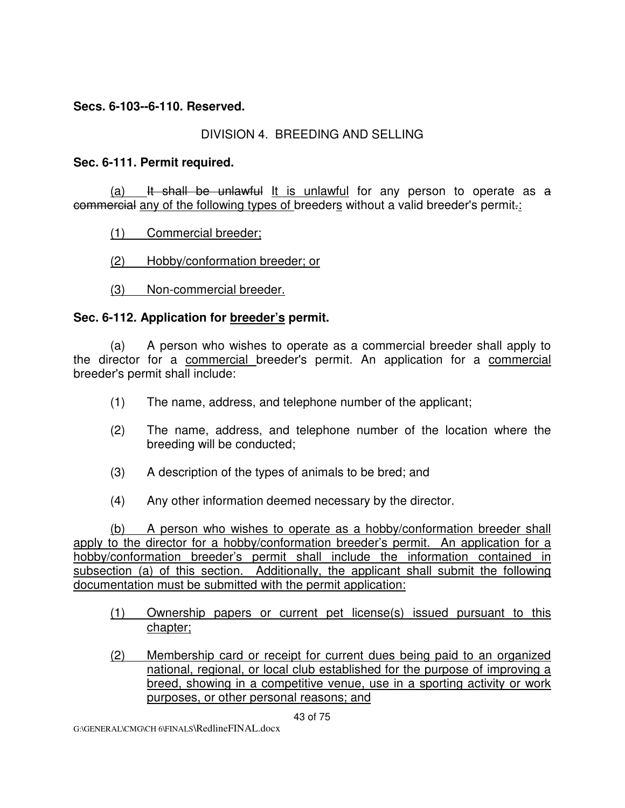#### **Secs. 6-103--6-110. Reserved.**

### DIVISION 4. BREEDING AND SELLING

#### **Sec. 6-111. Permit required.**

(a) It shall be unlawful It is unlawful for any person to operate as  $a$ commercial any of the following types of breeders without a valid breeder's permit.:

(1) Commercial breeder;

(2) Hobby/conformation breeder; or

(3) Non-commercial breeder.

### **Sec. 6-112. Application for breeder's permit.**

 (a) A person who wishes to operate as a commercial breeder shall apply to the director for a commercial breeder's permit. An application for a commercial breeder's permit shall include:

- (1) The name, address, and telephone number of the applicant;
- (2) The name, address, and telephone number of the location where the breeding will be conducted;
- (3) A description of the types of animals to be bred; and
- (4) Any other information deemed necessary by the director.

 (b) A person who wishes to operate as a hobby/conformation breeder shall apply to the director for a hobby/conformation breeder's permit. An application for a hobby/conformation breeder's permit shall include the information contained in subsection (a) of this section. Additionally, the applicant shall submit the following documentation must be submitted with the permit application:

- (1) Ownership papers or current pet license(s) issued pursuant to this chapter;
- (2) Membership card or receipt for current dues being paid to an organized national, regional, or local club established for the purpose of improving a breed, showing in a competitive venue, use in a sporting activity or work purposes, or other personal reasons; and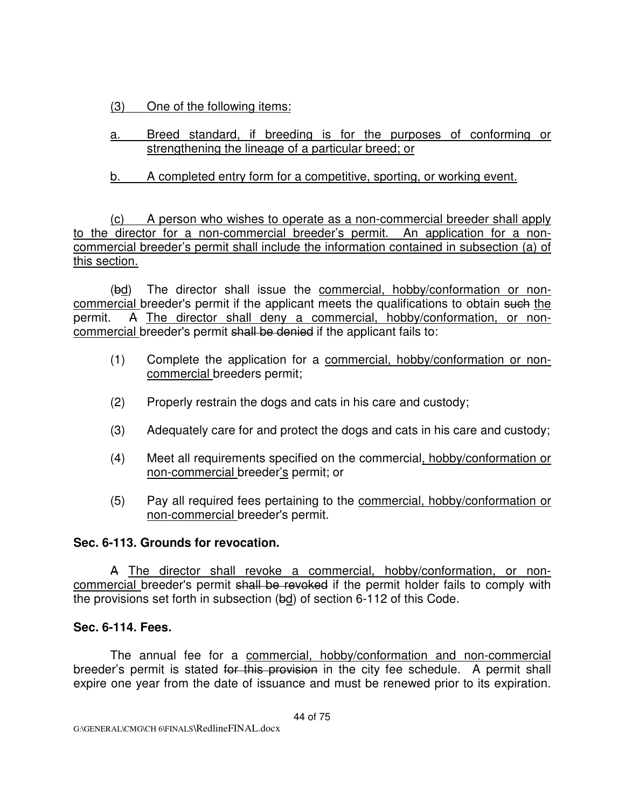(3) One of the following items:

 a. Breed standard, if breeding is for the purposes of conforming or strengthening the lineage of a particular breed; or

b. A completed entry form for a competitive, sporting, or working event.

 (c) A person who wishes to operate as a non-commercial breeder shall apply to the director for a non-commercial breeder's permit. An application for a noncommercial breeder's permit shall include the information contained in subsection (a) of this section.

 (bd) The director shall issue the commercial, hobby/conformation or noncommercial breeder's permit if the applicant meets the qualifications to obtain such the permit. A The director shall deny a commercial, hobby/conformation, or noncommercial breeder's permit shall be denied if the applicant fails to:

- (1) Complete the application for a commercial, hobby/conformation or noncommercial breeders permit;
- (2) Properly restrain the dogs and cats in his care and custody;
- (3) Adequately care for and protect the dogs and cats in his care and custody;
- (4) Meet all requirements specified on the commercial, hobby/conformation or non-commercial breeder's permit; or
- (5) Pay all required fees pertaining to the commercial, hobby/conformation or non-commercial breeder's permit.

# **Sec. 6-113. Grounds for revocation.**

A The director shall revoke a commercial, hobby/conformation, or noncommercial breeder's permit shall be revoked if the permit holder fails to comply with the provisions set forth in subsection (bd) of section 6-112 of this Code.

# **Sec. 6-114. Fees.**

The annual fee for a commercial, hobby/conformation and non-commercial breeder's permit is stated for this provision in the city fee schedule. A permit shall expire one year from the date of issuance and must be renewed prior to its expiration.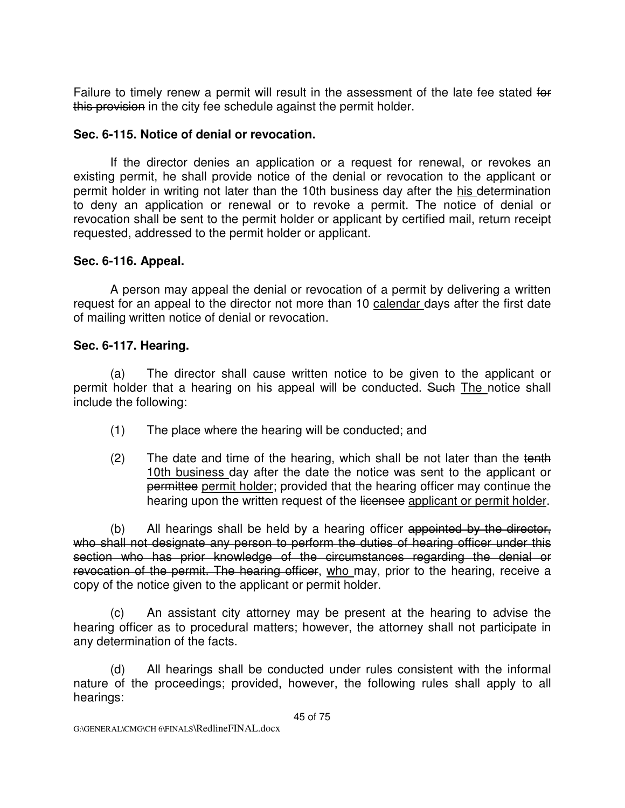Failure to timely renew a permit will result in the assessment of the late fee stated for this provision in the city fee schedule against the permit holder.

# **Sec. 6-115. Notice of denial or revocation.**

If the director denies an application or a request for renewal, or revokes an existing permit, he shall provide notice of the denial or revocation to the applicant or permit holder in writing not later than the 10th business day after the his determination to deny an application or renewal or to revoke a permit. The notice of denial or revocation shall be sent to the permit holder or applicant by certified mail, return receipt requested, addressed to the permit holder or applicant.

# **Sec. 6-116. Appeal.**

A person may appeal the denial or revocation of a permit by delivering a written request for an appeal to the director not more than 10 calendar days after the first date of mailing written notice of denial or revocation.

# **Sec. 6-117. Hearing.**

 (a) The director shall cause written notice to be given to the applicant or permit holder that a hearing on his appeal will be conducted. Such The notice shall include the following:

- (1) The place where the hearing will be conducted; and
- $(2)$  The date and time of the hearing, which shall be not later than the tenth 10th business day after the date the notice was sent to the applicant or permittee permit holder; provided that the hearing officer may continue the hearing upon the written request of the licensee applicant or permit holder.

 (b) All hearings shall be held by a hearing officer appointed by the director, who shall not designate any person to perform the duties of hearing officer under this section who has prior knowledge of the circumstances regarding the denial or revocation of the permit. The hearing officer, who may, prior to the hearing, receive a copy of the notice given to the applicant or permit holder.

 (c) An assistant city attorney may be present at the hearing to advise the hearing officer as to procedural matters; however, the attorney shall not participate in any determination of the facts.

 (d) All hearings shall be conducted under rules consistent with the informal nature of the proceedings; provided, however, the following rules shall apply to all hearings: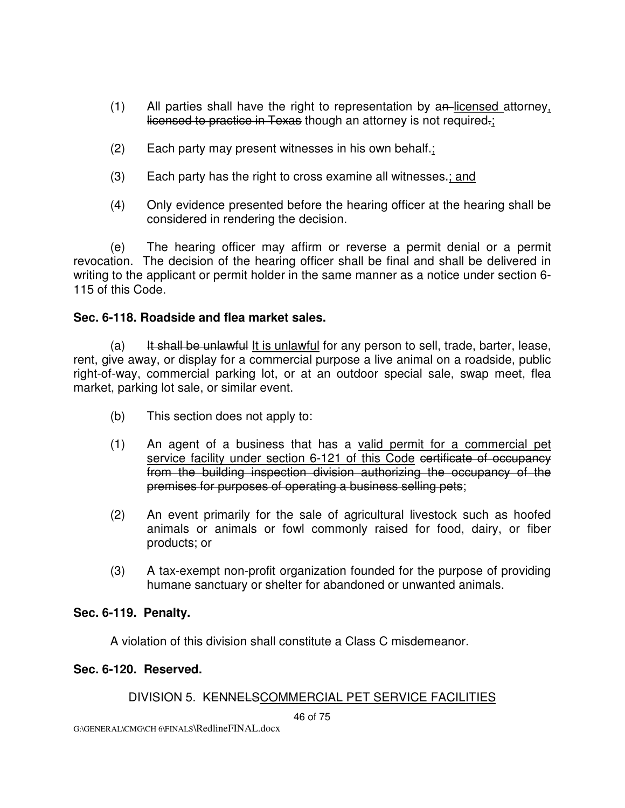- $(1)$  All parties shall have the right to representation by an-licensed attorney, licensed to practice in Texas though an attorney is not required.;
- (2) Each party may present witnesses in his own behalf.;
- (3) Each party has the right to cross examine all witnesses.; and
- (4) Only evidence presented before the hearing officer at the hearing shall be considered in rendering the decision.

 (e) The hearing officer may affirm or reverse a permit denial or a permit revocation. The decision of the hearing officer shall be final and shall be delivered in writing to the applicant or permit holder in the same manner as a notice under section 6- 115 of this Code.

#### **Sec. 6-118. Roadside and flea market sales.**

(a) It shall be unlawful It is unlawful for any person to sell, trade, barter, lease, rent, give away, or display for a commercial purpose a live animal on a roadside, public right-of-way, commercial parking lot, or at an outdoor special sale, swap meet, flea market, parking lot sale, or similar event.

- (b) This section does not apply to:
- (1) An agent of a business that has a valid permit for a commercial pet service facility under section 6-121 of this Code certificate of occupancy from the building inspection division authorizing the occupancy of the premises for purposes of operating a business selling pets;
- (2) An event primarily for the sale of agricultural livestock such as hoofed animals or animals or fowl commonly raised for food, dairy, or fiber products; or
- (3) A tax-exempt non-profit organization founded for the purpose of providing humane sanctuary or shelter for abandoned or unwanted animals.

#### **Sec. 6-119. Penalty.**

A violation of this division shall constitute a Class C misdemeanor.

#### **Sec. 6-120. Reserved.**

# DIVISION 5. KENNELSCOMMERCIAL PET SERVICE FACILITIES

46 of 75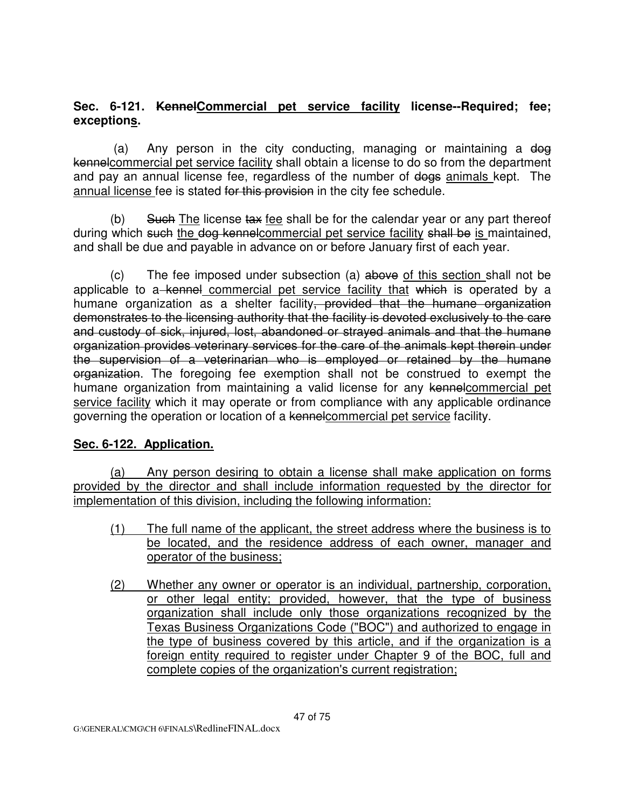# **Sec. 6-121. KennelCommercial pet service facility license--Required; fee; exceptions.**

(a) Any person in the city conducting, managing or maintaining a dog kennelcommercial pet service facility shall obtain a license to do so from the department and pay an annual license fee, regardless of the number of dogs animals kept. The annual license fee is stated for this provision in the city fee schedule.

(b) Such The license tax fee shall be for the calendar year or any part thereof during which such the dog kennelcommercial pet service facility shall be is maintained, and shall be due and payable in advance on or before January first of each year.

 (c) The fee imposed under subsection (a) above of this section shall not be applicable to a kennel commercial pet service facility that which is operated by a humane organization as a shelter facility, provided that the humane organization demonstrates to the licensing authority that the facility is devoted exclusively to the care and custody of sick, injured, lost, abandoned or strayed animals and that the humane organization provides veterinary services for the care of the animals kept therein under the supervision of a veterinarian who is employed or retained by the humane organization. The foregoing fee exemption shall not be construed to exempt the humane organization from maintaining a valid license for any kennelcommercial pet service facility which it may operate or from compliance with any applicable ordinance governing the operation or location of a kennelcommercial pet service facility.

#### **Sec. 6-122. Application.**

(a) Any person desiring to obtain a license shall make application on forms provided by the director and shall include information requested by the director for implementation of this division, including the following information:

- (1) The full name of the applicant, the street address where the business is to be located, and the residence address of each owner, manager and operator of the business;
- (2) Whether any owner or operator is an individual, partnership, corporation, or other legal entity; provided, however, that the type of business organization shall include only those organizations recognized by the Texas Business Organizations Code ("BOC") and authorized to engage in the type of business covered by this article, and if the organization is a foreign entity required to register under Chapter 9 of the BOC, full and complete copies of the organization's current registration;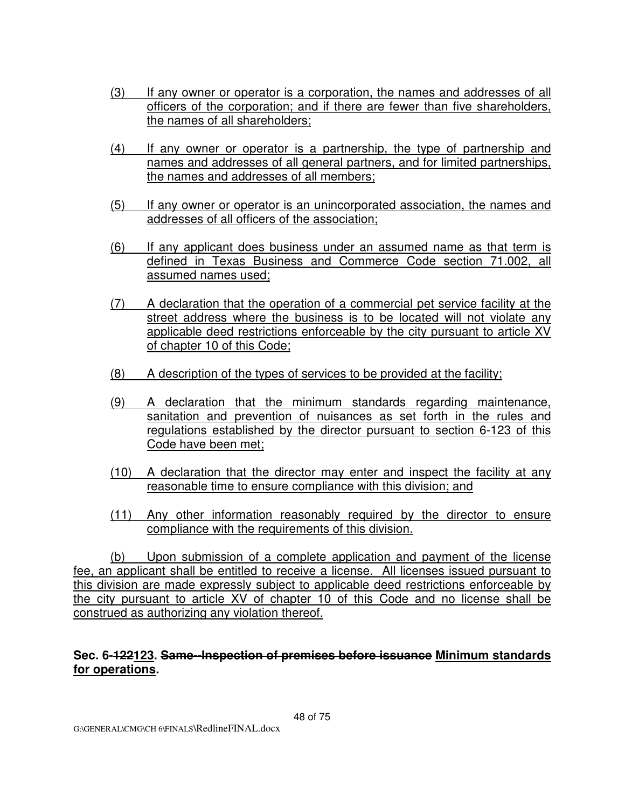- (3) If any owner or operator is a corporation, the names and addresses of all officers of the corporation; and if there are fewer than five shareholders, the names of all shareholders;
- (4) If any owner or operator is a partnership, the type of partnership and names and addresses of all general partners, and for limited partnerships, the names and addresses of all members;
- (5) If any owner or operator is an unincorporated association, the names and addresses of all officers of the association;
- (6) If any applicant does business under an assumed name as that term is defined in Texas Business and Commerce Code section 71.002, all assumed names used;
- (7) A declaration that the operation of a commercial pet service facility at the street address where the business is to be located will not violate any applicable deed restrictions enforceable by the city pursuant to article XV of chapter 10 of this Code;
- (8) A description of the types of services to be provided at the facility;
- (9) A declaration that the minimum standards regarding maintenance, sanitation and prevention of nuisances as set forth in the rules and regulations established by the director pursuant to section 6-123 of this Code have been met;
- (10) A declaration that the director may enter and inspect the facility at any reasonable time to ensure compliance with this division; and
- (11) Any other information reasonably required by the director to ensure compliance with the requirements of this division.

(b) Upon submission of a complete application and payment of the license fee, an applicant shall be entitled to receive a license. All licenses issued pursuant to this division are made expressly subject to applicable deed restrictions enforceable by the city pursuant to article XV of chapter 10 of this Code and no license shall be construed as authorizing any violation thereof.

### **Sec. 6-122123. Same--Inspection of premises before issuance Minimum standards for operations.**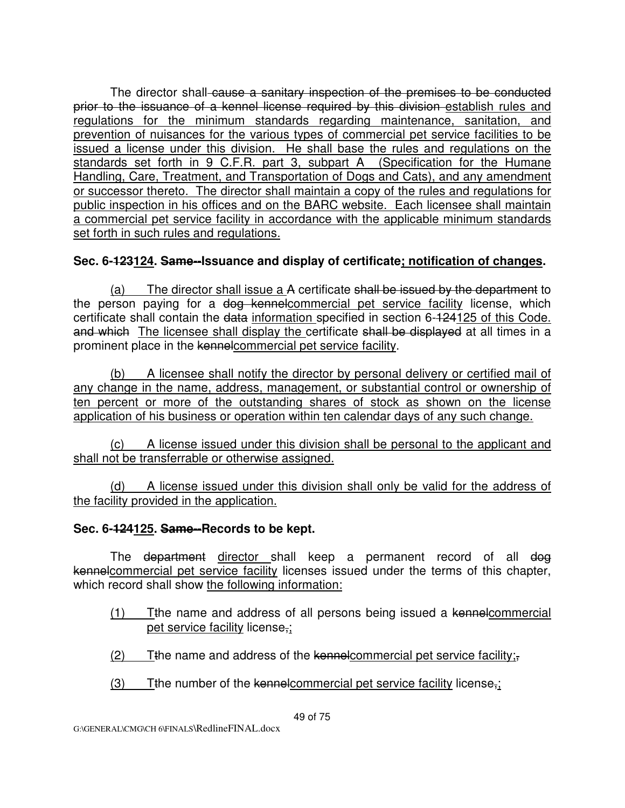The director shall-cause a sanitary inspection of the premises to be conducted prior to the issuance of a kennel license required by this division establish rules and regulations for the minimum standards regarding maintenance, sanitation, and prevention of nuisances for the various types of commercial pet service facilities to be issued a license under this division. He shall base the rules and regulations on the standards set forth in 9 C.F.R. part 3, subpart A (Specification for the Humane Handling, Care, Treatment, and Transportation of Dogs and Cats), and any amendment or successor thereto. The director shall maintain a copy of the rules and regulations for public inspection in his offices and on the BARC website. Each licensee shall maintain a commercial pet service facility in accordance with the applicable minimum standards set forth in such rules and regulations.

# **Sec. 6-123124. Same--Issuance and display of certificate; notification of changes.**

(a) The director shall issue a A certificate shall be issued by the department to the person paying for a dog kennelcommercial pet service facility license, which certificate shall contain the data information specified in section 6-124125 of this Code. and which The licensee shall display the certificate shall be displayed at all times in a prominent place in the kennelcommercial pet service facility.

(b) A licensee shall notify the director by personal delivery or certified mail of any change in the name, address, management, or substantial control or ownership of ten percent or more of the outstanding shares of stock as shown on the license application of his business or operation within ten calendar days of any such change.

(c) A license issued under this division shall be personal to the applicant and shall not be transferrable or otherwise assigned.

(d) A license issued under this division shall only be valid for the address of the facility provided in the application.

#### **Sec. 6-124125. Same--Records to be kept.**

The department director shall keep a permanent record of all dog kennelcommercial pet service facility licenses issued under the terms of this chapter, which record shall show the following information:

- (1) Tthe name and address of all persons being issued a kennelcommercial pet service facility license,;
- $(2)$  Tthe name and address of the kennelcommercial pet service facility;
- $(3)$  Tthe number of the kennelcommercial pet service facility license,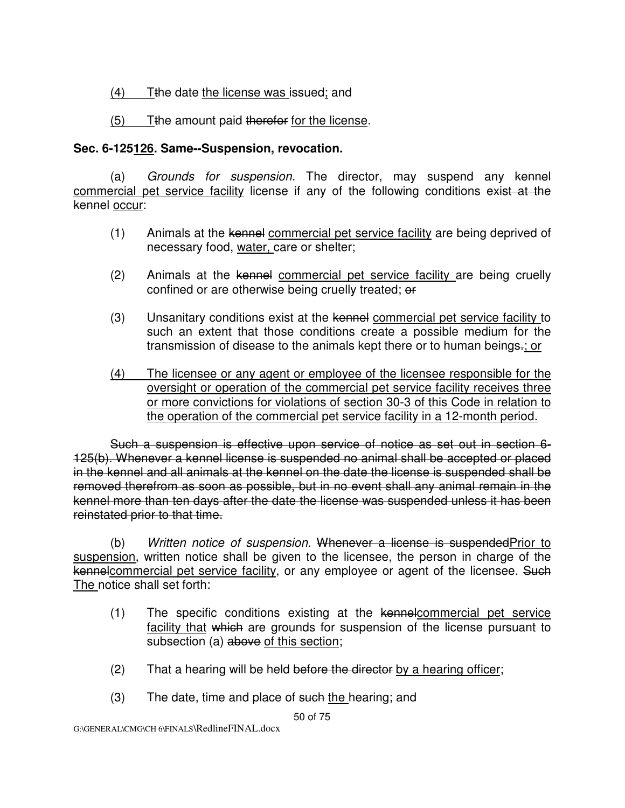$(4)$  Tthe date the license was issued; and

(5) Tthe amount paid therefor for the license.

# **Sec. 6-125126. Same--Suspension, revocation.**

(a) Grounds for suspension. The director<sub> $\tau$ </sub> may suspend any kennel commercial pet service facility license if any of the following conditions exist at the kennel occur:

- (1) Animals at the kennel commercial pet service facility are being deprived of necessary food, water, care or shelter;
- (2) Animals at the kennel commercial pet service facility are being cruelly confined or are otherwise being cruelly treated; or
- (3) Unsanitary conditions exist at the kennel commercial pet service facility to such an extent that those conditions create a possible medium for the transmission of disease to the animals kept there or to human beings.; or
- (4) The licensee or any agent or employee of the licensee responsible for the oversight or operation of the commercial pet service facility receives three or more convictions for violations of section 30-3 of this Code in relation to the operation of the commercial pet service facility in a 12-month period.

 Such a suspension is effective upon service of notice as set out in section 6- 125(b). Whenever a kennel license is suspended no animal shall be accepted or placed in the kennel and all animals at the kennel on the date the license is suspended shall be removed therefrom as soon as possible, but in no event shall any animal remain in the kennel more than ten days after the date the license was suspended unless it has been reinstated prior to that time.

 (b) Written notice of suspension. Whenever a license is suspendedPrior to suspension, written notice shall be given to the licensee, the person in charge of the kennelcommercial pet service facility, or any employee or agent of the licensee. Such The notice shall set forth:

- (1) The specific conditions existing at the kennelcommercial pet service facility that which are grounds for suspension of the license pursuant to subsection (a) above of this section;
- $(2)$  That a hearing will be held before the director by a hearing officer;
- $(3)$  The date, time and place of such the hearing; and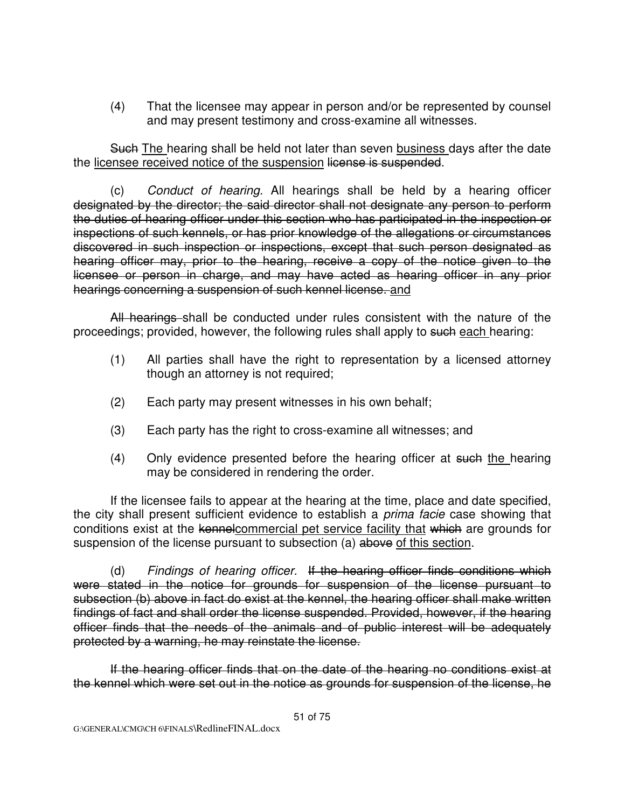(4) That the licensee may appear in person and/or be represented by counsel and may present testimony and cross-examine all witnesses.

Such The hearing shall be held not later than seven business days after the date the licensee received notice of the suspension license is suspended.

 (c) Conduct of hearing. All hearings shall be held by a hearing officer designated by the director; the said director shall not designate any person to perform the duties of hearing officer under this section who has participated in the inspection or inspections of such kennels, or has prior knowledge of the allegations or circumstances discovered in such inspection or inspections, except that such person designated as hearing officer may, prior to the hearing, receive a copy of the notice given to the licensee or person in charge, and may have acted as hearing officer in any prior hearings concerning a suspension of such kennel license. and

All hearings shall be conducted under rules consistent with the nature of the proceedings; provided, however, the following rules shall apply to such each hearing:

- (1) All parties shall have the right to representation by a licensed attorney though an attorney is not required;
- (2) Each party may present witnesses in his own behalf;
- (3) Each party has the right to cross-examine all witnesses; and
- (4) Only evidence presented before the hearing officer at such the hearing may be considered in rendering the order.

 If the licensee fails to appear at the hearing at the time, place and date specified, the city shall present sufficient evidence to establish a *prima facie* case showing that conditions exist at the kennelcommercial pet service facility that which are grounds for suspension of the license pursuant to subsection (a) above of this section.

 (d) Findings of hearing officer. If the hearing officer finds conditions which were stated in the notice for grounds for suspension of the license pursuant to subsection (b) above in fact do exist at the kennel, the hearing officer shall make written findings of fact and shall order the license suspended. Provided, however, if the hearing officer finds that the needs of the animals and of public interest will be adequately protected by a warning, he may reinstate the license.

 If the hearing officer finds that on the date of the hearing no conditions exist at the kennel which were set out in the notice as grounds for suspension of the license, he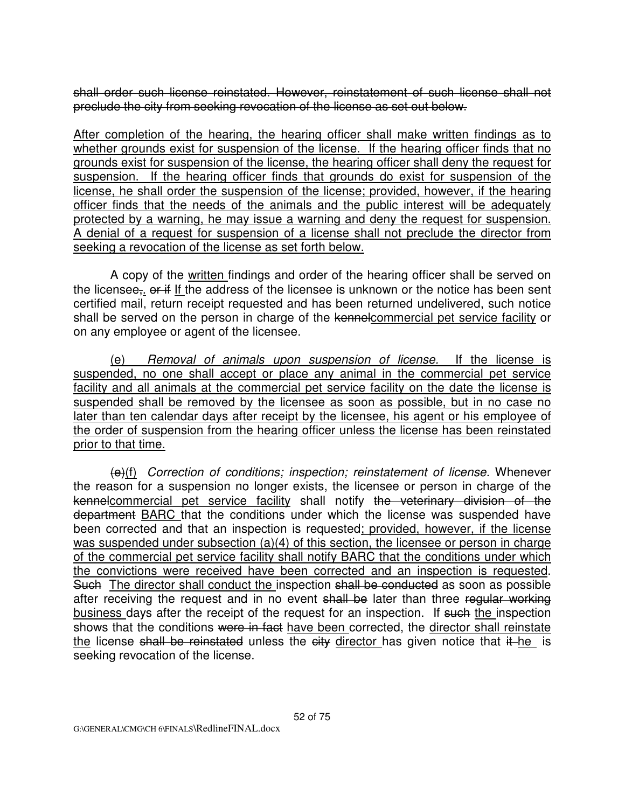shall order such license reinstated. However, reinstatement of such license shall not preclude the city from seeking revocation of the license as set out below.

After completion of the hearing, the hearing officer shall make written findings as to whether grounds exist for suspension of the license. If the hearing officer finds that no grounds exist for suspension of the license, the hearing officer shall deny the request for suspension. If the hearing officer finds that grounds do exist for suspension of the license, he shall order the suspension of the license; provided, however, if the hearing officer finds that the needs of the animals and the public interest will be adequately protected by a warning, he may issue a warning and deny the request for suspension. A denial of a request for suspension of a license shall not preclude the director from seeking a revocation of the license as set forth below.

 A copy of the written findings and order of the hearing officer shall be served on the licensee<sub></sub>, or if If the address of the licensee is unknown or the notice has been sent certified mail, return receipt requested and has been returned undelivered, such notice shall be served on the person in charge of the kennelcommercial pet service facility or on any employee or agent of the licensee.

 (e) Removal of animals upon suspension of license. If the license is suspended, no one shall accept or place any animal in the commercial pet service facility and all animals at the commercial pet service facility on the date the license is suspended shall be removed by the licensee as soon as possible, but in no case no later than ten calendar days after receipt by the licensee, his agent or his employee of the order of suspension from the hearing officer unless the license has been reinstated prior to that time.

 $(e)(f)$  Correction of conditions; inspection; reinstatement of license. Whenever the reason for a suspension no longer exists, the licensee or person in charge of the kennelcommercial pet service facility shall notify the veterinary division of the department **BARC** that the conditions under which the license was suspended have been corrected and that an inspection is requested; provided, however, if the license was suspended under subsection (a)(4) of this section, the licensee or person in charge of the commercial pet service facility shall notify BARC that the conditions under which the convictions were received have been corrected and an inspection is requested. Such The director shall conduct the inspection shall be conducted as soon as possible after receiving the request and in no event shall be later than three regular working business days after the receipt of the request for an inspection. If such the inspection shows that the conditions were in fact have been corrected, the director shall reinstate the license shall be reinstated unless the  $city$  director has given notice that  $it$  he is seeking revocation of the license.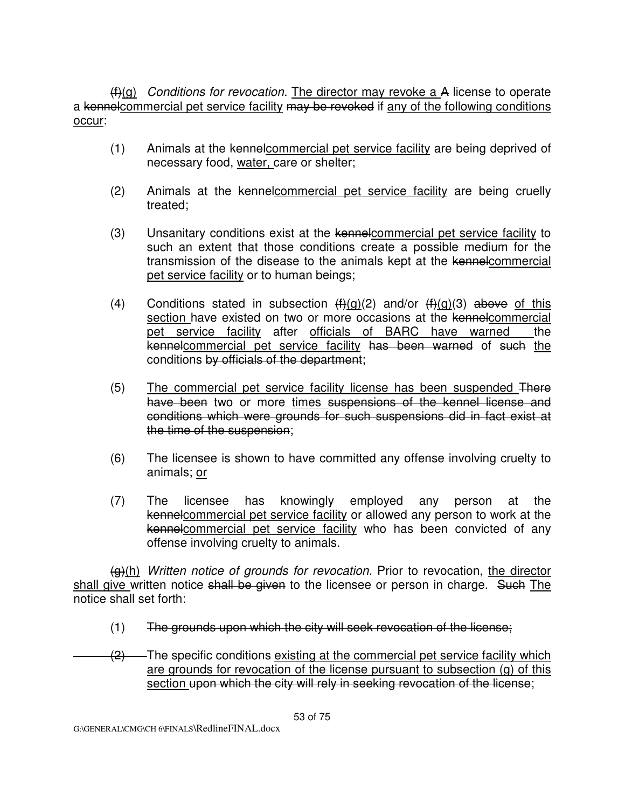$(f<sup>2</sup>(f<sup>2</sup>(f<sup>2</sup>))$  *Conditions for revocation.* The director may revoke a A license to operate a kennelcommercial pet service facility may be revoked if any of the following conditions occur:

- (1) Animals at the kennelcommercial pet service facility are being deprived of necessary food, water, care or shelter;
- (2) Animals at the kennelcommercial pet service facility are being cruelly treated;
- (3) Unsanitary conditions exist at the kennelcommercial pet service facility to such an extent that those conditions create a possible medium for the transmission of the disease to the animals kept at the kennelcommercial pet service facility or to human beings;
- (4) Conditions stated in subsection  $(f)(q)(2)$  and/or  $(f)(q)(3)$  above of this section have existed on two or more occasions at the kennelcommercial pet service facility after officials of BARC have warned the kennelcommercial pet service facility has been warned of such the conditions by officials of the department;
- (5) The commercial pet service facility license has been suspended There have been two or more times suspensions of the kennel license and conditions which were grounds for such suspensions did in fact exist at the time of the suspension;
- (6) The licensee is shown to have committed any offense involving cruelty to animals; or
- (7) The licensee has knowingly employed any person at the kennelcommercial pet service facility or allowed any person to work at the kennelcommercial pet service facility who has been convicted of any offense involving cruelty to animals.

 $\left(\frac{q}{r}\right)$ (h) Written notice of grounds for revocation. Prior to revocation, the director shall give written notice shall be given to the licensee or person in charge. Such The notice shall set forth:

- (1) The grounds upon which the city will seek revocation of the license;
- $\frac{1}{2}$  The specific conditions existing at the commercial pet service facility which are grounds for revocation of the license pursuant to subsection (g) of this section upon which the city will rely in seeking revocation of the license;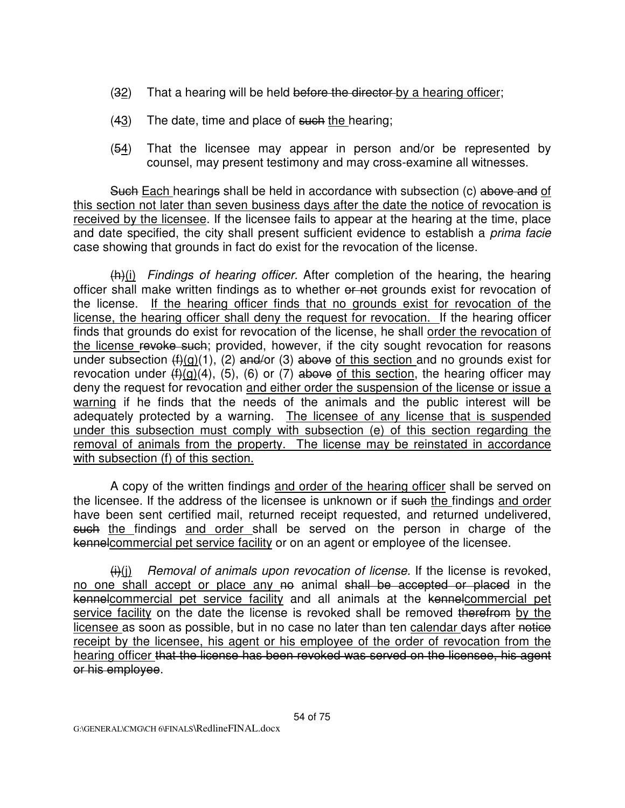- (32) That a hearing will be held before the director by a hearing officer;
- $(43)$  The date, time and place of such the hearing;
- $(54)$  That the licensee may appear in person and/or be represented by counsel, may present testimony and may cross-examine all witnesses.

Such Each hearings shall be held in accordance with subsection (c) above and of this section not later than seven business days after the date the notice of revocation is received by the licensee. If the licensee fails to appear at the hearing at the time, place and date specified, the city shall present sufficient evidence to establish a *prima facie* case showing that grounds in fact do exist for the revocation of the license.

 $(h)(i)$  Findings of hearing officer. After completion of the hearing, the hearing officer shall make written findings as to whether or not grounds exist for revocation of the license. If the hearing officer finds that no grounds exist for revocation of the license, the hearing officer shall deny the request for revocation. If the hearing officer finds that grounds do exist for revocation of the license, he shall order the revocation of the license revoke such; provided, however, if the city sought revocation for reasons under subsection  $(f)(g)(1)$ , (2) and/or (3) above of this section and no grounds exist for revocation under  $(f)(g)(4)$ , (5), (6) or (7) above of this section, the hearing officer may deny the request for revocation and either order the suspension of the license or issue a warning if he finds that the needs of the animals and the public interest will be adequately protected by a warning. The licensee of any license that is suspended under this subsection must comply with subsection (e) of this section regarding the removal of animals from the property. The license may be reinstated in accordance with subsection (f) of this section.

 A copy of the written findings and order of the hearing officer shall be served on the licensee. If the address of the licensee is unknown or if such the findings and order have been sent certified mail, returned receipt requested, and returned undelivered, such the findings and order shall be served on the person in charge of the kennelcommercial pet service facility or on an agent or employee of the licensee.

 $\left(\frac{1}{1}\right)(j)$  Removal of animals upon revocation of license. If the license is revoked, no one shall accept or place any no animal shall be accepted or placed in the kennelcommercial pet service facility and all animals at the kennelcommercial pet service facility on the date the license is revoked shall be removed therefrom by the licensee as soon as possible, but in no case no later than ten calendar days after notice receipt by the licensee, his agent or his employee of the order of revocation from the hearing officer that the license has been revoked was served on the licensee, his agent or his employee.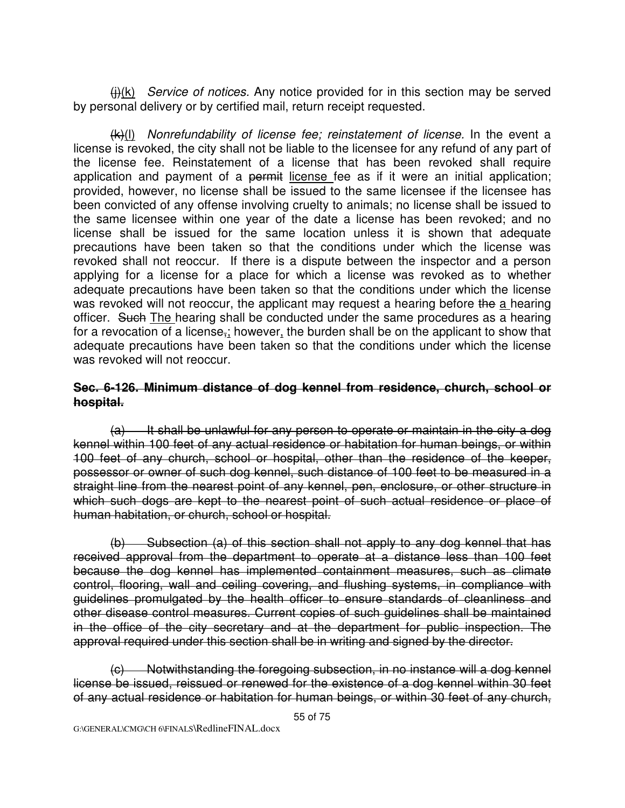$(H)(k)$  Service of notices. Any notice provided for in this section may be served by personal delivery or by certified mail, return receipt requested.

 $(k)(I)$  Nonrefundability of license fee; reinstatement of license. In the event a license is revoked, the city shall not be liable to the licensee for any refund of any part of the license fee. Reinstatement of a license that has been revoked shall require application and payment of a permit license fee as if it were an initial application; provided, however, no license shall be issued to the same licensee if the licensee has been convicted of any offense involving cruelty to animals; no license shall be issued to the same licensee within one year of the date a license has been revoked; and no license shall be issued for the same location unless it is shown that adequate precautions have been taken so that the conditions under which the license was revoked shall not reoccur. If there is a dispute between the inspector and a person applying for a license for a place for which a license was revoked as to whether adequate precautions have been taken so that the conditions under which the license was revoked will not reoccur, the applicant may request a hearing before the a hearing officer. Such The hearing shall be conducted under the same procedures as a hearing for a revocation of a license,; however, the burden shall be on the applicant to show that adequate precautions have been taken so that the conditions under which the license was revoked will not reoccur.

#### **Sec. 6-126. Minimum distance of dog kennel from residence, church, school or hospital.**

 $(a)$  It shall be unlawful for any person to operate or maintain in the city a dog kennel within 100 feet of any actual residence or habitation for human beings, or within 100 feet of any church, school or hospital, other than the residence of the keeper, possessor or owner of such dog kennel, such distance of 100 feet to be measured in a straight line from the nearest point of any kennel, pen, enclosure, or other structure in which such dogs are kept to the nearest point of such actual residence or place of human habitation, or church, school or hospital.

 (b) Subsection (a) of this section shall not apply to any dog kennel that has received approval from the department to operate at a distance less than 100 feet because the dog kennel has implemented containment measures, such as climate control, flooring, wall and ceiling covering, and flushing systems, in compliance with guidelines promulgated by the health officer to ensure standards of cleanliness and other disease control measures. Current copies of such guidelines shall be maintained in the office of the city secretary and at the department for public inspection. The approval required under this section shall be in writing and signed by the director.

 (c) Notwithstanding the foregoing subsection, in no instance will a dog kennel license be issued, reissued or renewed for the existence of a dog kennel within 30 feet of any actual residence or habitation for human beings, or within 30 feet of any church,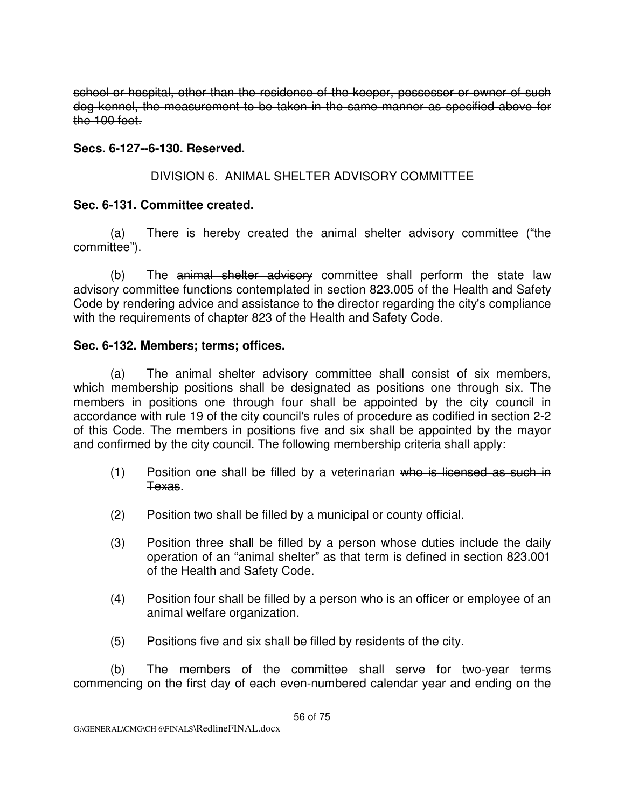school or hospital, other than the residence of the keeper, possessor or owner of such dog kennel, the measurement to be taken in the same manner as specified above for the 100 feet.

### **Secs. 6-127--6-130. Reserved.**

# DIVISION 6. ANIMAL SHELTER ADVISORY COMMITTEE

#### **Sec. 6-131. Committee created.**

 (a) There is hereby created the animal shelter advisory committee ("the committee").

 (b) The animal shelter advisory committee shall perform the state law advisory committee functions contemplated in section 823.005 of the Health and Safety Code by rendering advice and assistance to the director regarding the city's compliance with the requirements of chapter 823 of the Health and Safety Code.

#### **Sec. 6-132. Members; terms; offices.**

 (a) The animal shelter advisory committee shall consist of six members, which membership positions shall be designated as positions one through six. The members in positions one through four shall be appointed by the city council in accordance with rule 19 of the city council's rules of procedure as codified in section 2-2 of this Code. The members in positions five and six shall be appointed by the mayor and confirmed by the city council. The following membership criteria shall apply:

- (1) Position one shall be filled by a veterinarian who is licensed as such in Texas.
- (2) Position two shall be filled by a municipal or county official.
- (3) Position three shall be filled by a person whose duties include the daily operation of an "animal shelter" as that term is defined in section 823.001 of the Health and Safety Code.
- (4) Position four shall be filled by a person who is an officer or employee of an animal welfare organization.
- (5) Positions five and six shall be filled by residents of the city.

 (b) The members of the committee shall serve for two-year terms commencing on the first day of each even-numbered calendar year and ending on the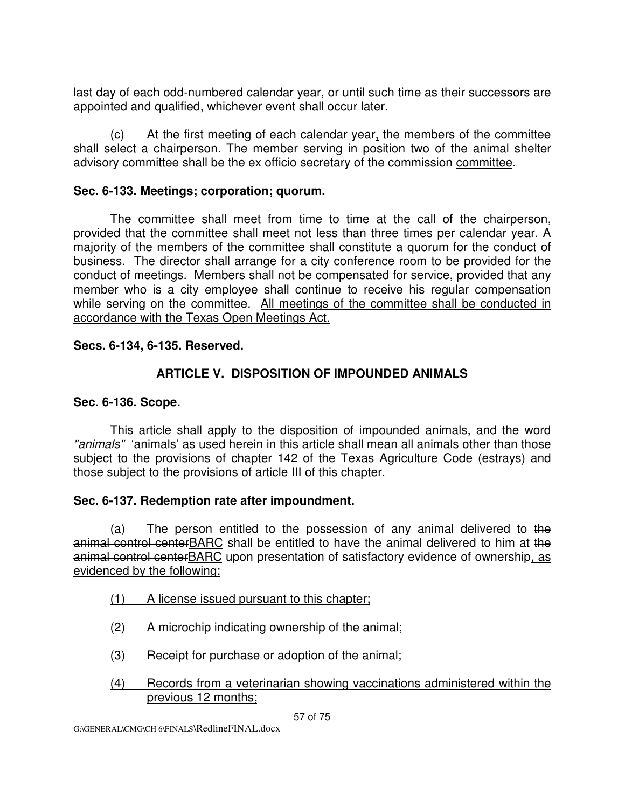last day of each odd-numbered calendar year, or until such time as their successors are appointed and qualified, whichever event shall occur later.

 (c) At the first meeting of each calendar year, the members of the committee shall select a chairperson. The member serving in position two of the animal shelter advisory committee shall be the ex officio secretary of the commission committee.

### **Sec. 6-133. Meetings; corporation; quorum.**

The committee shall meet from time to time at the call of the chairperson, provided that the committee shall meet not less than three times per calendar year. A majority of the members of the committee shall constitute a quorum for the conduct of business. The director shall arrange for a city conference room to be provided for the conduct of meetings. Members shall not be compensated for service, provided that any member who is a city employee shall continue to receive his regular compensation while serving on the committee. All meetings of the committee shall be conducted in accordance with the Texas Open Meetings Act.

#### **Secs. 6-134, 6-135. Reserved.**

# **ARTICLE V. DISPOSITION OF IMPOUNDED ANIMALS**

### **Sec. 6-136. Scope.**

This article shall apply to the disposition of impounded animals, and the word "animals" 'animals' as used herein in this article shall mean all animals other than those subject to the provisions of chapter 142 of the Texas Agriculture Code (estrays) and those subject to the provisions of article III of this chapter.

# **Sec. 6-137. Redemption rate after impoundment.**

(a) The person entitled to the possession of any animal delivered to the animal control centerBARC shall be entitled to have the animal delivered to him at the animal control centerBARC upon presentation of satisfactory evidence of ownership, as evidenced by the following:

# (1) A license issued pursuant to this chapter;

- (2) A microchip indicating ownership of the animal;
- (3) Receipt for purchase or adoption of the animal;
- (4) Records from a veterinarian showing vaccinations administered within the previous 12 months;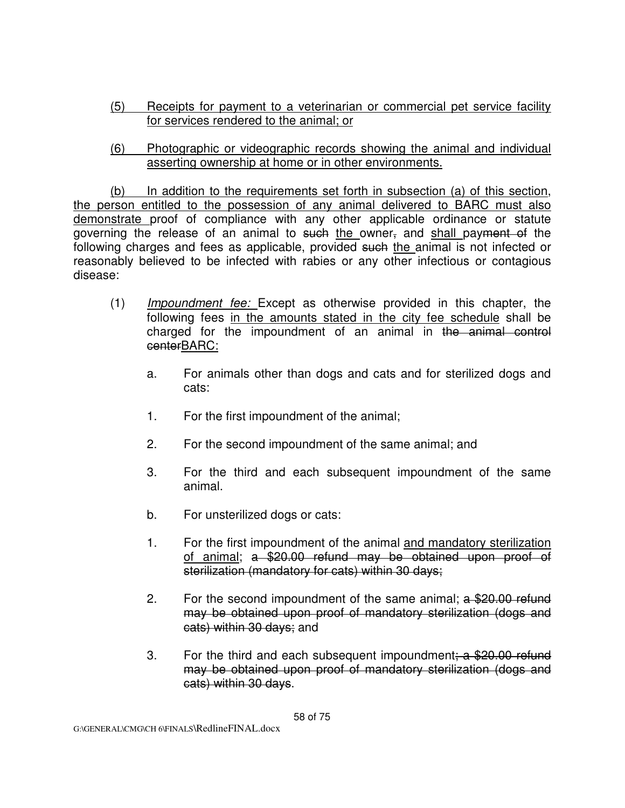- (5) Receipts for payment to a veterinarian or commercial pet service facility for services rendered to the animal; or
- (6) Photographic or videographic records showing the animal and individual asserting ownership at home or in other environments.

 (b) In addition to the requirements set forth in subsection (a) of this section, the person entitled to the possession of any animal delivered to BARC must also demonstrate proof of compliance with any other applicable ordinance or statute governing the release of an animal to such the owner, and shall payment of the following charges and fees as applicable, provided such the animal is not infected or reasonably believed to be infected with rabies or any other infectious or contagious disease:

- (1) Impoundment fee: Except as otherwise provided in this chapter, the following fees in the amounts stated in the city fee schedule shall be charged for the impoundment of an animal in the animal control centerBARC:
	- a. For animals other than dogs and cats and for sterilized dogs and cats:
	- 1. For the first impoundment of the animal;
	- 2. For the second impoundment of the same animal; and
	- 3. For the third and each subsequent impoundment of the same animal.
	- b. For unsterilized dogs or cats:
	- 1. For the first impoundment of the animal and mandatory sterilization of animal; a \$20.00 refund may be obtained upon proof of sterilization (mandatory for cats) within 30 days;
	- 2. For the second impoundment of the same animal;  $a$  \$20.00 refund may be obtained upon proof of mandatory sterilization (dogs and cats) within 30 days; and
	- 3. For the third and each subsequent impoundment;  $a$  \$20.00 refund may be obtained upon proof of mandatory sterilization (dogs and cats) within 30 days.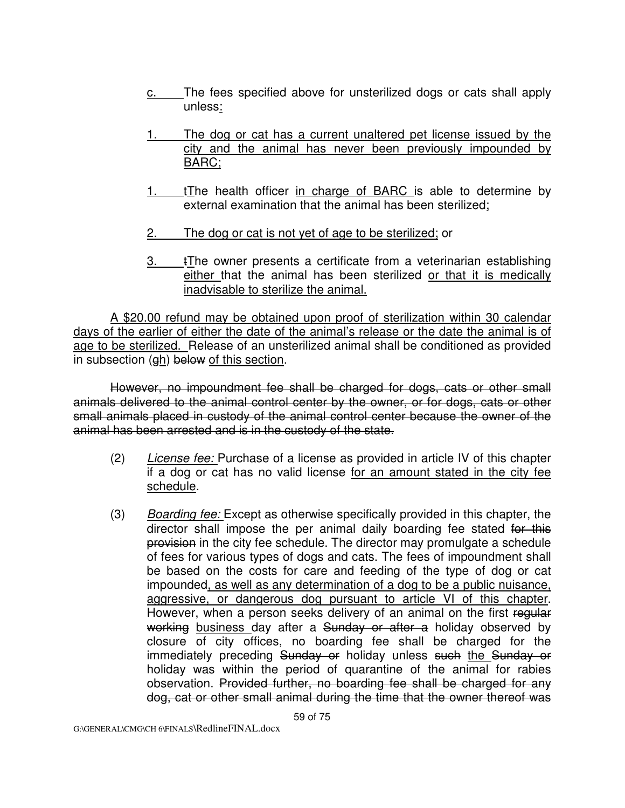- c. The fees specified above for unsterilized dogs or cats shall apply unless:
- 1. The dog or cat has a current unaltered pet license issued by the city and the animal has never been previously impounded by BARC;
- 1. tThe health officer in charge of BARC is able to determine by external examination that the animal has been sterilized;
- 2. The dog or cat is not yet of age to be sterilized; or
- $3.$  tThe owner presents a certificate from a veterinarian establishing either that the animal has been sterilized or that it is medically inadvisable to sterilize the animal.

A \$20.00 refund may be obtained upon proof of sterilization within 30 calendar days of the earlier of either the date of the animal's release or the date the animal is of age to be sterilized. Release of an unsterilized animal shall be conditioned as provided in subsection (gh) below of this section.

 However, no impoundment fee shall be charged for dogs, cats or other small animals delivered to the animal control center by the owner, or for dogs, cats or other small animals placed in custody of the animal control center because the owner of the animal has been arrested and is in the custody of the state.

- (2) License fee: Purchase of a license as provided in article IV of this chapter if a dog or cat has no valid license for an amount stated in the city fee schedule.
- (3) Boarding fee: Except as otherwise specifically provided in this chapter, the director shall impose the per animal daily boarding fee stated for this provision in the city fee schedule. The director may promulgate a schedule of fees for various types of dogs and cats. The fees of impoundment shall be based on the costs for care and feeding of the type of dog or cat impounded, as well as any determination of a dog to be a public nuisance, aggressive, or dangerous dog pursuant to article VI of this chapter. However, when a person seeks delivery of an animal on the first regular working business day after a Sunday or after a holiday observed by closure of city offices, no boarding fee shall be charged for the immediately preceding Sunday or holiday unless such the Sunday or holiday was within the period of quarantine of the animal for rabies observation. Provided further, no boarding fee shall be charged for any dog, cat or other small animal during the time that the owner thereof was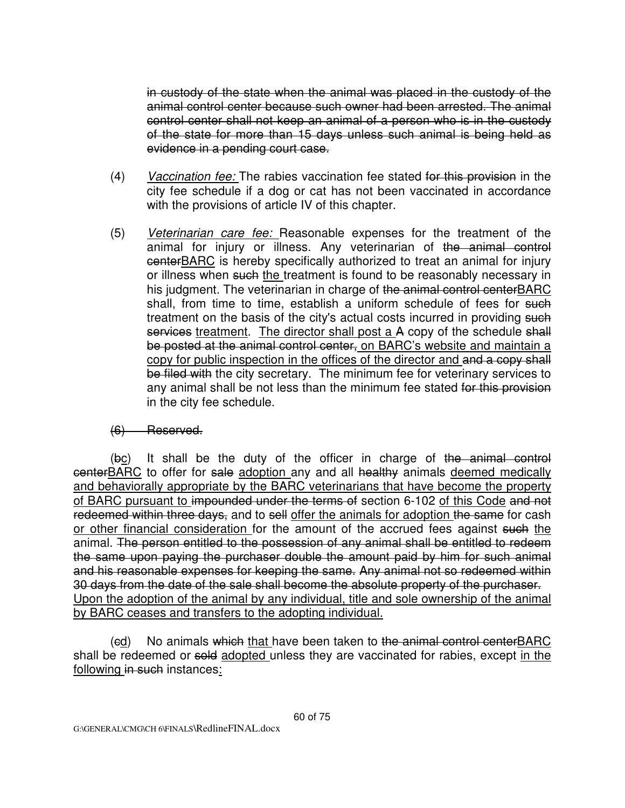in custody of the state when the animal was placed in the custody of the animal control center because such owner had been arrested. The animal control center shall not keep an animal of a person who is in the custody of the state for more than 15 days unless such animal is being held as evidence in a pending court case.

- (4) Vaccination fee: The rabies vaccination fee stated for this provision in the city fee schedule if a dog or cat has not been vaccinated in accordance with the provisions of article IV of this chapter.
- (5) Veterinarian care fee: Reasonable expenses for the treatment of the animal for injury or illness. Any veterinarian of the animal control centerBARC is hereby specifically authorized to treat an animal for injury or illness when such the treatment is found to be reasonably necessary in his judgment. The veterinarian in charge of the animal control centerBARC shall, from time to time, establish a uniform schedule of fees for such treatment on the basis of the city's actual costs incurred in providing such services treatment. The director shall post a A copy of the schedule shall be posted at the animal control center, on BARC's website and maintain a copy for public inspection in the offices of the director and and a copy shall be filed with the city secretary. The minimum fee for veterinary services to any animal shall be not less than the minimum fee stated for this provision in the city fee schedule.

#### (6) Reserved.

 (bc) It shall be the duty of the officer in charge of the animal control centerBARC to offer for sale adoption any and all healthy animals deemed medically and behaviorally appropriate by the BARC veterinarians that have become the property of BARC pursuant to impounded under the terms of section 6-102 of this Code and not redeemed within three days, and to sell offer the animals for adoption the same for cash or other financial consideration for the amount of the accrued fees against such the animal. The person entitled to the possession of any animal shall be entitled to redeem the same upon paying the purchaser double the amount paid by him for such animal and his reasonable expenses for keeping the same. Any animal not so redeemed within 30 days from the date of the sale shall become the absolute property of the purchaser. Upon the adoption of the animal by any individual, title and sole ownership of the animal by BARC ceases and transfers to the adopting individual.

(ed) No animals which that have been taken to the animal control centerBARC shall be redeemed or sold adopted unless they are vaccinated for rabies, except in the following in such instances: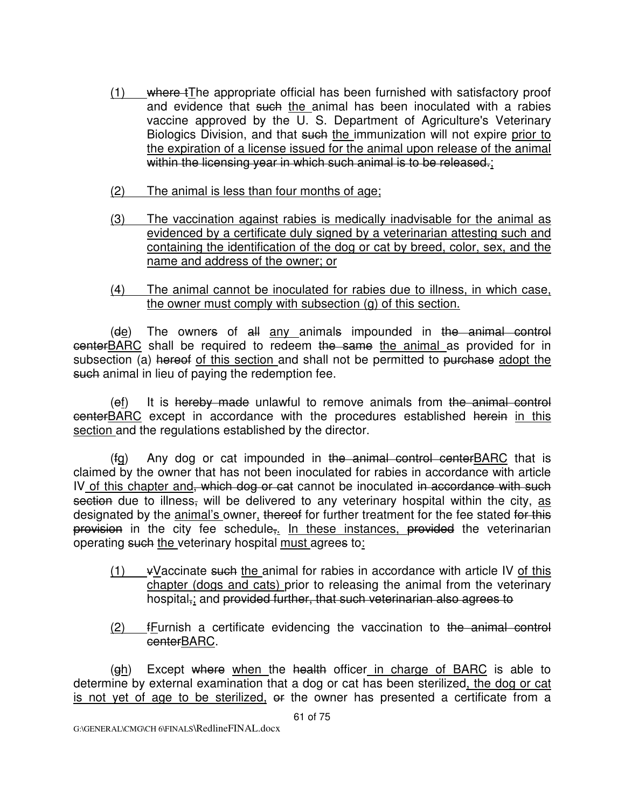- (1) where the appropriate official has been furnished with satisfactory proof and evidence that such the animal has been inoculated with a rabies vaccine approved by the U. S. Department of Agriculture's Veterinary Biologics Division, and that such the immunization will not expire prior to the expiration of a license issued for the animal upon release of the animal within the licensing year in which such animal is to be released.;
- (2) The animal is less than four months of age;
- (3) The vaccination against rabies is medically inadvisable for the animal as evidenced by a certificate duly signed by a veterinarian attesting such and containing the identification of the dog or cat by breed, color, sex, and the name and address of the owner; or
- (4) The animal cannot be inoculated for rabies due to illness, in which case, the owner must comply with subsection (g) of this section.

 (de) The owners of all any animals impounded in the animal control centerBARC shall be required to redeem the same the animal as provided for in subsection (a) hereof of this section and shall not be permitted to purchase adopt the such animal in lieu of paying the redemption fee.

 $(e_i)$  It is hereby made unlawful to remove animals from the animal control centerBARC except in accordance with the procedures established herein in this section and the regulations established by the director.

 $(fg)$  Any dog or cat impounded in the animal control centerBARC that is claimed by the owner that has not been inoculated for rabies in accordance with article IV of this chapter and, which dog or cat cannot be inoculated in accordance with such section due to illness, will be delivered to any veterinary hospital within the city, as designated by the animal's owner, thereof for further treatment for the fee stated for this provision in the city fee schedule,. In these instances, provided the veterinarian operating such the veterinary hospital must agrees to:

- $(1)$  vVaccinate such the animal for rabies in accordance with article IV of this chapter (dogs and cats) prior to releasing the animal from the veterinary hospital, and provided further, that such veterinarian also agrees to
- (2) fFurnish a certificate evidencing the vaccination to the animal control centerBARC.

(eh) Except where when the health officer in charge of BARC is able to determine by external examination that a dog or cat has been sterilized, the dog or cat is not yet of age to be sterilized, or the owner has presented a certificate from a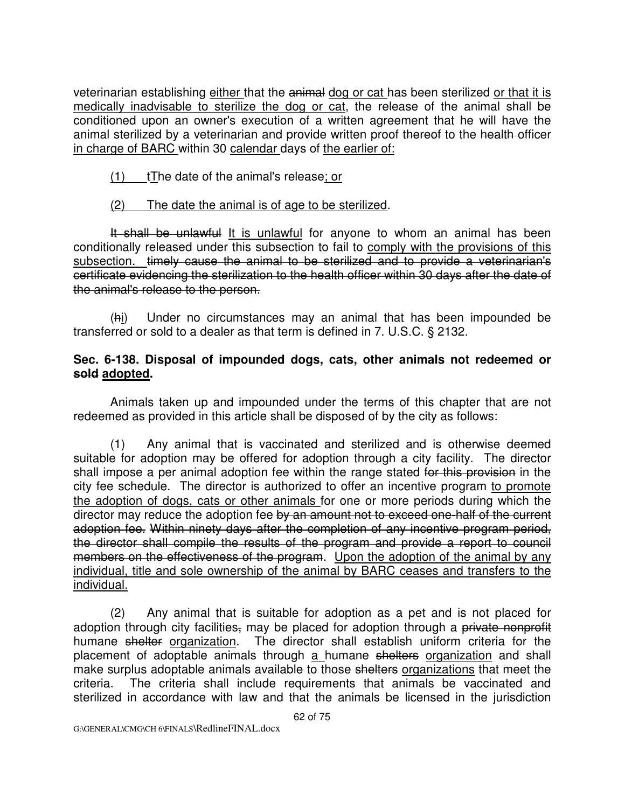veterinarian establishing either that the animal dog or cat has been sterilized or that it is medically inadvisable to sterilize the dog or cat, the release of the animal shall be conditioned upon an owner's execution of a written agreement that he will have the animal sterilized by a veterinarian and provide written proof thereof to the health-officer in charge of BARC within 30 calendar days of the earlier of:

 $(1)$   $\qquad$  tThe date of the animal's release; or

# (2) The date the animal is of age to be sterilized.

It shall be unlawful It is unlawful for anyone to whom an animal has been conditionally released under this subsection to fail to comply with the provisions of this subsection. timely cause the animal to be sterilized and to provide a veterinarian's certificate evidencing the sterilization to the health officer within 30 days after the date of the animal's release to the person.

 (hi) Under no circumstances may an animal that has been impounded be transferred or sold to a dealer as that term is defined in 7. U.S.C. § 2132.

### **Sec. 6-138. Disposal of impounded dogs, cats, other animals not redeemed or sold adopted.**

Animals taken up and impounded under the terms of this chapter that are not redeemed as provided in this article shall be disposed of by the city as follows:

 (1) Any animal that is vaccinated and sterilized and is otherwise deemed suitable for adoption may be offered for adoption through a city facility. The director shall impose a per animal adoption fee within the range stated for this provision in the city fee schedule. The director is authorized to offer an incentive program to promote the adoption of dogs, cats or other animals for one or more periods during which the director may reduce the adoption fee by an amount not to exceed one-half of the current adoption fee. Within ninety days after the completion of any incentive program period, the director shall compile the results of the program and provide a report to council members on the effectiveness of the program. Upon the adoption of the animal by any individual, title and sole ownership of the animal by BARC ceases and transfers to the individual.

 (2) Any animal that is suitable for adoption as a pet and is not placed for adoption through city facilities, may be placed for adoption through a private nonprofit humane shelter organization. The director shall establish uniform criteria for the placement of adoptable animals through a humane shelters organization and shall make surplus adoptable animals available to those shelters organizations that meet the criteria. The criteria shall include requirements that animals be vaccinated and sterilized in accordance with law and that the animals be licensed in the jurisdiction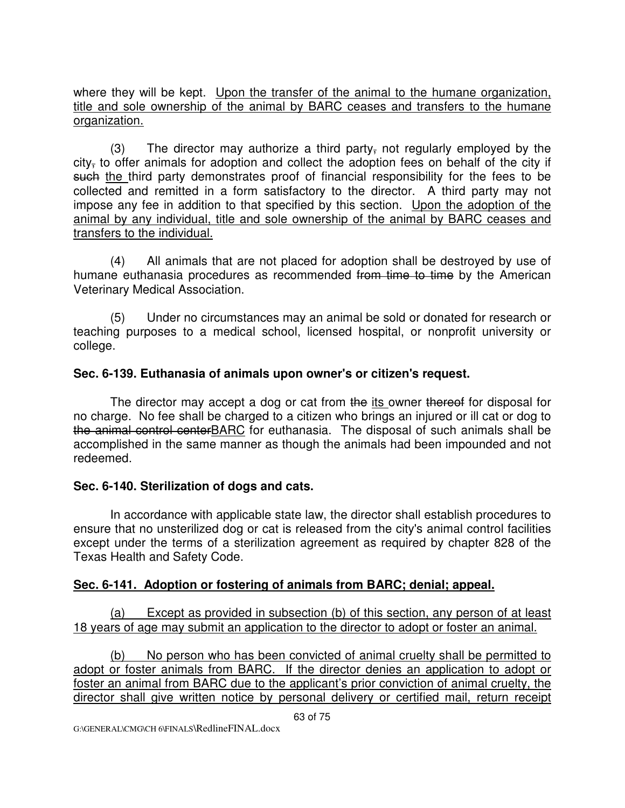where they will be kept. Upon the transfer of the animal to the humane organization, title and sole ownership of the animal by BARC ceases and transfers to the humane organization.

(3) The director may authorize a third party, not regularly employed by the  $city<sub>z</sub>$  to offer animals for adoption and collect the adoption fees on behalf of the city if such the third party demonstrates proof of financial responsibility for the fees to be collected and remitted in a form satisfactory to the director. A third party may not impose any fee in addition to that specified by this section. Upon the adoption of the animal by any individual, title and sole ownership of the animal by BARC ceases and transfers to the individual.

 (4) All animals that are not placed for adoption shall be destroyed by use of humane euthanasia procedures as recommended from time to time by the American Veterinary Medical Association.

 (5) Under no circumstances may an animal be sold or donated for research or teaching purposes to a medical school, licensed hospital, or nonprofit university or college.

# **Sec. 6-139. Euthanasia of animals upon owner's or citizen's request.**

The director may accept a dog or cat from the its owner thereof for disposal for no charge. No fee shall be charged to a citizen who brings an injured or ill cat or dog to the animal control centerBARC for euthanasia. The disposal of such animals shall be accomplished in the same manner as though the animals had been impounded and not redeemed.

# **Sec. 6-140. Sterilization of dogs and cats.**

In accordance with applicable state law, the director shall establish procedures to ensure that no unsterilized dog or cat is released from the city's animal control facilities except under the terms of a sterilization agreement as required by chapter 828 of the Texas Health and Safety Code.

# **Sec. 6-141. Adoption or fostering of animals from BARC; denial; appeal.**

 (a) Except as provided in subsection (b) of this section, any person of at least 18 years of age may submit an application to the director to adopt or foster an animal.

 (b) No person who has been convicted of animal cruelty shall be permitted to adopt or foster animals from BARC. If the director denies an application to adopt or foster an animal from BARC due to the applicant's prior conviction of animal cruelty, the director shall give written notice by personal delivery or certified mail, return receipt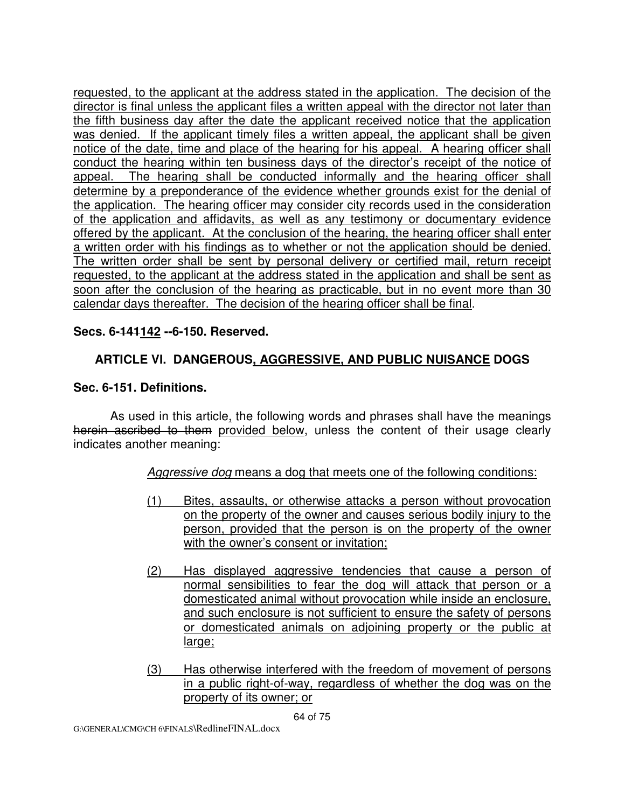requested, to the applicant at the address stated in the application. The decision of the director is final unless the applicant files a written appeal with the director not later than the fifth business day after the date the applicant received notice that the application was denied. If the applicant timely files a written appeal, the applicant shall be given notice of the date, time and place of the hearing for his appeal. A hearing officer shall conduct the hearing within ten business days of the director's receipt of the notice of appeal. The hearing shall be conducted informally and the hearing officer shall determine by a preponderance of the evidence whether grounds exist for the denial of the application. The hearing officer may consider city records used in the consideration of the application and affidavits, as well as any testimony or documentary evidence offered by the applicant. At the conclusion of the hearing, the hearing officer shall enter a written order with his findings as to whether or not the application should be denied. The written order shall be sent by personal delivery or certified mail, return receipt requested, to the applicant at the address stated in the application and shall be sent as soon after the conclusion of the hearing as practicable, but in no event more than 30 calendar days thereafter. The decision of the hearing officer shall be final.

### **Secs. 6-141142 --6-150. Reserved.**

# **ARTICLE VI. DANGEROUS, AGGRESSIVE, AND PUBLIC NUISANCE DOGS**

#### **Sec. 6-151. Definitions.**

As used in this article, the following words and phrases shall have the meanings herein ascribed to them provided below, unless the content of their usage clearly indicates another meaning:

#### Aggressive dog means a dog that meets one of the following conditions:

- (1) Bites, assaults, or otherwise attacks a person without provocation on the property of the owner and causes serious bodily injury to the person, provided that the person is on the property of the owner with the owner's consent or invitation;
- (2) Has displayed aggressive tendencies that cause a person of normal sensibilities to fear the dog will attack that person or a domesticated animal without provocation while inside an enclosure, and such enclosure is not sufficient to ensure the safety of persons or domesticated animals on adjoining property or the public at large;
- (3) Has otherwise interfered with the freedom of movement of persons in a public right-of-way, regardless of whether the dog was on the property of its owner; or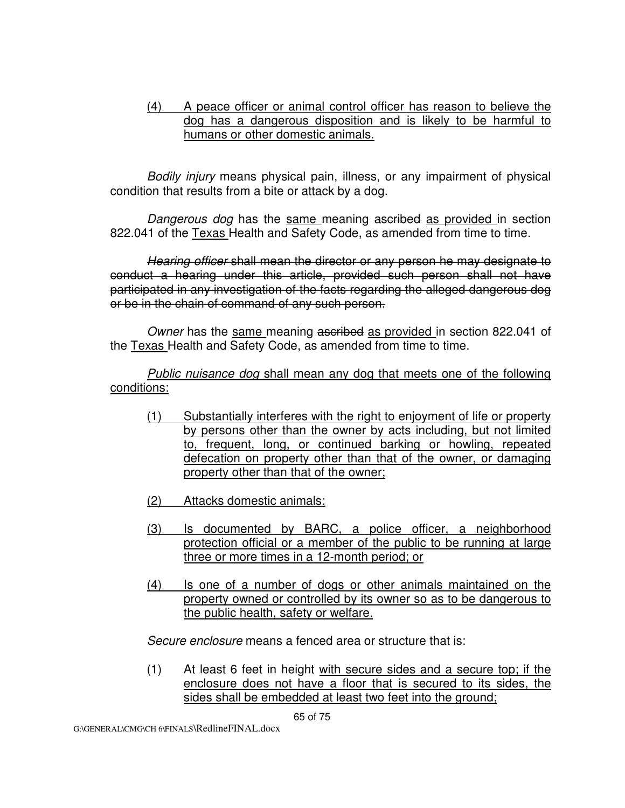### (4) A peace officer or animal control officer has reason to believe the dog has a dangerous disposition and is likely to be harmful to humans or other domestic animals.

Bodily injury means physical pain, illness, or any impairment of physical condition that results from a bite or attack by a dog.

Dangerous dog has the same meaning ascribed as provided in section 822.041 of the Texas Health and Safety Code, as amended from time to time.

 Hearing officer shall mean the director or any person he may designate to conduct a hearing under this article, provided such person shall not have participated in any investigation of the facts regarding the alleged dangerous dog or be in the chain of command of any such person.

Owner has the same meaning ascribed as provided in section 822.041 of the Texas Health and Safety Code, as amended from time to time.

Public nuisance dog shall mean any dog that meets one of the following conditions:

- (1) Substantially interferes with the right to enjoyment of life or property by persons other than the owner by acts including, but not limited to, frequent, long, or continued barking or howling, repeated defecation on property other than that of the owner, or damaging property other than that of the owner;
- (2) Attacks domestic animals;
- (3) Is documented by BARC, a police officer, a neighborhood protection official or a member of the public to be running at large three or more times in a 12-month period; or
- (4) Is one of a number of dogs or other animals maintained on the property owned or controlled by its owner so as to be dangerous to the public health, safety or welfare.

Secure enclosure means a fenced area or structure that is:

 (1) At least 6 feet in height with secure sides and a secure top; if the enclosure does not have a floor that is secured to its sides, the sides shall be embedded at least two feet into the ground;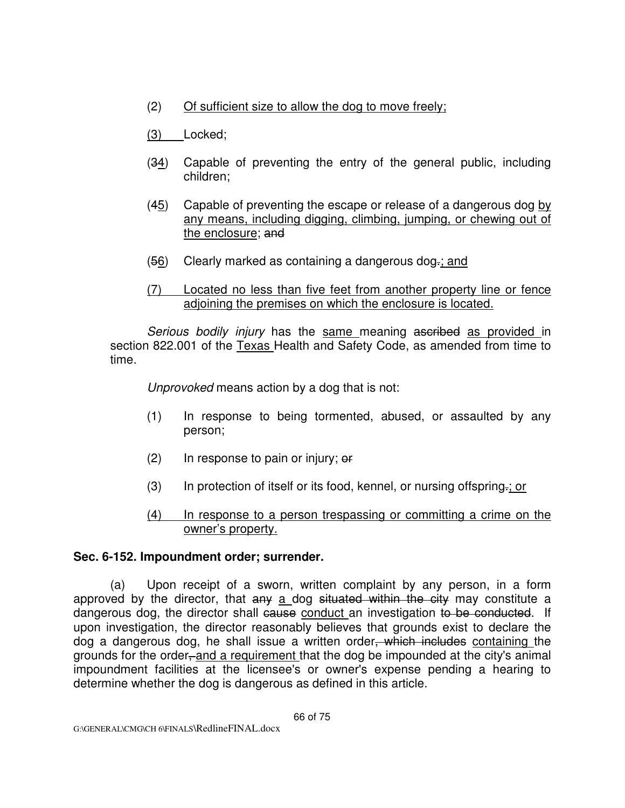(2) Of sufficient size to allow the dog to move freely;

(3) Locked;

- $(34)$  Capable of preventing the entry of the general public, including children;
- (45) Capable of preventing the escape or release of a dangerous dog by any means, including digging, climbing, jumping, or chewing out of the enclosure; and
- $(56)$  Clearly marked as containing a dangerous dog-; and
- (7) Located no less than five feet from another property line or fence adjoining the premises on which the enclosure is located.

Serious bodily injury has the same meaning ascribed as provided in section 822.001 of the Texas Health and Safety Code, as amended from time to time.

Unprovoked means action by a dog that is not:

- (1) In response to being tormented, abused, or assaulted by any person;
- $(2)$  In response to pain or injury;  $\theta f$
- (3) In protection of itself or its food, kennel, or nursing offspring.; or
- (4) In response to a person trespassing or committing a crime on the owner's property.

# **Sec. 6-152. Impoundment order; surrender.**

 (a) Upon receipt of a sworn, written complaint by any person, in a form approved by the director, that any a dog situated within the city may constitute a dangerous dog, the director shall cause conduct an investigation to be conducted. If upon investigation, the director reasonably believes that grounds exist to declare the dog a dangerous dog, he shall issue a written order<del>, which includes</del> containing the grounds for the order, and a requirement that the dog be impounded at the city's animal impoundment facilities at the licensee's or owner's expense pending a hearing to determine whether the dog is dangerous as defined in this article.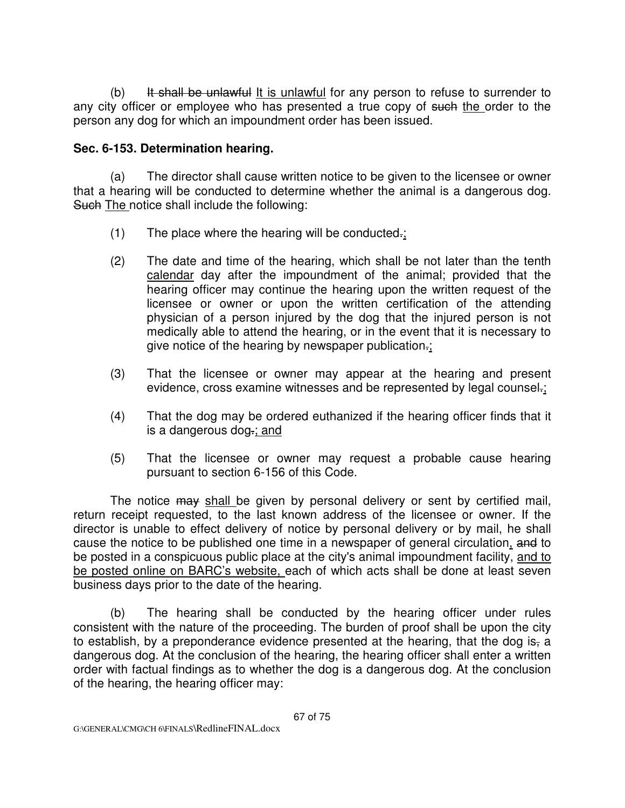(b) It shall be unlawful It is unlawful for any person to refuse to surrender to any city officer or employee who has presented a true copy of such the order to the person any dog for which an impoundment order has been issued.

# **Sec. 6-153. Determination hearing.**

 (a) The director shall cause written notice to be given to the licensee or owner that a hearing will be conducted to determine whether the animal is a dangerous dog. Such The notice shall include the following:

- $(1)$  The place where the hearing will be conducted.
- (2) The date and time of the hearing, which shall be not later than the tenth calendar day after the impoundment of the animal; provided that the hearing officer may continue the hearing upon the written request of the licensee or owner or upon the written certification of the attending physician of a person injured by the dog that the injured person is not medically able to attend the hearing, or in the event that it is necessary to give notice of the hearing by newspaper publication-;
- (3) That the licensee or owner may appear at the hearing and present evidence, cross examine witnesses and be represented by legal counsel.;
- (4) That the dog may be ordered euthanized if the hearing officer finds that it is a dangerous dog.; and
- (5) That the licensee or owner may request a probable cause hearing pursuant to section 6-156 of this Code.

The notice may shall be given by personal delivery or sent by certified mail, return receipt requested, to the last known address of the licensee or owner. If the director is unable to effect delivery of notice by personal delivery or by mail, he shall cause the notice to be published one time in a newspaper of general circulation, and to be posted in a conspicuous public place at the city's animal impoundment facility, and to be posted online on BARC's website, each of which acts shall be done at least seven business days prior to the date of the hearing.

 (b) The hearing shall be conducted by the hearing officer under rules consistent with the nature of the proceeding. The burden of proof shall be upon the city to establish, by a preponderance evidence presented at the hearing, that the dog is, a dangerous dog. At the conclusion of the hearing, the hearing officer shall enter a written order with factual findings as to whether the dog is a dangerous dog. At the conclusion of the hearing, the hearing officer may: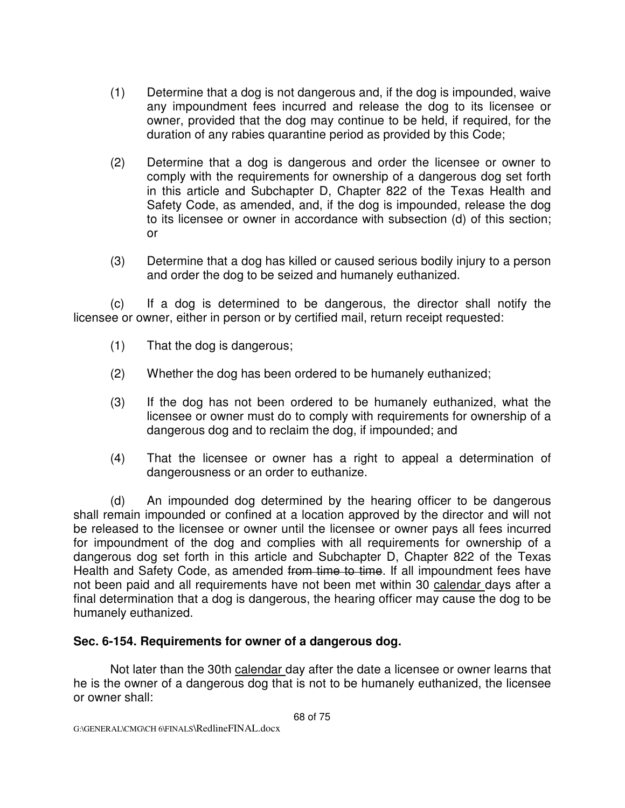- (1) Determine that a dog is not dangerous and, if the dog is impounded, waive any impoundment fees incurred and release the dog to its licensee or owner, provided that the dog may continue to be held, if required, for the duration of any rabies quarantine period as provided by this Code;
- (2) Determine that a dog is dangerous and order the licensee or owner to comply with the requirements for ownership of a dangerous dog set forth in this article and Subchapter D, Chapter 822 of the Texas Health and Safety Code, as amended, and, if the dog is impounded, release the dog to its licensee or owner in accordance with subsection (d) of this section; or
- (3) Determine that a dog has killed or caused serious bodily injury to a person and order the dog to be seized and humanely euthanized.

 (c) If a dog is determined to be dangerous, the director shall notify the licensee or owner, either in person or by certified mail, return receipt requested:

- (1) That the dog is dangerous;
- (2) Whether the dog has been ordered to be humanely euthanized;
- (3) If the dog has not been ordered to be humanely euthanized, what the licensee or owner must do to comply with requirements for ownership of a dangerous dog and to reclaim the dog, if impounded; and
- (4) That the licensee or owner has a right to appeal a determination of dangerousness or an order to euthanize.

 (d) An impounded dog determined by the hearing officer to be dangerous shall remain impounded or confined at a location approved by the director and will not be released to the licensee or owner until the licensee or owner pays all fees incurred for impoundment of the dog and complies with all requirements for ownership of a dangerous dog set forth in this article and Subchapter D, Chapter 822 of the Texas Health and Safety Code, as amended from time to time. If all impoundment fees have not been paid and all requirements have not been met within 30 calendar days after a final determination that a dog is dangerous, the hearing officer may cause the dog to be humanely euthanized.

# **Sec. 6-154. Requirements for owner of a dangerous dog.**

Not later than the 30th calendar day after the date a licensee or owner learns that he is the owner of a dangerous dog that is not to be humanely euthanized, the licensee or owner shall: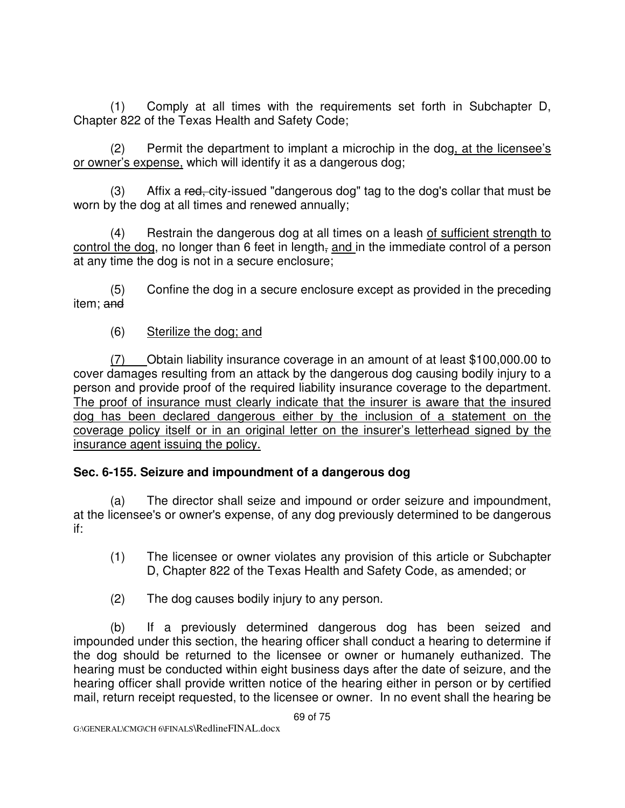(1) Comply at all times with the requirements set forth in Subchapter D, Chapter 822 of the Texas Health and Safety Code;

 (2) Permit the department to implant a microchip in the dog, at the licensee's or owner's expense, which will identify it as a dangerous dog;

(3) Affix a red, city-issued "dangerous dog" tag to the dog's collar that must be worn by the dog at all times and renewed annually;

 (4) Restrain the dangerous dog at all times on a leash of sufficient strength to control the dog, no longer than 6 feet in length, and in the immediate control of a person at any time the dog is not in a secure enclosure;

 (5) Confine the dog in a secure enclosure except as provided in the preceding item; and

(6) Sterilize the dog; and

 (7) Obtain liability insurance coverage in an amount of at least \$100,000.00 to cover damages resulting from an attack by the dangerous dog causing bodily injury to a person and provide proof of the required liability insurance coverage to the department. The proof of insurance must clearly indicate that the insurer is aware that the insured dog has been declared dangerous either by the inclusion of a statement on the coverage policy itself or in an original letter on the insurer's letterhead signed by the insurance agent issuing the policy.

# **Sec. 6-155. Seizure and impoundment of a dangerous dog**

 (a) The director shall seize and impound or order seizure and impoundment, at the licensee's or owner's expense, of any dog previously determined to be dangerous if:

- (1) The licensee or owner violates any provision of this article or Subchapter D, Chapter 822 of the Texas Health and Safety Code, as amended; or
- (2) The dog causes bodily injury to any person.

 (b) If a previously determined dangerous dog has been seized and impounded under this section, the hearing officer shall conduct a hearing to determine if the dog should be returned to the licensee or owner or humanely euthanized. The hearing must be conducted within eight business days after the date of seizure, and the hearing officer shall provide written notice of the hearing either in person or by certified mail, return receipt requested, to the licensee or owner. In no event shall the hearing be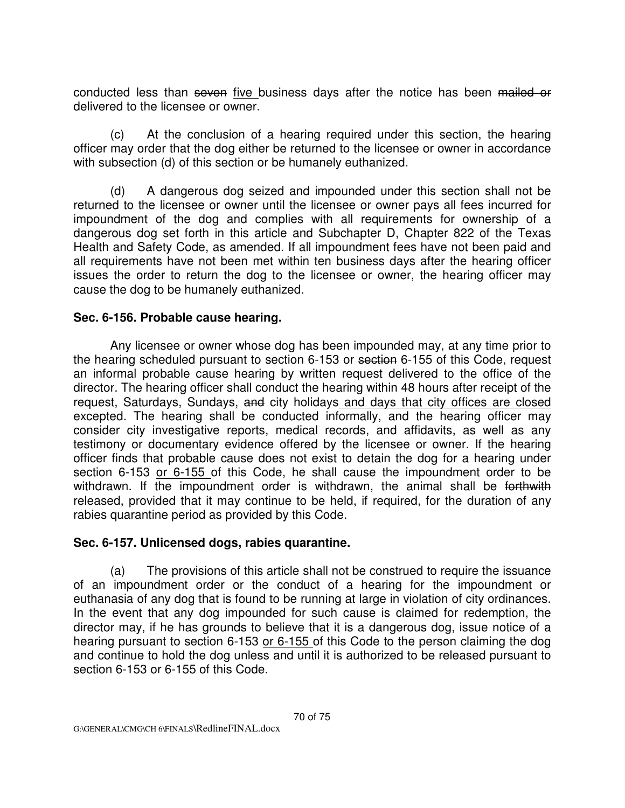conducted less than seven five business days after the notice has been mailed or delivered to the licensee or owner.

 (c) At the conclusion of a hearing required under this section, the hearing officer may order that the dog either be returned to the licensee or owner in accordance with subsection (d) of this section or be humanely euthanized.

 (d) A dangerous dog seized and impounded under this section shall not be returned to the licensee or owner until the licensee or owner pays all fees incurred for impoundment of the dog and complies with all requirements for ownership of a dangerous dog set forth in this article and Subchapter D, Chapter 822 of the Texas Health and Safety Code, as amended. If all impoundment fees have not been paid and all requirements have not been met within ten business days after the hearing officer issues the order to return the dog to the licensee or owner, the hearing officer may cause the dog to be humanely euthanized.

#### **Sec. 6-156. Probable cause hearing.**

Any licensee or owner whose dog has been impounded may, at any time prior to the hearing scheduled pursuant to section 6-153 or section 6-155 of this Code, request an informal probable cause hearing by written request delivered to the office of the director. The hearing officer shall conduct the hearing within 48 hours after receipt of the request, Saturdays, Sundays, and city holidays and days that city offices are closed excepted. The hearing shall be conducted informally, and the hearing officer may consider city investigative reports, medical records, and affidavits, as well as any testimony or documentary evidence offered by the licensee or owner. If the hearing officer finds that probable cause does not exist to detain the dog for a hearing under section 6-153 or 6-155 of this Code, he shall cause the impoundment order to be withdrawn. If the impoundment order is withdrawn, the animal shall be forthwith released, provided that it may continue to be held, if required, for the duration of any rabies quarantine period as provided by this Code.

#### **Sec. 6-157. Unlicensed dogs, rabies quarantine.**

 (a) The provisions of this article shall not be construed to require the issuance of an impoundment order or the conduct of a hearing for the impoundment or euthanasia of any dog that is found to be running at large in violation of city ordinances. In the event that any dog impounded for such cause is claimed for redemption, the director may, if he has grounds to believe that it is a dangerous dog, issue notice of a hearing pursuant to section 6-153 or 6-155 of this Code to the person claiming the dog and continue to hold the dog unless and until it is authorized to be released pursuant to section 6-153 or 6-155 of this Code.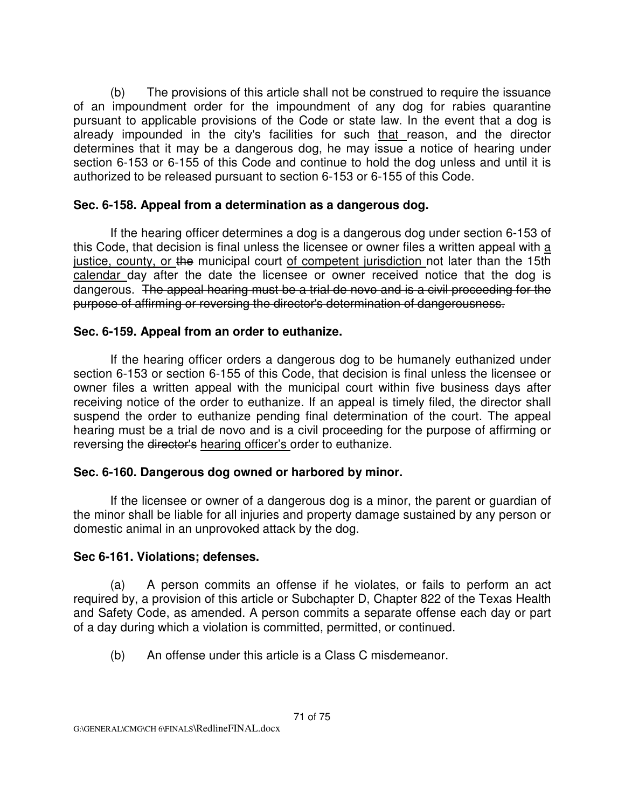(b) The provisions of this article shall not be construed to require the issuance of an impoundment order for the impoundment of any dog for rabies quarantine pursuant to applicable provisions of the Code or state law. In the event that a dog is already impounded in the city's facilities for such that reason, and the director determines that it may be a dangerous dog, he may issue a notice of hearing under section 6-153 or 6-155 of this Code and continue to hold the dog unless and until it is authorized to be released pursuant to section 6-153 or 6-155 of this Code.

#### **Sec. 6-158. Appeal from a determination as a dangerous dog.**

If the hearing officer determines a dog is a dangerous dog under section 6-153 of this Code, that decision is final unless the licensee or owner files a written appeal with a justice, county, or the municipal court of competent jurisdiction not later than the 15th calendar day after the date the licensee or owner received notice that the dog is dangerous. The appeal hearing must be a trial de novo and is a civil proceeding for the purpose of affirming or reversing the director's determination of dangerousness.

# **Sec. 6-159. Appeal from an order to euthanize.**

If the hearing officer orders a dangerous dog to be humanely euthanized under section 6-153 or section 6-155 of this Code, that decision is final unless the licensee or owner files a written appeal with the municipal court within five business days after receiving notice of the order to euthanize. If an appeal is timely filed, the director shall suspend the order to euthanize pending final determination of the court. The appeal hearing must be a trial de novo and is a civil proceeding for the purpose of affirming or reversing the director's hearing officer's order to euthanize.

# **Sec. 6-160. Dangerous dog owned or harbored by minor.**

If the licensee or owner of a dangerous dog is a minor, the parent or guardian of the minor shall be liable for all injuries and property damage sustained by any person or domestic animal in an unprovoked attack by the dog.

#### **Sec 6-161. Violations; defenses.**

 (a) A person commits an offense if he violates, or fails to perform an act required by, a provision of this article or Subchapter D, Chapter 822 of the Texas Health and Safety Code, as amended. A person commits a separate offense each day or part of a day during which a violation is committed, permitted, or continued.

(b) An offense under this article is a Class C misdemeanor.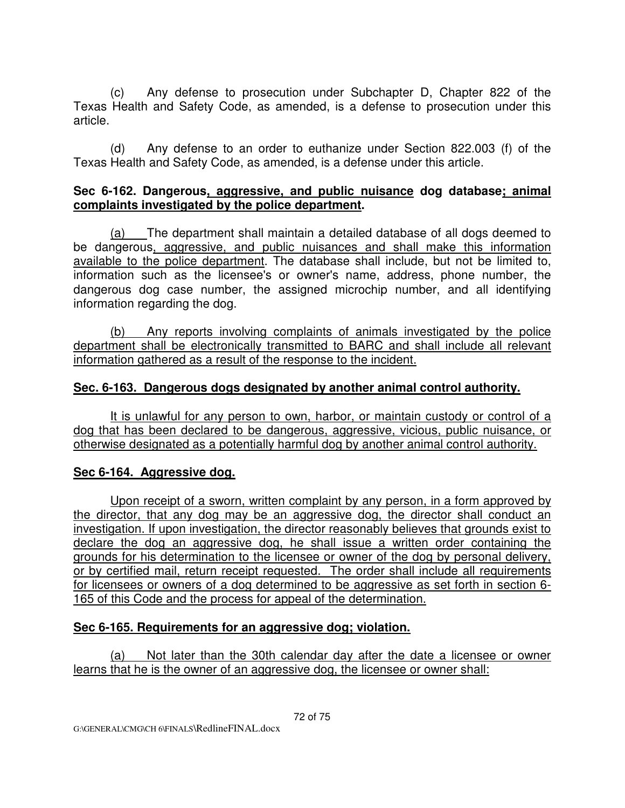(c) Any defense to prosecution under Subchapter D, Chapter 822 of the Texas Health and Safety Code, as amended, is a defense to prosecution under this article.

 (d) Any defense to an order to euthanize under Section 822.003 (f) of the Texas Health and Safety Code, as amended, is a defense under this article.

#### **Sec 6-162. Dangerous, aggressive, and public nuisance dog database; animal complaints investigated by the police department.**

(a) The department shall maintain a detailed database of all dogs deemed to be dangerous, aggressive, and public nuisances and shall make this information available to the police department. The database shall include, but not be limited to, information such as the licensee's or owner's name, address, phone number, the dangerous dog case number, the assigned microchip number, and all identifying information regarding the dog.

(b) Any reports involving complaints of animals investigated by the police department shall be electronically transmitted to BARC and shall include all relevant information gathered as a result of the response to the incident.

### **Sec. 6-163. Dangerous dogs designated by another animal control authority.**

It is unlawful for any person to own, harbor, or maintain custody or control of a dog that has been declared to be dangerous, aggressive, vicious, public nuisance, or otherwise designated as a potentially harmful dog by another animal control authority.

#### **Sec 6-164. Aggressive dog.**

Upon receipt of a sworn, written complaint by any person, in a form approved by the director, that any dog may be an aggressive dog, the director shall conduct an investigation. If upon investigation, the director reasonably believes that grounds exist to declare the dog an aggressive dog, he shall issue a written order containing the grounds for his determination to the licensee or owner of the dog by personal delivery, or by certified mail, return receipt requested. The order shall include all requirements for licensees or owners of a dog determined to be aggressive as set forth in section 6- 165 of this Code and the process for appeal of the determination.

# **Sec 6-165. Requirements for an aggressive dog; violation.**

(a) Not later than the 30th calendar day after the date a licensee or owner learns that he is the owner of an aggressive dog, the licensee or owner shall: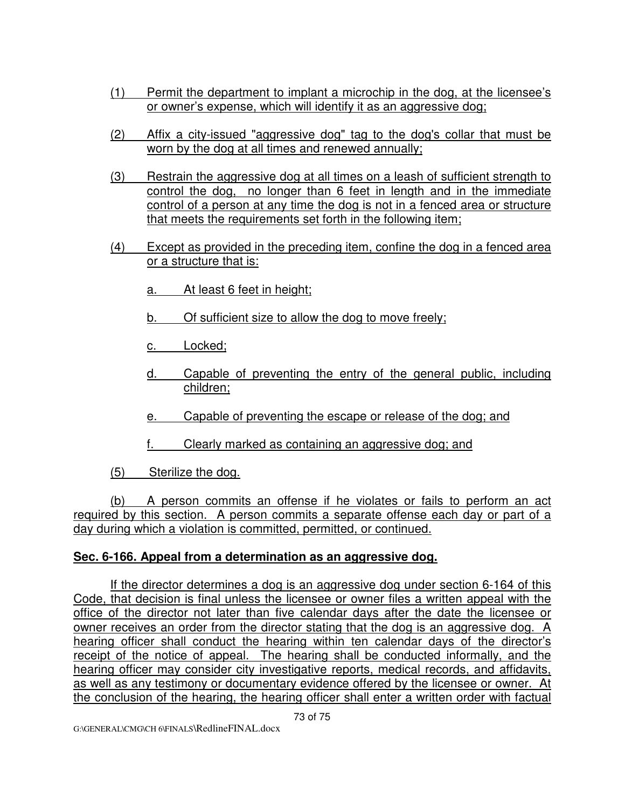- (1) Permit the department to implant a microchip in the dog, at the licensee's or owner's expense, which will identify it as an aggressive dog;
- (2) Affix a city-issued "aggressive dog" tag to the dog's collar that must be worn by the dog at all times and renewed annually;
- (3) Restrain the aggressive dog at all times on a leash of sufficient strength to control the dog, no longer than 6 feet in length and in the immediate control of a person at any time the dog is not in a fenced area or structure that meets the requirements set forth in the following item;
- (4) Except as provided in the preceding item, confine the dog in a fenced area or a structure that is:
	- a. At least 6 feet in height;
	- b. Of sufficient size to allow the dog to move freely;
	- c. Locked;
	- d. Capable of preventing the entry of the general public, including children;
	- e. Capable of preventing the escape or release of the dog; and
	- f. Clearly marked as containing an aggressive dog; and

(5) Sterilize the dog.

 (b) A person commits an offense if he violates or fails to perform an act required by this section. A person commits a separate offense each day or part of a day during which a violation is committed, permitted, or continued.

### **Sec. 6-166. Appeal from a determination as an aggressive dog.**

If the director determines a dog is an aggressive dog under section 6-164 of this Code, that decision is final unless the licensee or owner files a written appeal with the office of the director not later than five calendar days after the date the licensee or owner receives an order from the director stating that the dog is an aggressive dog. A hearing officer shall conduct the hearing within ten calendar days of the director's receipt of the notice of appeal. The hearing shall be conducted informally, and the hearing officer may consider city investigative reports, medical records, and affidavits, as well as any testimony or documentary evidence offered by the licensee or owner. At the conclusion of the hearing, the hearing officer shall enter a written order with factual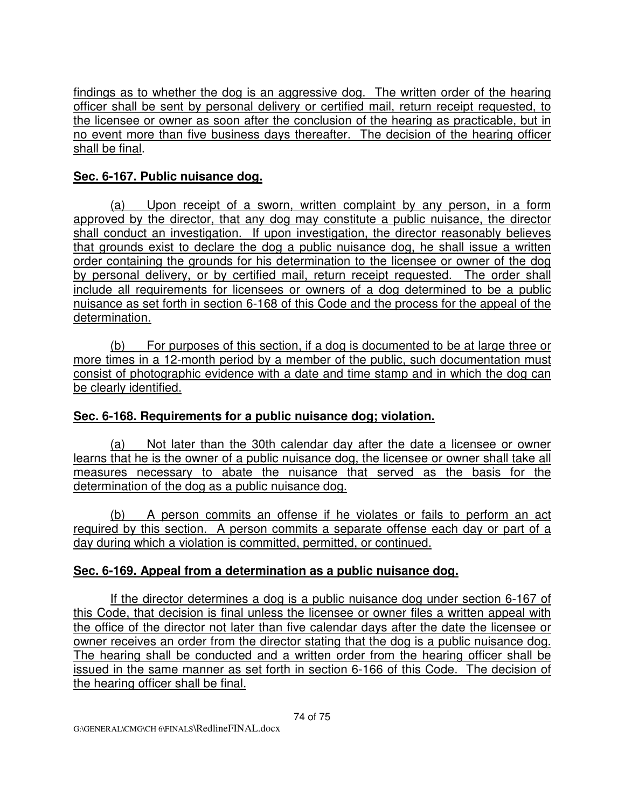findings as to whether the dog is an aggressive dog. The written order of the hearing officer shall be sent by personal delivery or certified mail, return receipt requested, to the licensee or owner as soon after the conclusion of the hearing as practicable, but in no event more than five business days thereafter. The decision of the hearing officer shall be final.

# **Sec. 6-167. Public nuisance dog.**

(a) Upon receipt of a sworn, written complaint by any person, in a form approved by the director, that any dog may constitute a public nuisance, the director shall conduct an investigation. If upon investigation, the director reasonably believes that grounds exist to declare the dog a public nuisance dog, he shall issue a written order containing the grounds for his determination to the licensee or owner of the dog by personal delivery, or by certified mail, return receipt requested. The order shall include all requirements for licensees or owners of a dog determined to be a public nuisance as set forth in section 6-168 of this Code and the process for the appeal of the determination.

(b) For purposes of this section, if a dog is documented to be at large three or more times in a 12-month period by a member of the public, such documentation must consist of photographic evidence with a date and time stamp and in which the dog can be clearly identified.

# **Sec. 6-168. Requirements for a public nuisance dog; violation.**

(a) Not later than the 30th calendar day after the date a licensee or owner learns that he is the owner of a public nuisance dog, the licensee or owner shall take all measures necessary to abate the nuisance that served as the basis for the determination of the dog as a public nuisance dog.

 (b) A person commits an offense if he violates or fails to perform an act required by this section. A person commits a separate offense each day or part of a day during which a violation is committed, permitted, or continued.

# **Sec. 6-169. Appeal from a determination as a public nuisance dog.**

If the director determines a dog is a public nuisance dog under section 6-167 of this Code, that decision is final unless the licensee or owner files a written appeal with the office of the director not later than five calendar days after the date the licensee or owner receives an order from the director stating that the dog is a public nuisance dog. The hearing shall be conducted and a written order from the hearing officer shall be issued in the same manner as set forth in section 6-166 of this Code. The decision of the hearing officer shall be final.